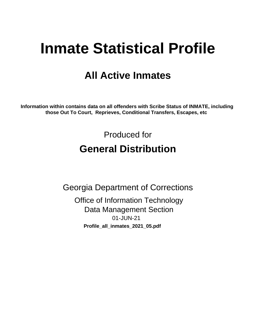# **Inmate Statistical Profile**

## **All Active Inmates**

Information within contains data on all offenders with Scribe Status of INMATE, including those Out To Court, Reprieves, Conditional Transfers, Escapes, etc

> Produced for **General Distribution**

**Georgia Department of Corrections Office of Information Technology Data Management Section** 01-JUN-21 Profile\_all\_inmates\_2021\_05.pdf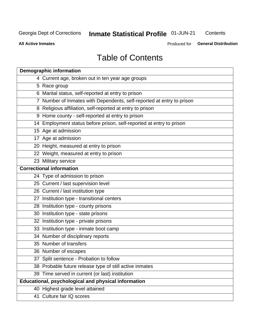## Inmate Statistical Profile 01-JUN-21

Contents

**All Active Inmates** 

Produced for General Distribution

## **Table of Contents**

| <b>Demographic information</b>                                        |
|-----------------------------------------------------------------------|
| 4 Current age, broken out in ten year age groups                      |
| 5 Race group                                                          |
| 6 Marital status, self-reported at entry to prison                    |
| 7 Number of Inmates with Dependents, self-reported at entry to prison |
| 8 Religious affiliation, self-reported at entry to prison             |
| 9 Home county - self-reported at entry to prison                      |
| 14 Employment status before prison, self-reported at entry to prison  |
| 15 Age at admission                                                   |
| 17 Age at admission                                                   |
| 20 Height, measured at entry to prison                                |
| 22 Weight, measured at entry to prison                                |
| 23 Military service                                                   |
| <b>Correctional information</b>                                       |
| 24 Type of admission to prison                                        |
| 25 Current / last supervision level                                   |
| 26 Current / last institution type                                    |
| 27 Institution type - transitional centers                            |
| 28 Institution type - county prisons                                  |
| 30 Institution type - state prisons                                   |
| 32 Institution type - private prisons                                 |
| 33 Institution type - inmate boot camp                                |
| 34 Number of disciplinary reports                                     |
| 35 Number of transfers                                                |
| 36 Number of escapes                                                  |
| 37 Split sentence - Probation to follow                               |
| 38 Probable future release type of still active inmates               |
| 39 Time served in current (or last) institution                       |
| Educational, psychological and physical information                   |
| 40 Highest grade level attained                                       |
| 41 Culture fair IQ scores                                             |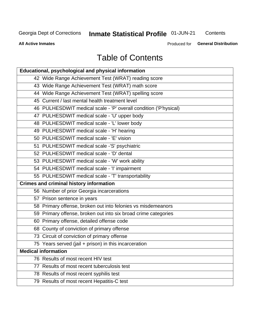## Inmate Statistical Profile 01-JUN-21

Contents

**All Active Inmates** 

**General Distribution** Produced for

## **Table of Contents**

| Educational, psychological and physical information              |
|------------------------------------------------------------------|
| 42 Wide Range Achievement Test (WRAT) reading score              |
| 43 Wide Range Achievement Test (WRAT) math score                 |
| 44 Wide Range Achievement Test (WRAT) spelling score             |
| 45 Current / last mental health treatment level                  |
| 46 PULHESDWIT medical scale - 'P' overall condition ('P'hysical) |
| 47 PULHESDWIT medical scale - 'U' upper body                     |
| 48 PULHESDWIT medical scale - 'L' lower body                     |
| 49 PULHESDWIT medical scale - 'H' hearing                        |
| 50 PULHESDWIT medical scale - 'E' vision                         |
| 51 PULHESDWIT medical scale -'S' psychiatric                     |
| 52 PULHESDWIT medical scale - 'D' dental                         |
| 53 PULHESDWIT medical scale - 'W' work ability                   |
| 54 PULHESDWIT medical scale - 'I' impairment                     |
| 55 PULHESDWIT medical scale - 'T' transportability               |
| <b>Crimes and criminal history information</b>                   |
| 56 Number of prior Georgia incarcerations                        |
| 57 Prison sentence in years                                      |
| 58 Primary offense, broken out into felonies vs misdemeanors     |
| 59 Primary offense, broken out into six broad crime categories   |
| 60 Primary offense, detailed offense code                        |
| 68 County of conviction of primary offense                       |
| 73 Circuit of conviction of primary offense                      |
| 75 Years served (jail + prison) in this incarceration            |
| <b>Medical information</b>                                       |
| 76 Results of most recent HIV test                               |
| 77 Results of most recent tuberculosis test                      |
| 78 Results of most recent syphilis test                          |
| 79 Results of most recent Hepatitis-C test                       |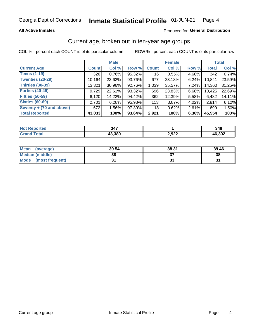#### **All Active Inmates**

#### Produced for General Distribution

## Current age, broken out in ten-year age groups

COL % - percent each COUNT is of its particular column

|                          | <b>Male</b>  |          |        | <b>Female</b>   |        |       | <b>Total</b> |        |
|--------------------------|--------------|----------|--------|-----------------|--------|-------|--------------|--------|
| <b>Current Age</b>       | <b>Count</b> | Col %    | Row %  | <b>Count</b>    | Col %  | Row % | <b>Total</b> | Col %  |
| <b>Teens (1-19)</b>      | 326          | 0.76%    | 95.32% | 16 <sup>1</sup> | 0.55%  | 4.68% | 342          | 0.74%  |
| <b>Twenties (20-29)</b>  | 10,164       | 23.62%   | 93.76% | 677             | 23.18% | 6.24% | 10,841       | 23.59% |
| Thirties (30-39)         | 13,321       | 30.96%   | 92.76% | 1,039           | 35.57% | 7.24% | 14,360       | 31.25% |
| <b>Forties (40-49)</b>   | 9,729        | 22.61%   | 93.32% | 696             | 23.83% | 6.68% | 10,425       | 22.69% |
| <b>Fifties (50-59)</b>   | 6,120        | 14.22%   | 94.42% | 362             | 12.39% | 5.58% | 6,482        | 14.11% |
| <b>Sixties (60-69)</b>   | 2.701        | 6.28%    | 95.98% | 113             | 3.87%  | 4.02% | 2,814        | 6.12%  |
| Seventy + (70 and above) | 672          | $1.56\%$ | 97.39% | 18              | 0.62%  | 2.61% | 690          | 1.50%  |
| <b>Total Reported</b>    | 43,033       | 100%     | 93.64% | 2,921           | 100%   | 6.36% | 45,954       | 100%   |

| NOT<br>τeα<br>        | $\sim$ $\sim$<br>، ۱- ب |                | 348    |
|-----------------------|-------------------------|----------------|--------|
| $f \wedge f \wedge f$ | 43,380                  | רכם כ<br>Z,JZZ | 46.302 |

| <b>Mean</b><br>(average)       | 39.54 | 38.31 | 39.46 |
|--------------------------------|-------|-------|-------|
| Median (middle)                | 38    |       | 38    |
| <b>Mode</b><br>(most frequent) |       | vu    |       |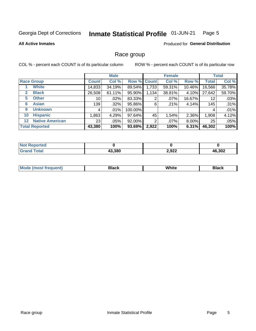#### Inmate Statistical Profile 01-JUN-21 Page 5

#### **All Active Inmates**

#### **Produced for General Distribution**

### Race group

COL % - percent each COUNT is of its particular column

|                                   |                 | <b>Male</b> |         |             | <b>Female</b> |          |              | <b>Total</b> |  |
|-----------------------------------|-----------------|-------------|---------|-------------|---------------|----------|--------------|--------------|--|
| <b>Race Group</b>                 | <b>Count</b>    | Col %       |         | Row % Count | Col %         | Row %    | <b>Total</b> | Col %        |  |
| <b>White</b>                      | 14,833          | 34.19%      | 89.54%  | 1,733       | 59.31%        | 10.46%   | 16,566       | 35.78%       |  |
| <b>Black</b><br>2                 | 26,508          | 61.11%      | 95.90%  | 1,134       | 38.81%        | 4.10%    | 27,642       | 59.70%       |  |
| <b>Other</b><br>5.                | 10              | $.02\%$     | 83.33%  | 2           | $.07\%$       | 16.67%   | 12           | .03%         |  |
| <b>Asian</b><br>6                 | 139             | $.32\%$     | 95.86%  | 6           | .21%          | 4.14%    | 145          | .31%         |  |
| <b>Unknown</b><br>9               | 4               | $.01\%$     | 100.00% |             |               |          | 4            | .01%         |  |
| <b>Hispanic</b><br>10             | .863            | 4.29%       | 97.64%  | 45          | 1.54%         | 2.36%    | 1,908        | 4.12%        |  |
| <b>Native American</b><br>$12 \,$ | 23 <sub>1</sub> | $.05\%$     | 92.00%  | 2           | $.07\%$       | $8.00\%$ | 25           | .05%         |  |
| <b>Total Reported</b>             | 43,380          | 100%        | 93.69%  | 2,922       | 100%          | 6.31%    | 46,302       | 100%         |  |

| orted<br>Nt          |        |       |        |
|----------------------|--------|-------|--------|
| <b>otal</b><br>"Gra. | 43,380 | 2,922 | 46,302 |

| m | <br>w |  |
|---|-------|--|
|   |       |  |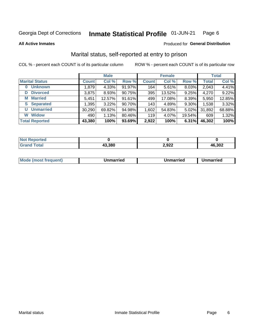#### Inmate Statistical Profile 01-JUN-21 Page 6

**All Active Inmates** 

#### Produced for General Distribution

## Marital status, self-reported at entry to prison

COL % - percent each COUNT is of its particular column

|                            | <b>Male</b>  |        |        | <b>Female</b> |        |        | <b>Total</b> |        |
|----------------------------|--------------|--------|--------|---------------|--------|--------|--------------|--------|
| <b>Marital Status</b>      | <b>Count</b> | Col %  | Row %  | <b>Count</b>  | Col %  | Row %  | <b>Total</b> | Col %  |
| <b>Unknown</b><br>$\bf{0}$ | 1,879        | 4.33%  | 91.97% | 164           | 5.61%  | 8.03%  | 2,043        | 4.41%  |
| <b>Divorced</b><br>D       | 3,875        | 8.93%  | 90.75% | 395           | 13.52% | 9.25%  | 4,270        | 9.22%  |
| <b>Married</b><br>M        | 5,451        | 12.57% | 91.61% | 499           | 17.08% | 8.39%  | 5,950        | 12.85% |
| <b>S</b> Separated         | 1,395        | 3.22%  | 90.70% | 143           | 4.89%  | 9.30%  | 1,538        | 3.32%  |
| <b>Unmarried</b><br>U      | 30,290       | 69.82% | 94.98% | 1,602         | 54.83% | 5.02%  | 31,892       | 68.88% |
| <b>Widow</b><br>W          | 490          | 1.13%  | 80.46% | 119           | 4.07%  | 19.54% | 609          | 1.32%  |
| <b>Total Reported</b>      | 43,380       | 100%   | 93.69% | 2,922         | 100%   | 6.31%  | 46,302       | 100%   |

| orted<br><b>NOT</b>  |        |                |        |
|----------------------|--------|----------------|--------|
| $\sim$ $\sim$ $\sim$ | 13,380 | רכם כ<br>2,JLL | 46,302 |

|--|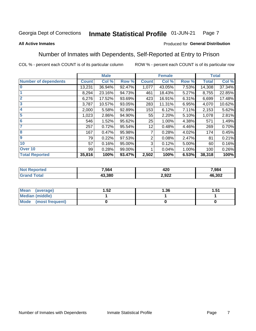#### Inmate Statistical Profile 01-JUN-21 Page 7

#### **All Active Inmates**

#### Produced for General Distribution

## Number of Inmates with Dependents, Self-Reported at Entry to Prison

COL % - percent each COUNT is of its particular column

|                             |              | <b>Male</b> |        |              | <b>Female</b> |       | <b>Total</b> |        |
|-----------------------------|--------------|-------------|--------|--------------|---------------|-------|--------------|--------|
| <b>Number of dependents</b> | <b>Count</b> | Col %       | Row %  | <b>Count</b> | Col %         | Row % | <b>Total</b> | Col %  |
| l 0                         | 13,231       | 36.94%      | 92.47% | 1,077        | 43.05%        | 7.53% | 14,308       | 37.34% |
|                             | 8,294        | 23.16%      | 94.73% | 461          | 18.43%        | 5.27% | 8,755        | 22.85% |
| $\overline{2}$              | 6,276        | 17.52%      | 93.69% | 423          | 16.91%        | 6.31% | 6,699        | 17.48% |
| $\mathbf{3}$                | 3,787        | 10.57%      | 93.05% | 283          | 11.31%        | 6.95% | 4,070        | 10.62% |
| $\overline{\mathbf{4}}$     | 2,000        | 5.58%       | 92.89% | 153          | 6.12%         | 7.11% | 2,153        | 5.62%  |
| 5                           | 1,023        | 2.86%       | 94.90% | 55           | 2.20%         | 5.10% | 1,078        | 2.81%  |
| 6                           | 546          | 1.52%       | 95.62% | 25           | 1.00%         | 4.38% | 571          | 1.49%  |
| 7                           | 257          | 0.72%       | 95.54% | 12           | 0.48%         | 4.46% | 269          | 0.70%  |
| 8                           | 167          | 0.47%       | 95.98% |              | 0.28%         | 4.02% | 174          | 0.45%  |
| 9                           | 79           | 0.22%       | 97.53% | 2            | 0.08%         | 2.47% | 81           | 0.21%  |
| 10                          | 57           | 0.16%       | 95.00% | 3            | 0.12%         | 5.00% | 60           | 0.16%  |
| Over 10                     | 99           | 0.28%       | 99.00% |              | 0.04%         | 1.00% | 100          | 0.26%  |
| <b>Total Reported</b>       | 35,816       | 100%        | 93.47% | 2,502        | 100%          | 6.53% | 38,318       | 100%   |

| 7.564  | חרו<br>44 Y     | 7.984  |
|--------|-----------------|--------|
| 13.380 | $\sim$<br>L.JLL | 46,302 |

| Mean (average)          | .52 | 1.36 | l.51 |
|-------------------------|-----|------|------|
| <b>Median (middle)</b>  |     |      |      |
| Mode<br>(most frequent) |     |      |      |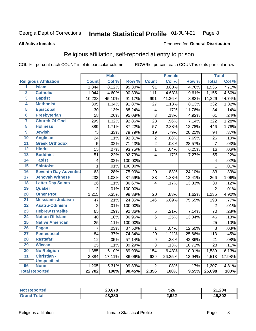#### Inmate Statistical Profile 01-JUN-21 Page 8

#### **All Active Inmates**

#### Produced for General Distribution

## Religious affiliation, self-reported at entry to prison

COL % - percent each COUNT is of its particular column

|                         |                              |                 | <b>Male</b> |         |                         | <b>Female</b> |                  |                | <b>Total</b> |
|-------------------------|------------------------------|-----------------|-------------|---------|-------------------------|---------------|------------------|----------------|--------------|
|                         | <b>Religious Affiliation</b> | <b>Count</b>    | Col %       | Row %   | <b>Count</b>            | Col %         | Row <sup>%</sup> | <b>Total</b>   | Col%         |
| 1                       | <b>Islam</b>                 | 1,844           | 8.12%       | 95.30%  | $\overline{91}$         | 3.80%         | 4.70%            | 1,935          | 7.71%        |
| $\overline{\mathbf{2}}$ | <b>Catholic</b>              | 1,044           | 4.60%       | 90.39%  | 111                     | 4.63%         | 9.61%            | 1,155          | 4.60%        |
| 3                       | <b>Baptist</b>               | 10,238          | 45.10%      | 91.17%  | 991                     | 41.36%        | 8.83%            | 11,229         | 44.74%       |
| 4                       | <b>Methodist</b>             | 305             | 1.34%       | 91.87%  | 27                      | 1.13%         | 8.13%            | 332            | 1.32%        |
| 5                       | <b>Episcopal</b>             | 30              | .13%        | 88.24%  | $\overline{\mathbf{4}}$ | .17%          | 11.76%           | 34             | .14%         |
| $\overline{6}$          | <b>Presbyterian</b>          | 58              | .26%        | 95.08%  | 3                       | .13%          | 4.92%            | 61             | .24%         |
| 7                       | <b>Church Of God</b>         | 299             | 1.32%       | 92.86%  | 23                      | .96%          | 7.14%            | 322            | 1.28%        |
| 8                       | <b>Holiness</b>              | 389             | 1.71%       | 87.22%  | 57                      | 2.38%         | 12.78%           | 446            | 1.78%        |
| $\overline{9}$          | <b>Jewish</b>                | $\overline{75}$ | .33%        | 79.79%  | 19                      | .79%          | 20.21%           | 94             | .37%         |
| 10                      | <b>Anglican</b>              | 24              | .11%        | 92.31%  | $\mathbf 2$             | .08%          | 7.69%            | 26             | .10%         |
| 11                      | <b>Greek Orthodox</b>        | $\overline{5}$  | .02%        | 71.43%  | $\overline{2}$          | .08%          | 28.57%           | $\overline{7}$ | .03%         |
| 12                      | <b>Hindu</b>                 | $\overline{15}$ | .07%        | 93.75%  | $\mathbf{1}$            | .04%          | 6.25%            | 16             | .06%         |
| 13                      | <b>Buddhist</b>              | 51              | .22%        | 92.73%  | $\overline{4}$          | .17%          | 7.27%            | 55             | .22%         |
| $\overline{14}$         | <b>Taoist</b>                | $\overline{4}$  | .02%        | 100.00% |                         |               |                  | 4              | .02%         |
| 15                      | <b>Shintoist</b>             | $\mathbf 1$     | .01%        | 100.00% |                         |               |                  | 1              | .01%         |
| 16                      | <b>Seventh Day Adventist</b> | 63              | .28%        | 75.90%  | 20                      | .83%          | 24.10%           | 83             | .33%         |
| 17                      | <b>Jehovah Witness</b>       | 233             | 1.03%       | 87.59%  | 33                      | 1.38%         | 12.41%           | 266            | 1.06%        |
| 18                      | <b>Latter Day Saints</b>     | 26              | .11%        | 86.67%  | 4                       | .17%          | 13.33%           | 30             | .12%         |
| 19                      | Quaker                       | $\overline{2}$  | .01%        | 100.00% |                         |               |                  | $\overline{2}$ | .01%         |
| 20                      | <b>Other Prot</b>            | 1,215           | 5.35%       | 98.38%  | 20                      | .83%          | 1.62%            | 1,235          | 4.92%        |
| 21                      | <b>Messianic Judaism</b>     | 47              | .21%        | 24.35%  | $\overline{1}$ 46       | 6.09%         | 75.65%           | 193            | .77%         |
| 22                      | <b>Asatru-Odinism</b>        | $\overline{2}$  | .01%        | 100.00% |                         |               |                  | $\overline{2}$ | .01%         |
| 23                      | <b>Hebrew Israelite</b>      | 65              | .29%        | 92.86%  | $\sqrt{5}$              | .21%          | 7.14%            | 70             | .28%         |
| 24                      | <b>Nation Of Islam</b>       | 40              | .18%        | 86.96%  | 6                       | .25%          | 13.04%           | 46             | .18%         |
| 25                      | <b>Native American</b>       | 25              | .11%        | 100.00% |                         |               |                  | 25             | .10%         |
| 26                      | Pagan                        | $\overline{7}$  | .03%        | 87.50%  | $\mathbf{1}$            | .04%          | 12.50%           | 8              | .03%         |
| 27                      | <b>Pentecostal</b>           | 84              | .37%        | 74.34%  | 29                      | 1.21%         | 25.66%           | 113            | .45%         |
| 28                      | <b>Rastafari</b>             | 12              | .05%        | 57.14%  | $\boldsymbol{9}$        | .38%          | 42.86%           | 21             | .08%         |
| 29                      | <b>Wiccan</b>                | $\overline{25}$ | .11%        | 89.29%  | $\overline{3}$          | .13%          | 10.71%           | 28             | .11%         |
| 30                      | <b>No Religion</b>           | 1,385           | 6.10%       | 89.99%  | 154                     | 6.43%         | 10.01%           | 1,539          | 6.13%        |
| 31                      | Christian -                  | 3,884           | 17.11%      | 86.06%  | 629                     | 26.25%        | 13.94%           | 4,513          | 17.98%       |
|                         | <b>Unspecified</b>           |                 |             |         |                         |               |                  |                |              |
| 96                      | <b>None</b>                  | 1,205           | 5.31%       | 99.83%  | $\overline{2}$          | .08%          | .17%             | 1,207          | 4.81%        |
|                         | <b>Total Reported</b>        | 22,702          | 100%        | 90.45%  | 2,396                   | 100%          | 9.55%            | 25,098         | 100%         |

| <b>20 C70</b> | 526   | 21,204 |
|---------------|-------|--------|
| 43.380        | 2,922 | 46,302 |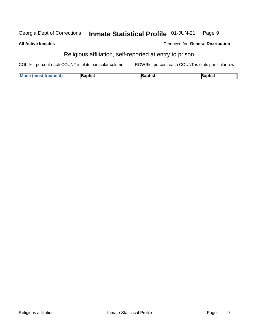#### **Inmate Statistical Profile 01-JUN-21** Georgia Dept of Corrections Page 9

#### **All Active Inmates**

#### Produced for General Distribution

## Religious affiliation, self-reported at entry to prison

COL % - percent each COUNT is of its particular column ROW % - percent each COUNT is of its particular row

| <b>Mode (most frequent)</b> | Baptist | aptist | Baptist |
|-----------------------------|---------|--------|---------|
|-----------------------------|---------|--------|---------|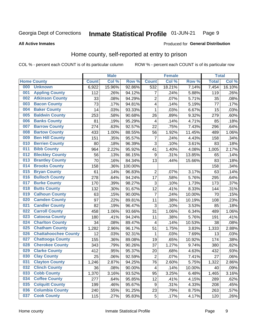#### Inmate Statistical Profile 01-JUN-21 Page 9

**All Active Inmates** 

#### **Produced for General Distribution**

## Home county, self-reported at entry to prison

COL % - percent each COUNT is of its particular column

|     |                             |              | <b>Male</b> |         |                         | <b>Female</b> |        | <b>Total</b> |        |
|-----|-----------------------------|--------------|-------------|---------|-------------------------|---------------|--------|--------------|--------|
|     | <b>Home County</b>          | <b>Count</b> | Col %       | Row %   | <b>Count</b>            | Col %         | Row %  | <b>Total</b> | Col %  |
| 000 | <b>Unknown</b>              | 6,922        | 15.96%      | 92.86%  | 532                     | 18.21%        | 7.14%  | 7,454        | 16.10% |
| 001 | <b>Appling County</b>       | 112          | .26%        | 94.12%  | 7                       | .24%          | 5.88%  | 119          | .26%   |
| 002 | <b>Atkinson County</b>      | 33           | .08%        | 94.29%  | $\mathbf 2$             | .07%          | 5.71%  | 35           | .08%   |
| 003 | <b>Bacon County</b>         | 73           | .17%        | 94.81%  | $\overline{\mathbf{4}}$ | .14%          | 5.19%  | 77           | .17%   |
| 004 | <b>Baker County</b>         | 14           | .03%        | 93.33%  | 1                       | .03%          | 6.67%  | 15           | .03%   |
| 005 | <b>Baldwin County</b>       | 253          | .58%        | 90.68%  | 26                      | .89%          | 9.32%  | 279          | .60%   |
| 006 | <b>Banks County</b>         | 81           | .19%        | 95.29%  | $\overline{4}$          | .14%          | 4.71%  | 85           | .18%   |
| 007 | <b>Barrow County</b>        | 274          | .63%        | 92.57%  | 22                      | .75%          | 7.43%  | 296          | .64%   |
| 008 | <b>Bartow County</b>        | 433          | 1.00%       | 88.55%  | 56                      | 1.92%         | 11.45% | 489          | 1.06%  |
| 009 | <b>Ben Hill County</b>      | 151          | .35%        | 95.57%  | 7                       | .24%          | 4.43%  | 158          | .34%   |
| 010 | <b>Berrien County</b>       | 80           | .18%        | 96.39%  | $\overline{3}$          | .10%          | 3.61%  | 83           | .18%   |
| 011 | <b>Bibb County</b>          | 964          | 2.22%       | 95.92%  | 41                      | 1.40%         | 4.08%  | 1,005        | 2.17%  |
| 012 | <b>Bleckley County</b>      | 56           | .13%        | 86.15%  | $\boldsymbol{9}$        | .31%          | 13.85% | 65           | .14%   |
| 013 | <b>Brantley County</b>      | 70           | .16%        | 84.34%  | 13                      | .44%          | 15.66% | 83           | .18%   |
| 014 | <b>Brooks County</b>        | 158          | .36%        | 100.00% |                         |               |        | 158          | .34%   |
| 015 | <b>Bryan County</b>         | 61           | .14%        | 96.83%  | $\overline{2}$          | .07%          | 3.17%  | 63           | .14%   |
| 016 | <b>Bulloch County</b>       | 278          | .64%        | 94.24%  | 17                      | .58%          | 5.76%  | 295          | .64%   |
| 017 | <b>Burke County</b>         | 170          | .39%        | 98.27%  | 3                       | .10%          | 1.73%  | 173          | .37%   |
| 018 | <b>Butts County</b>         | 132          | .30%        | 91.67%  | 12                      | .41%          | 8.33%  | 144          | .31%   |
| 019 | <b>Calhoun County</b>       | 63           | .15%        | 90.00%  | $\overline{7}$          | .24%          | 10.00% | 70           | .15%   |
| 020 | <b>Camden County</b>        | 97           | .22%        | 89.81%  | 11                      | .38%          | 10.19% | 108          | .23%   |
| 021 | <b>Candler County</b>       | 82           | .19%        | 96.47%  | 3                       | .10%          | 3.53%  | 85           | .18%   |
| 022 | <b>Carroll County</b>       | 458          | 1.06%       | 93.66%  | 31                      | 1.06%         | 6.34%  | 489          | 1.06%  |
| 023 | <b>Catoosa County</b>       | 180          | .41%        | 94.24%  | 11                      | .38%          | 5.76%  | 191          | .41%   |
| 024 | <b>Charlton County</b>      | 34           | .08%        | 89.47%  | 4                       | .14%          | 10.53% | 38           | .08%   |
| 025 | <b>Chatham County</b>       | 1,282        | 2.96%       | 96.17%  | 51                      | 1.75%         | 3.83%  | 1,333        | 2.88%  |
| 026 | <b>Chattahoochee County</b> | 12           | .03%        | 92.31%  | 1                       | .03%          | 7.69%  | 13           | .03%   |
| 027 | <b>Chattooga County</b>     | 155          | .36%        | 89.08%  | 19                      | .65%          | 10.92% | 174          | .38%   |
| 028 | <b>Cherokee County</b>      | 343          | .79%        | 90.26%  | 37                      | 1.27%         | 9.74%  | 380          | .82%   |
| 029 | <b>Clarke County</b>        | 412          | .95%        | 95.37%  | 20                      | .68%          | 4.63%  | 432          | .93%   |
| 030 | <b>Clay County</b>          | 25           | .06%        | 92.59%  | $\overline{2}$          | .07%          | 7.41%  | 27           | .06%   |
| 031 | <b>Clayton County</b>       | 1,246        | 2.87%       | 94.25%  | 76                      | 2.60%         | 5.75%  | 1,322        | 2.86%  |
| 032 | <b>Clinch County</b>        | 36           | .08%        | 90.00%  | 4                       | .14%          | 10.00% | 40           | .09%   |
| 033 | <b>Cobb County</b>          | 1,370        | 3.16%       | 93.52%  | 95                      | 3.25%         | 6.48%  | 1,465        | 3.16%  |
| 034 | <b>Coffee County</b>        | 277          | .64%        | 95.85%  | 12                      | .41%          | 4.15%  | 289          | .62%   |
| 035 | <b>Colquitt County</b>      | 199          | .46%        | 95.67%  | 9                       | .31%          | 4.33%  | 208          | .45%   |
| 036 | <b>Columbia County</b>      | 240          | .55%        | 91.25%  | 23                      | .79%          | 8.75%  | 263          | .57%   |
| 037 | <b>Cook County</b>          | 115          | .27%        | 95.83%  | $\sqrt{5}$              | .17%          | 4.17%  | 120          | .26%   |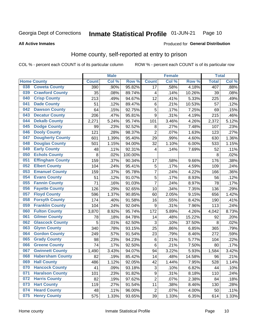#### **Inmate Statistical Profile 01-JUN-21** Page 10

**All Active Inmates** 

#### Produced for General Distribution

## Home county, self-reported at entry to prison

COL % - percent each COUNT is of its particular column

|     |                         |              | <b>Male</b> |                  |                  | <b>Female</b>     |                  | <b>Total</b> |       |
|-----|-------------------------|--------------|-------------|------------------|------------------|-------------------|------------------|--------------|-------|
|     | <b>Home County</b>      | <b>Count</b> | Col %       | Row <sup>%</sup> | <b>Count</b>     | Col %             | Row <sup>%</sup> | <b>Total</b> | Col % |
| 038 | <b>Coweta County</b>    | 390          | .90%        | 95.82%           | 17               | .58%              | 4.18%            | 407          | .88%  |
| 039 | <b>Crawford County</b>  | 35           | .08%        | 89.74%           | 4                | .14%              | 10.26%           | 39           | .08%  |
| 040 | <b>Crisp County</b>     | 213          | .49%        | 94.67%           | 12               | .41%              | 5.33%            | 225          | .49%  |
| 041 | <b>Dade County</b>      | 51           | .12%        | 89.47%           | 6                | .21%              | 10.53%           | 57           | .12%  |
| 042 | <b>Dawson County</b>    | 64           | .15%        | 92.75%           | 5                | .17%              | 7.25%            | 69           | .15%  |
| 043 | <b>Decatur County</b>   | 206          | .47%        | 95.81%           | 9                | .31%              | 4.19%            | 215          | .46%  |
| 044 | <b>Dekalb County</b>    | 2,271        | 5.24%       | 95.74%           | 101              | 3.46%             | 4.26%            | 2,372        | 5.12% |
| 045 | <b>Dodge County</b>     | 99           | .23%        | 92.52%           | 8                | .27%              | 7.48%            | 107          | .23%  |
| 046 | <b>Dooly County</b>     | 121          | .28%        | 98.37%           | $\overline{2}$   | .07%              | 1.63%            | 123          | .27%  |
| 047 | <b>Dougherty County</b> | 601          | 1.39%       | 95.40%           | 29               | .99%              | 4.60%            | 630          | 1.36% |
| 048 | <b>Douglas County</b>   | 501          | 1.15%       | 94.00%           | 32               | 1.10%             | 6.00%            | 533          | 1.15% |
| 049 | <b>Early County</b>     | 48           | .11%        | 92.31%           | 4                | .14%              | 7.69%            | 52           | .11%  |
| 050 | <b>Echols County</b>    | 8            | .02%        | 100.00%          |                  |                   |                  | 8            | .02%  |
| 051 | <b>Effingham County</b> | 159          | .37%        | 90.34%           | 17               | .58%              | 9.66%            | 176          | .38%  |
| 052 | <b>Elbert County</b>    | 104          | .24%        | 95.41%           | 5                | .17%              | 4.59%            | 109          | .24%  |
| 053 | <b>Emanuel County</b>   | 159          | .37%        | 95.78%           | $\overline{7}$   | .24%              | 4.22%            | 166          | .36%  |
| 054 | <b>Evans County</b>     | 51           | .12%        | 91.07%           | 5                | .17%              | 8.93%            | 56           | .12%  |
| 055 | <b>Fannin County</b>    | 71           | .16%        | 91.03%           | $\overline{7}$   | .24%              | 8.97%            | 78           | .17%  |
| 056 | <b>Fayette County</b>   | 126          | .29%        | 92.65%           | 10               | .34%              | 7.35%            | 136          | .29%  |
| 057 | <b>Floyd County</b>     | 596          | 1.37%       | 90.85%           | 60               | 2.05%             | 9.15%            | 656          | 1.42% |
| 058 | <b>Forsyth County</b>   | 174          | .40%        | 91.58%           | 16               | .55%              | 8.42%            | 190          | .41%  |
| 059 | <b>Franklin County</b>  | 104          | .24%        | 92.04%           | 9                | .31%              | 7.96%            | 113          | .24%  |
| 060 | <b>Fulton County</b>    | 3,870        | 8.92%       | 95.74%           | 172              | 5.89%             | 4.26%            | 4,042        | 8.73% |
| 061 | <b>Gilmer County</b>    | 78           | .18%        | 84.78%           | 14               | .48%              | 15.22%           | 92           | .20%  |
| 062 | <b>Glascock County</b>  | 5            | .01%        | 62.50%           | 3                | .10%              | 37.50%           | 8            | .02%  |
| 063 | <b>Glynn County</b>     | 340          | .78%        | 93.15%           | 25               | .86%              | 6.85%            | 365          | .79%  |
| 064 | <b>Gordon County</b>    | 249          | .57%        | 91.54%           | 23               | .79%              | 8.46%            | 272          | .59%  |
| 065 | <b>Grady County</b>     | 98           | .23%        | 94.23%           | 6                | .21%              | 5.77%            | 104          | .22%  |
| 066 | <b>Greene County</b>    | 74           | .17%        | 92.50%           | $\,6$            | $\overline{.}21%$ | 7.50%            | 80           | .17%  |
| 067 | <b>Gwinnett County</b>  | 1,490        | 3.43%       | 94.07%           | 94               | 3.22%             | 5.93%            | 1,584        | 3.42% |
| 068 | <b>Habersham County</b> | 82           | .19%        | 85.42%           | 14               | .48%              | 14.58%           | 96           | .21%  |
| 069 | <b>Hall County</b>      | 486          | 1.12%       | 92.05%           | 42               | 1.44%             | 7.95%            | 528          | 1.14% |
| 070 | <b>Hancock County</b>   | 41           | .09%        | 93.18%           | 3                | .10%              | 6.82%            | 44           | .10%  |
| 071 | <b>Haralson County</b>  | 101          | .23%        | 91.82%           | $\boldsymbol{9}$ | .31%              | 8.18%            | 110          | .24%  |
| 072 | <b>Harris County</b>    | 82           | .19%        | 97.62%           | $\overline{2}$   | .07%              | 2.38%            | 84           | .18%  |
| 073 | <b>Hart County</b>      | 119          | .27%        | 91.54%           | 11               | .38%              | 8.46%            | 130          | .28%  |
| 074 | <b>Heard County</b>     | 48           | .11%        | 96.00%           | $\overline{2}$   | .07%              | 4.00%            | 50           | .11%  |
| 075 | <b>Henry County</b>     | 575          | 1.33%       | 93.65%           | 39               | 1.33%             | 6.35%            | 614          | 1.33% |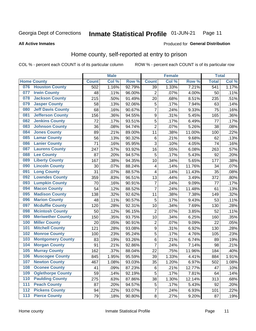#### Inmate Statistical Profile 01-JUN-21 Page 11

**All Active Inmates** 

#### Produced for General Distribution

### Home county, self-reported at entry to prison

COL % - percent each COUNT is of its particular column

|       |                          |              | <b>Male</b> |                  |                         | <b>Female</b> |        | <b>Total</b> |       |
|-------|--------------------------|--------------|-------------|------------------|-------------------------|---------------|--------|--------------|-------|
|       | <b>Home County</b>       | <b>Count</b> | Col %       | Row <sup>%</sup> | <b>Count</b>            | Col %         | Row %  | <b>Total</b> | Col % |
| 076   | <b>Houston County</b>    | 502          | 1.16%       | 92.79%           | 39                      | 1.33%         | 7.21%  | 541          | 1.17% |
| 077   | <b>Irwin County</b>      | 48           | .11%        | 96.00%           | $\overline{2}$          | .07%          | 4.00%  | 50           | .11%  |
| 078   | <b>Jackson County</b>    | 215          | .50%        | 91.49%           | 20                      | .68%          | 8.51%  | 235          | .51%  |
| 079   | <b>Jasper County</b>     | 58           | .13%        | 92.06%           | 5                       | .17%          | 7.94%  | 63           | .14%  |
| 080   | <b>Jeff Davis County</b> | 68           | .16%        | 90.67%           | 7                       | .24%          | 9.33%  | 75           | .16%  |
| 081   | <b>Jefferson County</b>  | 156          | .36%        | 94.55%           | 9                       | .31%          | 5.45%  | 165          | .36%  |
| 082   | <b>Jenkins County</b>    | 72           | .17%        | 93.51%           | 5                       | .17%          | 6.49%  | 77           | .17%  |
| 083   | <b>Johnson County</b>    | 36           | .08%        | 94.74%           | $\overline{2}$          | .07%          | 5.26%  | 38           | .08%  |
| 084   | <b>Jones County</b>      | 89           | .21%        | 89.00%           | 11                      | .38%          | 11.00% | 100          | .22%  |
| 085   | <b>Lamar County</b>      | 56           | .13%        | 90.32%           | $\,6$                   | .21%          | 9.68%  | 62           | .13%  |
| 086   | <b>Lanier County</b>     | 71           | .16%        | 95.95%           | 3                       | .10%          | 4.05%  | 74           | .16%  |
| 087   | <b>Laurens County</b>    | 247          | .57%        | 93.92%           | 16                      | .55%          | 6.08%  | 263          | .57%  |
| 088   | <b>Lee County</b>        | 87           | .20%        | 94.57%           | 5                       | .17%          | 5.43%  | 92           | .20%  |
| 089   | <b>Liberty County</b>    | 167          | .38%        | 94.35%           | 10                      | .34%          | 5.65%  | 177          | .38%  |
| 090   | <b>Lincoln County</b>    | 30           | .07%        | 88.24%           | 4                       | .14%          | 11.76% | 34           | .07%  |
| 091   | <b>Long County</b>       | 31           | .07%        | 88.57%           | $\overline{\mathbf{4}}$ | .14%          | 11.43% | 35           | .08%  |
| 092   | <b>Lowndes County</b>    | 359          | .83%        | 96.51%           | 13                      | .44%          | 3.49%  | 372          | .80%  |
| 093   | <b>Lumpkin County</b>    | 70           | .16%        | 90.91%           | $\overline{7}$          | .24%          | 9.09%  | 77           | .17%  |
| 094   | <b>Macon County</b>      | 54           | .12%        | 88.52%           | 7                       | .24%          | 11.48% | 61           | .13%  |
| 095   | <b>Madison County</b>    | 138          | .32%        | 92.62%           | 11                      | .38%          | 7.38%  | 149          | .32%  |
| 096   | <b>Marion County</b>     | 48           | .11%        | 90.57%           | 5                       | .17%          | 9.43%  | 53           | .11%  |
| 097   | <b>Mcduffie County</b>   | 120          | .28%        | 92.31%           | 10                      | .34%          | 7.69%  | 130          | .28%  |
| 098   | <b>Mcintosh County</b>   | 50           | .12%        | 96.15%           | $\overline{2}$          | .07%          | 3.85%  | 52           | .11%  |
| 099   | <b>Meriwether County</b> | 150          | .35%        | 93.75%           | 10                      | .34%          | 6.25%  | 160          | .35%  |
| 100   | <b>Miller County</b>     | 20           | .05%        | 90.91%           | $\overline{2}$          | .07%          | 9.09%  | 22           | .05%  |
| 101   | <b>Mitchell County</b>   | 121          | .28%        | 93.08%           | $\boldsymbol{9}$        | .31%          | 6.92%  | 130          | .28%  |
| 102   | <b>Monroe County</b>     | 100          | .23%        | 95.24%           | $\overline{5}$          | .17%          | 4.76%  | 105          | .23%  |
| 103   | <b>Montgomery County</b> | 83           | .19%        | 93.26%           | 6                       | .21%          | 6.74%  | 89           | .19%  |
| 104   | <b>Morgan County</b>     | 91           | .21%        | 92.86%           | $\overline{7}$          | .24%          | 7.14%  | 98           | .21%  |
| 105   | <b>Murray County</b>     | 162          | .37%        | 88.04%           | 22                      | .75%          | 11.96% | 184          | .40%  |
| 106   | <b>Muscogee County</b>   | 845          | 1.95%       | 95.59%           | 39                      | 1.33%         | 4.41%  | 884          | 1.91% |
| 107   | <b>Newton County</b>     | 467          | 1.08%       | 93.03%           | 35                      | 1.20%         | 6.97%  | 502          | 1.08% |
| 108   | <b>Oconee County</b>     | 41           | .09%        | 87.23%           | 6                       | .21%          | 12.77% | 47           | .10%  |
| 109   | <b>Oglethorpe County</b> | 59           | .14%        | 92.19%           | 5                       | .17%          | 7.81%  | 64           | .14%  |
| 110   | <b>Paulding County</b>   | 275          | .63%        | 87.86%           | 38                      | 1.30%         | 12.14% | 313          | .68%  |
| 111   | <b>Peach County</b>      | 87           | .20%        | 94.57%           | 5                       | .17%          | 5.43%  | 92           | .20%  |
| $112$ | <b>Pickens County</b>    | 94           | .22%        | 93.07%           | 7                       | .24%          | 6.93%  | 101          | .22%  |
| 113   | <b>Pierce County</b>     | 79           | .18%        | 90.80%           | $\bf 8$                 | .27%          | 9.20%  | 87           | .19%  |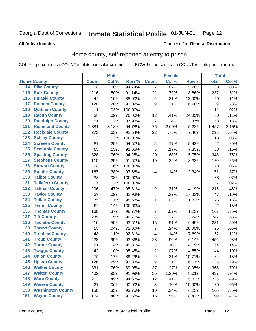#### Inmate Statistical Profile 01-JUN-21 Page 12

**All Active Inmates** 

#### Produced for General Distribution

## Home county, self-reported at entry to prison

COL % - percent each COUNT is of its particular column

|                  |                          |              | <b>Male</b> |                  |                         | <b>Female</b> |        | <b>Total</b>    |       |
|------------------|--------------------------|--------------|-------------|------------------|-------------------------|---------------|--------|-----------------|-------|
|                  | <b>Home County</b>       | <b>Count</b> | Col %       | Row <sup>%</sup> | <b>Count</b>            | Col %         | Row %  | <b>Total</b>    | Col % |
| 114              | <b>Pike County</b>       | 36           | .08%        | 94.74%           | 2                       | .07%          | 5.26%  | $\overline{38}$ | .08%  |
| $\overline{115}$ | <b>Polk County</b>       | 216          | .50%        | 91.14%           | 21                      | .72%          | 8.86%  | 237             | .51%  |
| 116              | <b>Pulaski County</b>    | 44           | .10%        | 88.00%           | $\,6$                   | .21%          | 12.00% | 50              | .11%  |
| 117              | <b>Putnam County</b>     | 120          | .28%        | 93.02%           | 9                       | .31%          | 6.98%  | 129             | .28%  |
| 118              | <b>Quitman County</b>    | 11           | .03%        | 100.00%          |                         |               |        | 11              | .02%  |
| 119              | <b>Rabun County</b>      | 38           | .09%        | 76.00%           | 12                      | .41%          | 24.00% | 50              | .11%  |
| 120              | <b>Randolph County</b>   | 51           | .12%        | 87.93%           | $\overline{7}$          | .24%          | 12.07% | 58              | .13%  |
| 121              | <b>Richmond County</b>   | 1,381        | 3.18%       | 94.78%           | 76                      | 2.60%         | 5.22%  | 1,457           | 3.15% |
| 122              | <b>Rockdale County</b>   | 273          | .63%        | 92.54%           | 22                      | .75%          | 7.46%  | 295             | .64%  |
| 123              | <b>Schley County</b>     | 13           | .03%        | 100.00%          |                         |               |        | 13              | .03%  |
| 124              | <b>Screven County</b>    | 87           | .20%        | 94.57%           | 5                       | .17%          | 5.43%  | 92              | .20%  |
| 125              | <b>Seminole County</b>   | 63           | .15%        | 92.65%           | 5                       | .17%          | 7.35%  | 68              | .15%  |
| 126              | <b>Spalding County</b>   | 328          | .76%        | 94.25%           | 20                      | .68%          | 5.75%  | 348             | .75%  |
| 127              | <b>Stephens County</b>   | 110          | .25%        | 91.67%           | 10                      | .34%          | 8.33%  | 120             | .26%  |
| 128              | <b>Stewart County</b>    | 28           | .06%        | 100.00%          |                         |               |        | 28              | .06%  |
| 129              | <b>Sumter County</b>     | 167          | .38%        | 97.66%           | 4                       | .14%          | 2.34%  | 171             | .37%  |
| 130              | <b>Talbot County</b>     | 33           | .08%        | 100.00%          |                         |               |        | 33              | .07%  |
| 131              | <b>Taliaferro County</b> | 7            | .02%        | 100.00%          |                         |               |        | $\overline{7}$  | .02%  |
| 132              | <b>Tattnall County</b>   | 206          | .47%        | 95.81%           | $\boldsymbol{9}$        | .31%          | 4.19%  | 215             | .46%  |
| 133              | <b>Taylor County</b>     | 39           | .09%        | 82.98%           | 8                       | .27%          | 17.02% | 47              | .10%  |
| 134              | <b>Telfair County</b>    | 75           | .17%        | 98.68%           | 1                       | .03%          | 1.32%  | 76              | .16%  |
| 135              | <b>Terrell County</b>    | 62           | .14%        | 100.00%          |                         |               |        | 62              | .13%  |
| 136              | <b>Thomas County</b>     | 160          | .37%        | 98.77%           | $\overline{c}$          | .07%          | 1.23%  | 162             | .35%  |
| 137              | <b>Tift County</b>       | 239          | .55%        | 96.76%           | 8                       | .27%          | 3.24%  | 247             | .53%  |
| 138              | <b>Toombs County</b>     | 216          | .50%        | 93.51%           | 15                      | .51%          | 6.49%  | 231             | .50%  |
| 139              | <b>Towns County</b>      | 18           | .04%        | 72.00%           | 7                       | .24%          | 28.00% | 25              | .05%  |
| 140              | <b>Treutlen County</b>   | 48           | .11%        | 92.31%           | $\overline{\mathbf{4}}$ | .14%          | 7.69%  | 52              | .11%  |
| 141              | <b>Troup County</b>      | 428          | .99%        | 93.86%           | 28                      | .96%          | 6.14%  | 456             | .98%  |
| 142              | <b>Turner County</b>     | 61           | .14%        | 95.31%           | $\mathbf{3}$            | .10%          | 4.69%  | 64              | .14%  |
| 143              | <b>Twiggs County</b>     | 42           | .10%        | 95.45%           | $\overline{2}$          | .07%          | 4.55%  | 44              | .10%  |
| 144              | <b>Union County</b>      | 75           | .17%        | 89.29%           | $\overline{9}$          | .31%          | 10.71% | 84              | .18%  |
| 145              | <b>Upson County</b>      | 126          | .29%        | 93.33%           | 9                       | .31%          | 6.67%  | 135             | .29%  |
| 146              | <b>Walker County</b>     | 331          | .76%        | 89.95%           | 37                      | 1.27%         | 10.05% | 368             | .79%  |
| 147              | <b>Walton County</b>     | 402          | .93%        | 91.99%           | 35                      | 1.20%         | 8.01%  | 437             | .94%  |
| 148              | <b>Ware County</b>       | 213          | .49%        | 94.67%           | 12                      | .41%          | 5.33%  | 225             | .49%  |
| 149              | <b>Warren County</b>     | 27           | .06%        | 90.00%           | 3                       | .10%          | 10.00% | 30              | .06%  |
| 150              | <b>Washington County</b> | 150          | .35%        | 93.75%           | 10                      | .34%          | 6.25%  | 160             | .35%  |
| 151              | <b>Wayne County</b>      | 174          | .40%        | 91.58%           | 16                      | .55%          | 8.42%  | 190             | .41%  |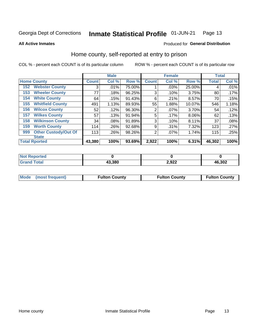#### Inmate Statistical Profile 01-JUN-21 Page 13

**All Active Inmates** 

#### Produced for General Distribution

## Home county, self-reported at entry to prison

COL % - percent each COUNT is of its particular column

|     |                             |              | <b>Male</b> |        |                | <b>Female</b> |        | <b>Total</b> |       |
|-----|-----------------------------|--------------|-------------|--------|----------------|---------------|--------|--------------|-------|
|     | <b>Home County</b>          | <b>Count</b> | Col %       | Row %  | <b>Count</b>   | Col %         | Row %  | <b>Total</b> | Col % |
| 152 | <b>Webster County</b>       | 3            | .01%        | 75.00% |                | .03%          | 25.00% | 4            | .01%  |
| 153 | <b>Wheeler County</b>       | 77           | .18%        | 96.25% | 3              | .10%          | 3.75%  | 80           | .17%  |
| 154 | <b>White County</b>         | 64           | .15%        | 91.43% | 6              | .21%          | 8.57%  | 70           | .15%  |
| 155 | <b>Whitfield County</b>     | 491          | 1.13%       | 89.93% | 55             | 1.88%         | 10.07% | 546          | 1.18% |
| 156 | <b>Wilcox County</b>        | 52           | .12%        | 96.30% | $\overline{2}$ | .07%          | 3.70%  | 54           | .12%  |
| 157 | <b>Wilkes County</b>        | 57           | .13%        | 91.94% | 5              | .17%          | 8.06%  | 62           | .13%  |
| 158 | <b>Wilkinson County</b>     | 34           | .08%        | 91.89% | 3              | .10%          | 8.11%  | 37           | .08%  |
| 159 | <b>Worth County</b>         | 114          | .26%        | 92.68% | 9              | .31%          | 7.32%  | 123          | .27%  |
| 999 | <b>Other Custody/Out Of</b> | 113          | .26%        | 98.26% | 2              | .07%          | 1.74%  | 115          | .25%  |
|     | <b>State</b>                |              |             |        |                |               |        |              |       |
|     | <b>Total Rported</b>        | 43,380       | 100%        | 93.69% | 2,922          | 100%          | 6.31%  | 46,302       | 100%  |

| Reported<br>NOT |        |       |        |
|-----------------|--------|-------|--------|
| <b>Total</b>    | 43,380 | 2,922 | 46,302 |

| Mode (most frequent) | <b>Fulton County</b> | <b>Fulton County</b> | <b>Fulton County</b> |
|----------------------|----------------------|----------------------|----------------------|
|                      |                      |                      |                      |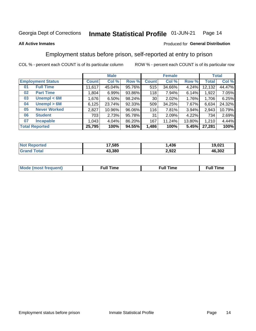#### Inmate Statistical Profile 01-JUN-21 Page 14

#### **All Active Inmates**

#### Produced for General Distribution

## Employment status before prison, self-reported at entry to prison

COL % - percent each COUNT is of its particular column

|                           |              | <b>Male</b> |        |              | <b>Female</b> |          |        | <b>Total</b> |
|---------------------------|--------------|-------------|--------|--------------|---------------|----------|--------|--------------|
| <b>Employment Status</b>  | <b>Count</b> | Col %       | Row %  | <b>Count</b> | Col %         | Row %    | Total  | Col %        |
| <b>Full Time</b><br>01    | 11,617       | 45.04%      | 95.76% | 515          | 34.66%        | 4.24%    | 12,132 | 44.47%       |
| <b>Part Time</b><br>02    | 1,804        | 6.99%       | 93.86% | 118          | 7.94%         | 6.14%    | 1,922  | 7.05%        |
| Unempl $<$ 6M<br>03       | 1,676        | 6.50%       | 98.24% | 30           | 2.02%         | 1.76%    | 1,706  | 6.25%        |
| Unempl > 6M<br>04         | 6,125        | 23.74%      | 92.33% | 509          | 34.25%        | $7.67\%$ | 6,634  | 24.32%       |
| <b>Never Worked</b><br>05 | 2,827        | 10.96%      | 96.06% | 116          | 7.81%         | 3.94%    | 2,943  | 10.79%       |
| <b>Student</b><br>06      | 703          | 2.73%       | 95.78% | 31           | 2.09%         | 4.22%    | 734    | 2.69%        |
| <b>Incapable</b><br>07    | 1,043        | 4.04%       | 86.20% | 167          | 11.24%        | 13.80%   | 1,210  | 4.44%        |
| <b>Total Reported</b>     | 25,795       | 100%        | 94.55% | 1,486        | 100%          | 5.45%    | 27,281 | 100%         |

| Not F<br><b>ported</b> | 17,585 | ,436  | 19,021 |
|------------------------|--------|-------|--------|
| ™otal                  | 43.380 | 2,922 | 46,302 |

| Mc | ----<br>me<br>ш | nc<br>. |
|----|-----------------|---------|
|    |                 |         |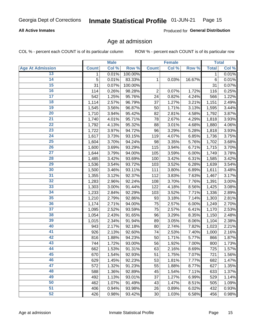#### **All Active Inmates**

Produced for General Distribution

## Age at admission

COL % - percent each COUNT is of its particular column

|                         |              | <b>Male</b> |         |                | <b>Female</b> |        |              | <b>Total</b> |
|-------------------------|--------------|-------------|---------|----------------|---------------|--------|--------------|--------------|
| <b>Age At Admission</b> | <b>Count</b> | Col %       | Row %   | <b>Count</b>   | Col %         | Row %  | <b>Total</b> | Col %        |
| 13                      | 1            | 0.01%       | 100.00% |                |               |        | 1            | 0.01%        |
| $\overline{14}$         | 5            | 0.01%       | 83.33%  | 1              | 0.03%         | 16.67% | 6            | 0.01%        |
| 15                      | 31           | 0.07%       | 100.00% |                |               |        | 31           | 0.07%        |
| 16                      | 114          | 0.26%       | 98.28%  | $\overline{2}$ | 0.07%         | 1.72%  | 116          | 0.25%        |
| $\overline{17}$         | 542          | 1.25%       | 95.76%  | 24             | 0.82%         | 4.24%  | 566          | 1.22%        |
| 18                      | 1,114        | 2.57%       | 96.79%  | 37             | 1.27%         | 3.21%  | 1,151        | 2.49%        |
| 19                      | 1,545        | 3.56%       | 96.87%  | 50             | 1.71%         | 3.13%  | 1,595        | 3.44%        |
| 20                      | 1,710        | 3.94%       | 95.42%  | 82             | 2.81%         | 4.58%  | 1,792        | 3.87%        |
| $\overline{21}$         | 1,740        | 4.01%       | 95.71%  | 78             | 2.67%         | 4.29%  | 1,818        | 3.93%        |
| $\overline{22}$         | 1,792        | 4.13%       | 95.32%  | 88             | 3.01%         | 4.68%  | 1,880        | 4.06%        |
| 23                      | 1,722        | 3.97%       | 94.72%  | 96             | 3.29%         | 5.28%  | 1,818        | 3.93%        |
| 24                      | 1,617        | 3.73%       | 93.15%  | 119            | 4.07%         | 6.85%  | 1,736        | 3.75%        |
| $\overline{25}$         | 1,604        | 3.70%       | 94.24%  | 98             | 3.35%         | 5.76%  | 1,702        | 3.68%        |
| 26                      | 1,600        | 3.69%       | 93.29%  | 115            | 3.94%         | 6.71%  | 1,715        | 3.70%        |
| $\overline{27}$         | 1,644        | 3.79%       | 94.00%  | 105            | 3.59%         | 6.00%  | 1,749        | 3.78%        |
| 28                      | 1,485        | 3.42%       | 93.69%  | 100            | 3.42%         | 6.31%  | 1,585        | 3.42%        |
| 29                      | 1,536        | 3.54%       | 93.72%  | 103            | 3.52%         | 6.28%  | 1,639        | 3.54%        |
| 30                      | 1,500        | 3.46%       | 93.11%  | 111            | 3.80%         | 6.89%  | 1,611        | 3.48%        |
| 31                      | 1,355        | 3.12%       | 92.37%  | 112            | 3.83%         | 7.63%  | 1,467        | 3.17%        |
| 32                      | 1,283        | 2.96%       | 92.24%  | 108            | 3.70%         | 7.76%  | 1,391        | 3.00%        |
| 33                      | 1,303        | 3.00%       | 91.44%  | 122            | 4.18%         | 8.56%  | 1,425        | 3.08%        |
| 34                      | 1,233        | 2.84%       | 92.29%  | 103            | 3.52%         | 7.71%  | 1,336        | 2.89%        |
| 35                      | 1,210        | 2.79%       | 92.86%  | 93             | 3.18%         | 7.14%  | 1,303        | 2.81%        |
| 36                      | 1,174        | 2.71%       | 94.00%  | 75             | 2.57%         | 6.00%  | 1,249        | 2.70%        |
| $\overline{37}$         | 1,095        | 2.52%       | 93.59%  | 75             | 2.57%         | 6.41%  | 1,170        | 2.53%        |
| 38                      | 1,054        | 2.43%       | 91.65%  | 96             | 3.29%         | 8.35%  | 1,150        | 2.48%        |
| 39                      | 1,015        | 2.34%       | 91.94%  | 89             | 3.05%         | 8.06%  | 1,104        | 2.38%        |
| 40                      | 943          | 2.17%       | 92.18%  | 80             | 2.74%         | 7.82%  | 1,023        | 2.21%        |
| 41                      | 926          | 2.13%       | 92.60%  | 74             | 2.53%         | 7.40%  | 1,000        | 2.16%        |
| 42                      | 816          | 1.88%       | 94.23%  | 50             | 1.71%         | 5.77%  | 866          | 1.87%        |
| 43                      | 744          | 1.72%       | 93.00%  | 56             | 1.92%         | 7.00%  | 800          | 1.73%        |
| 44                      | 662          | 1.53%       | 91.31%  | 63             | 2.16%         | 8.69%  | 725          | 1.57%        |
| 45                      | 670          | 1.54%       | 92.93%  | 51             | 1.75%         | 7.07%  | 721          | 1.56%        |
| 46                      | 629          | 1.45%       | 92.23%  | 53             | 1.81%         | 7.77%  | 682          | 1.47%        |
| 47                      | 572          | 1.32%       | 91.23%  | 55             | 1.88%         | 8.77%  | 627          | 1.35%        |
| 48                      | 588          | 1.36%       | 92.89%  | 45             | 1.54%         | 7.11%  | 633          | 1.37%        |
| 49                      | 492          | 1.13%       | 93.01%  | 37             | 1.27%         | 6.99%  | 529          | 1.14%        |
| 50                      | 462          | 1.07%       | 91.49%  | 43             | 1.47%         | 8.51%  | 505          | 1.09%        |
| $\overline{51}$         | 406          | 0.94%       | 93.98%  | 26             | 0.89%         | 6.02%  | 432          | 0.93%        |
| 52                      | 426          | 0.98%       | 93.42%  | 30             | 1.03%         | 6.58%  | 456          | 0.98%        |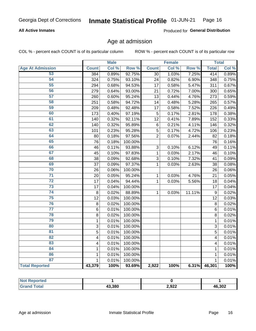#### **All Active Inmates**

Produced for General Distribution

## Age at admission

COL % - percent each COUNT is of its particular column

|                         |              | <b>Male</b> |         |                 | <b>Female</b> |        |              | <b>Total</b> |
|-------------------------|--------------|-------------|---------|-----------------|---------------|--------|--------------|--------------|
| <b>Age At Admission</b> | <b>Count</b> | Col %       | Row %   | <b>Count</b>    | Col %         | Row %  | <b>Total</b> | Col %        |
| 53                      | 384          | 0.89%       | 92.75%  | $\overline{30}$ | 1.03%         | 7.25%  | 414          | 0.89%        |
| 54                      | 324          | 0.75%       | 93.10%  | 24              | 0.82%         | 6.90%  | 348          | 0.75%        |
| 55                      | 294          | 0.68%       | 94.53%  | 17              | 0.58%         | 5.47%  | 311          | 0.67%        |
| 56                      | 279          | 0.64%       | 93.00%  | 21              | 0.72%         | 7.00%  | 300          | 0.65%        |
| 57                      | 260          | 0.60%       | 95.24%  | 13              | 0.44%         | 4.76%  | 273          | 0.59%        |
| 58                      | 251          | 0.58%       | 94.72%  | 14              | 0.48%         | 5.28%  | 265          | 0.57%        |
| 59                      | 209          | 0.48%       | 92.48%  | 17              | 0.58%         | 7.52%  | 226          | 0.49%        |
| 60                      | 173          | 0.40%       | 97.19%  | 5               | 0.17%         | 2.81%  | 178          | 0.38%        |
| 61                      | 140          | 0.32%       | 92.11%  | 12              | 0.41%         | 7.89%  | 152          | 0.33%        |
| 62                      | 140          | 0.32%       | 95.89%  | $\,6$           | 0.21%         | 4.11%  | 146          | 0.32%        |
| 63                      | 101          | 0.23%       | 95.28%  | 5               | 0.17%         | 4.72%  | 106          | 0.23%        |
| 64                      | 80           | 0.18%       | 97.56%  | $\overline{2}$  | 0.07%         | 2.44%  | 82           | 0.18%        |
| 65                      | 76           | 0.18%       | 100.00% |                 |               |        | 76           | 0.16%        |
| 66                      | 46           | 0.11%       | 93.88%  | 3               | 0.10%         | 6.12%  | 49           | 0.11%        |
| 67                      | 45           | 0.10%       | 97.83%  | $\mathbf 1$     | 0.03%         | 2.17%  | 46           | 0.10%        |
| 68                      | 38           | 0.09%       | 92.68%  | 3               | 0.10%         | 7.32%  | 41           | 0.09%        |
| 69                      | 37           | 0.09%       | 97.37%  | 1               | 0.03%         | 2.63%  | 38           | 0.08%        |
| 70                      | 26           | 0.06%       | 100.00% |                 |               |        | 26           | 0.06%        |
| $\overline{71}$         | 20           | 0.05%       | 95.24%  | $\mathbf{1}$    | 0.03%         | 4.76%  | 21           | 0.05%        |
| $\overline{72}$         | 17           | 0.04%       | 94.44%  | $\mathbf{1}$    | 0.03%         | 5.56%  | 18           | 0.04%        |
| $\overline{73}$         | 17           | 0.04%       | 100.00% |                 |               |        | 17           | 0.04%        |
| $\overline{74}$         | 8            | 0.02%       | 88.89%  | $\mathbf{1}$    | 0.03%         | 11.11% | 9            | 0.02%        |
| 75                      | 12           | 0.03%       | 100.00% |                 |               |        | 12           | 0.03%        |
| 76                      | 8            | 0.02%       | 100.00% |                 |               |        | 8            | 0.02%        |
| $\overline{77}$         | $\,6$        | 0.01%       | 100.00% |                 |               |        | 6            | 0.01%        |
| 78                      | 8            | 0.02%       | 100.00% |                 |               |        | 8            | 0.02%        |
| 79                      | $\mathbf{1}$ | 0.01%       | 100.00% |                 |               |        | 1            | 0.01%        |
| 80                      | 3            | 0.01%       | 100.00% |                 |               |        | 3            | 0.01%        |
| $\overline{81}$         | 5            | 0.01%       | 100.00% |                 |               |        | 5            | 0.01%        |
| 82                      | 4            | 0.01%       | 100.00% |                 |               |        | 4            | 0.01%        |
| 83                      | 4            | 0.01%       | 100.00% |                 |               |        | 4            | 0.01%        |
| 84                      | $\mathbf{1}$ | 0.01%       | 100.00% |                 |               |        | $\mathbf{1}$ | 0.01%        |
| 86                      | $\mathbf 1$  | 0.01%       | 100.00% |                 |               |        | 1            | 0.01%        |
| 87                      | $\mathbf{1}$ | 0.01%       | 100.00% |                 |               |        | $\mathbf{1}$ | 0.01%        |
| <b>Total Reported</b>   | 43,379       | 100%        | 93.69%  | 2,922           | 100%          | 6.31%  | 46,301       | 100%         |

| <b>Reported</b><br>NOT. |        |       |        |
|-------------------------|--------|-------|--------|
| ⊺ota⊾                   | 43,380 | 2,922 | 46,302 |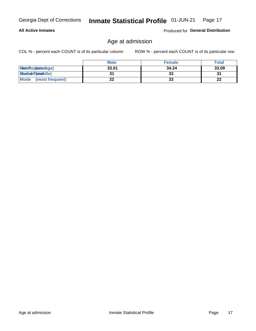#### **All Active Inmates**

Produced for General Distribution

## Age at admission

COL % - percent each COUNT is of its particular column

|                         | <b>Male</b> | <b>Female</b> | <b>Total</b> |
|-------------------------|-------------|---------------|--------------|
| MetaRep(arterdage)      | 33.01       | 34.24         | 33.09        |
| <b>MeatianTotaddle)</b> |             | 33            | 31           |
| Mode<br>(most frequent) | 22          | 33            | 22           |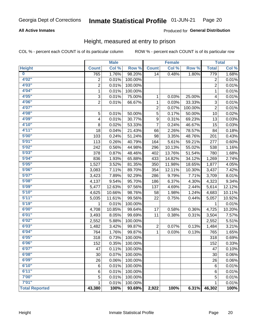#### **All Active Inmates**

#### Produced for General Distribution

## Height, measured at entry to prison

COL % - percent each COUNT is of its particular column

|                       |                | <b>Male</b> |         |                | <b>Female</b> |         |                 | <b>Total</b> |
|-----------------------|----------------|-------------|---------|----------------|---------------|---------|-----------------|--------------|
| <b>Height</b>         | <b>Count</b>   | Col %       | Row %   | <b>Count</b>   | Col %         | Row %   | <b>Total</b>    | Col %        |
| $\bf{0}$              | 765            | 1.76%       | 98.20%  | 14             | 0.48%         | 1.80%   | 779             | 1.68%        |
| 4'02''                | $\overline{2}$ | 0.01%       | 100.00% |                |               |         | 2               | 0.01%        |
| 4'03''                | $\overline{2}$ | 0.01%       | 100.00% |                |               |         | $\overline{2}$  | 0.01%        |
| 4'04"                 | $\mathbf 1$    | 0.01%       | 100.00% |                |               |         | $\mathbf 1$     | 0.01%        |
| 4'05"                 | 3              | 0.01%       | 75.00%  | 1              | 0.03%         | 25.00%  | 4               | 0.01%        |
| 4'06"                 | $\overline{2}$ | 0.01%       | 66.67%  | $\mathbf{1}$   | 0.03%         | 33.33%  | $\sqrt{3}$      | 0.01%        |
| 4'07"                 |                |             |         | $\overline{2}$ | 0.07%         | 100.00% | $\overline{2}$  | 0.01%        |
| 4'08"                 | 5              | 0.01%       | 50.00%  | 5              | 0.17%         | 50.00%  | 10              | 0.02%        |
| 4'09"                 | 4              | 0.01%       | 30.77%  | 9              | 0.31%         | 69.23%  | 13              | 0.03%        |
| 4'10"                 | 8              | 0.02%       | 53.33%  | $\overline{7}$ | 0.24%         | 46.67%  | 15              | 0.03%        |
| 4'11''                | 18             | 0.04%       | 21.43%  | 66             | 2.26%         | 78.57%  | 84              | 0.18%        |
| 5'00''                | 103            | 0.24%       | 51.24%  | 98             | 3.35%         | 48.76%  | 201             | 0.43%        |
| 5'01"                 | 113            | 0.26%       | 40.79%  | 164            | 5.61%         | 59.21%  | 277             | 0.60%        |
| 5'02"                 | 242            | 0.56%       | 44.98%  | 296            | 10.13%        | 55.02%  | 538             | 1.16%        |
| 5'03''                | 378            | 0.87%       | 48.46%  | 402            | 13.76%        | 51.54%  | 780             | 1.68%        |
| 5'04"                 | 836            | 1.93%       | 65.88%  | 433            | 14.82%        | 34.12%  | 1,269           | 2.74%        |
| 5'05"                 | 1,527          | 3.52%       | 81.35%  | 350            | 11.98%        | 18.65%  | 1,877           | 4.05%        |
| 5'06''                | 3,083          | 7.11%       | 89.70%  | 354            | 12.11%        | 10.30%  | 3,437           | 7.42%        |
| 5'07"                 | 3,423          | 7.89%       | 92.29%  | 286            | 9.79%         | 7.71%   | 3,709           | 8.01%        |
| 5'08''                | 4,137          | 9.54%       | 95.70%  | 186            | 6.37%         | 4.30%   | 4,323           | 9.34%        |
| 5'09''                | 5,477          | 12.63%      | 97.56%  | 137            | 4.69%         | 2.44%   | 5,614           | 12.12%       |
| 5'10''                | 4,625          | 10.66%      | 98.76%  | 58             | 1.98%         | 1.24%   | 4,683           | 10.11%       |
| 5'11''                | 5,035          | 11.61%      | 99.56%  | 22             | 0.75%         | 0.44%   | 5,057           | 10.92%       |
| 5'19''                | 1              | 0.01%       | 100.00% |                |               |         | 1               | 0.01%        |
| 6'00''                | 4,708          | 10.85%      | 99.64%  | 17             | 0.58%         | 0.36%   | 4,725           | 10.20%       |
| 6'01''                | 3,493          | 8.05%       | 99.69%  | 11             | 0.38%         | 0.31%   | 3,504           | 7.57%        |
| 6'02"                 | 2,552          | 5.88%       | 100.00% |                |               |         | 2,552           | 5.51%        |
| 6'03''                | 1,482          | 3.42%       | 99.87%  | $\overline{c}$ | 0.07%         | 0.13%   | 1,484           | 3.21%        |
| 6'04"                 | 764            | 1.76%       | 99.87%  | $\mathbf{1}$   | 0.03%         | 0.13%   | 765             | 1.65%        |
| 6'05"                 | 318            | 0.73%       | 100.00% |                |               |         | 318             | 0.69%        |
| 6'06''                | 152            | 0.35%       | 100.00% |                |               |         | 152             | 0.33%        |
| 6'07"                 | 47             | 0.11%       | 100.00% |                |               |         | $\overline{47}$ | 0.10%        |
| 6'08''                | 30             | 0.07%       | 100.00% |                |               |         | 30              | 0.06%        |
| 6'09''                | 26             | 0.06%       | 100.00% |                |               |         | 26              | 0.06%        |
| 6'10''                | 6              | 0.01%       | 100.00% |                |               |         | 6               | 0.01%        |
| 6'11''                | 6              | 0.01%       | 100.00% |                |               |         | 6               | 0.01%        |
| 7'00''                | 5              | 0.01%       | 100.00% |                |               |         | 5               | 0.01%        |
| 7'01''                | 1              | 0.01%       | 100.00% |                |               |         | 1               | 0.01%        |
| <b>Total Reported</b> | 43,380         | 100%        | 93.69%  | 2,922          | 100%          | 6.31%   | 46,302          | 100%         |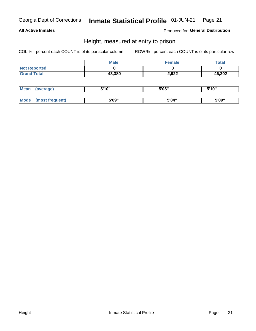#### **All Active Inmates**

Produced for General Distribution

## Height, measured at entry to prison

COL % - percent each COUNT is of its particular column

|                     | <b>Male</b> | Female | $\tau$ otal |
|---------------------|-------------|--------|-------------|
| <b>Not Reported</b> |             |        |             |
| <b>Grand Total</b>  | 43,380      | 2,922  | 46,302      |

| <b>Mean</b> | erage) | 5'10" | 5'05" | <b>CIA AIL</b><br>. . |
|-------------|--------|-------|-------|-----------------------|
|             |        |       |       |                       |
| <b>Mode</b> |        | 5'09" | 5'04" | 5'09"                 |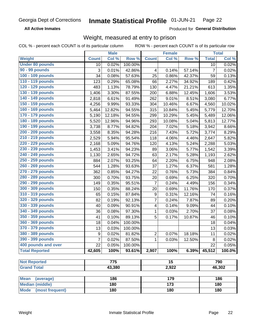**All Active Inmates** 

Produced for General Distribution

## Weight, measured at entry to prison

COL % - percent each COUNT is of its particular column ROW % - percent each COUNT is of its particular row

|                                |              | <b>Male</b> |         |                | <b>Female</b>   |        |                | <b>Total</b> |
|--------------------------------|--------------|-------------|---------|----------------|-----------------|--------|----------------|--------------|
| Weight                         | <b>Count</b> | Col %       | Row %   | <b>Count</b>   | Col %           | Row %  | <b>Total</b>   | Col %        |
| <b>Under 80 pounds</b>         | 10           | 0.02%       | 100.00% |                |                 |        | 10             | 0.02%        |
| 90 - 99 pounds                 | 3            | 0.01%       | 42.86%  | 4              | 0.14%           | 57.14% | $\overline{7}$ | 0.02%        |
| 100 - 109 pounds               | 34           | 0.08%       | 57.63%  | 25             | 0.86%           | 42.37% | 59             | 0.13%        |
| 110 - 119 pounds               | 123          | 0.29%       | 65.08%  | 66             | 2.27%           | 34.92% | 189            | 0.42%        |
| 120 - 129 pounds               | 483          | 1.13%       | 78.79%  | 130            | 4.47%           | 21.21% | 613            | 1.35%        |
| 130 - 139 pounds               | 1,406        | 3.30%       | 87.55%  | 200            | 6.88%           | 12.45% | 1,606          | 3.53%        |
| 140 - 149 pounds               | 2,818        | 6.61%       | 91.49%  | 262            | 9.01%           | 8.51%  | 3,080          | 6.77%        |
| 150 - 159 pounds               | 4,256        | 9.99%       | 93.33%  | 304            | 10.46%          | 6.67%  | 4,560          | 10.02%       |
| 160 - 169 pounds               | 5,464        | 12.82%      | 94.55%  | 315            | 10.84%          | 5.45%  | 5,779          | 12.70%       |
| 170 - 179 pounds               | 5,190        | 12.18%      | 94.55%  | 299            | 10.29%          | 5.45%  | 5,489          | 12.06%       |
| 180 - 189 pounds               | 5,520        | 12.96%      | 94.96%  | 293            | 10.08%          | 5.04%  | 5,813          | 12.77%       |
| 190 - 199 pounds               | 3,738        | 8.77%       | 94.82%  | 204            | 7.02%           | 5.18%  | 3,942          | 8.66%        |
| 200 - 209 pounds               | 3,558        | 8.35%       | 94.28%  | 216            | 7.43%           | 5.72%  | 3,774          | 8.29%        |
| 210 - 219 pounds               | 2,529        | 5.94%       | 95.54%  | 118            | 4.06%           | 4.46%  | 2,647          | 5.82%        |
| 220 - 229 pounds               | 2,168        | 5.09%       | 94.76%  | 120            | 4.13%           | 5.24%  | 2,288          | 5.03%        |
| 230 - 239 pounds               | 1,453        | 3.41%       | 94.23%  | 89             | 3.06%           | 5.77%  | 1,542          | 3.39%        |
| 240 - 249 pounds               | 1,130        | 2.65%       | 94.72%  | 63             | 2.17%           | 5.28%  | 1,193          | 2.62%        |
| 250 - 259 pounds               | 884          | 2.07%       | 93.25%  | 64             | 2.20%           | 6.75%  | 948            | 2.08%        |
| 260 - 269 pounds               | 544          | 1.28%       | 93.63%  | 37             | 1.27%           | 6.37%  | 581            | 1.28%        |
| 270 - 279 pounds               | 362          | 0.85%       | 94.27%  | 22             | 0.76%           | 5.73%  | 384            | 0.84%        |
| 280 - 289 pounds               | 300          | 0.70%       | 93.75%  | 20             | 0.69%           | 6.25%  | 320            | 0.70%        |
| 290 - 299 pounds               | 149          | 0.35%       | 95.51%  | $\overline{7}$ | 0.24%           | 4.49%  | 156            | 0.34%        |
| 300 - 309 pounds               | 150          | 0.35%       | 88.24%  | 20             | 0.69%           | 11.76% | 170            | 0.37%        |
| 310 - 319 pounds               | 65           | 0.15%       | 87.84%  | 9              | 0.31%           | 12.16% | 74             | 0.16%        |
| 320 - 329 pounds               | 82           | 0.19%       | 92.13%  | $\overline{7}$ | 0.24%           | 7.87%  | 89             | 0.20%        |
| 330 - 339 pounds               | 40           | 0.09%       | 90.91%  | 4              | 0.14%           | 9.09%  | 44             | 0.10%        |
| 340 - 349 pounds               | 36           | 0.08%       | 97.30%  | $\mathbf 1$    | 0.03%           | 2.70%  | 37             | 0.08%        |
| 350 - 359 pounds               | 41           | 0.10%       | 89.13%  | 5              | 0.17%           | 10.87% | 46             | 0.10%        |
| 360 - 369 pounds               | 18           | 0.04%       | 100.00% |                |                 |        | 18             | 0.04%        |
| 370 - 379 pounds               | 13           | 0.03%       | 100.00% |                |                 |        | 13             | 0.03%        |
| 380 - 389 pounds               | 9            | 0.02%       | 81.82%  | $\overline{2}$ | 0.07%           | 18.18% | 11             | 0.02%        |
| 390 - 399 pounds               | 7            | 0.02%       | 87.50%  | 1              | 0.03%           | 12.50% | 8              | 0.02%        |
| 400 pounds and over            | 22           | 0.05%       | 100.00% |                |                 |        | 22             | 0.05%        |
| <b>Total Reported</b>          | 42,605       | 100%        | 93.61%  | 2,907          | 100%            | 6.39%  | 45,512         | 100.0%       |
|                                |              |             |         |                |                 |        |                |              |
| <b>Not Reported</b>            |              | 775         |         |                | $\overline{15}$ |        |                | 790          |
| <b>Grand Total</b>             |              | 43,380      |         |                | 2,922           |        |                | 46,302       |
| <b>Mean</b><br>(average)       |              | 186         |         |                | 179             |        |                | 186          |
| <b>Median (middle)</b>         |              | 180         |         |                | $\frac{1}{173}$ |        |                | 180          |
| <b>Mode</b><br>(most frequent) |              | 180         |         |                | 180             |        |                | 180          |
|                                |              |             |         |                |                 |        |                |              |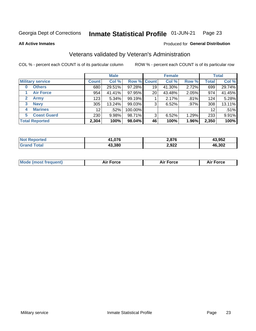#### Inmate Statistical Profile 01-JUN-21 Page 23

**All Active Inmates** 

#### Produced for General Distribution

## Veterans validated by Veteran's Administration

COL % - percent each COUNT is of its particular column

|                             | <b>Male</b>     |        |                    | <b>Female</b> |        |       | <b>Total</b>      |        |
|-----------------------------|-----------------|--------|--------------------|---------------|--------|-------|-------------------|--------|
| <b>Military service</b>     | <b>Count</b>    | Col %  | <b>Row % Count</b> |               | Col %  | Row % | <b>Total</b>      | Col %  |
| <b>Others</b><br>0          | 680             | 29.51% | 97.28%             | 19            | 41.30% | 2.72% | 699               | 29.74% |
| <b>Air Force</b>            | 954             | 41.41% | 97.95%             | 20            | 43.48% | 2.05% | 974               | 41.45% |
| <b>Army</b><br>$\mathbf{2}$ | 123             | 5.34%  | 99.19%             |               | 2.17%  | .81%  | 124               | 5.28%  |
| <b>Navy</b><br>3            | 305             | 13.24% | 99.03%             | 3             | 6.52%  | .97%  | 308               | 13.11% |
| <b>Marines</b><br>4         | 12 <sub>1</sub> | .52%   | 100.00%            |               |        |       | $12 \overline{ }$ | .51%   |
| <b>Coast Guard</b><br>5.    | 230             | 9.98%  | 98.71%             | 3             | 6.52%  | 1.29% | 233               | 9.91%  |
| <b>Total Reported</b>       | 2,304           | 100%   | 98.04%             | 46            | 100%   | 1.96% | 2,350             | 100%   |

| N | በ76    | 2,876 | פאס פו<br>.JJ4 |
|---|--------|-------|----------------|
|   | 43.380 | 2,922 | 16,302<br>46   |

| Mode (most frequent) | Force | <b>Force</b> | <b>orce</b> |
|----------------------|-------|--------------|-------------|
|                      |       |              |             |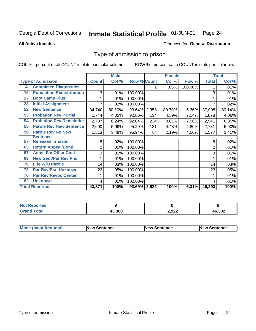#### Inmate Statistical Profile 01-JUN-21 Page 24

**All Active Inmates** 

#### **Produced for General Distribution**

## Type of admission to prison

COL % - percent each COUNT is of its particular column

|    |                                  |              | <b>Male</b> |                    | <b>Female</b> |        |         | <b>Total</b> |        |
|----|----------------------------------|--------------|-------------|--------------------|---------------|--------|---------|--------------|--------|
|    | <b>Type of Admission</b>         | <b>Count</b> | Col %       | <b>Row % Count</b> |               | Col %  | Row %   | <b>Total</b> | Col %  |
| 4  | <b>Completed Diagnostics</b>     |              |             |                    |               | .03%   | 100.00% |              | .01%   |
| 16 | <b>Population Redistribution</b> | 3            | .01%        | 100.00%            |               |        |         | 3            | .01%   |
| 27 | <b>Boot Camp Plus</b>            |              | .01%        | 100.00%            |               |        |         |              | .01%   |
| 28 | <b>Initial Assignment</b>        |              | .02%        | 100.00%            |               |        |         | 7            | .02%   |
| 52 | <b>New Sentence</b>              | 34,740       | 80.10%      | 93.64% 2,358       |               | 80.70% | 6.36%   | 37,098       | 80.14% |
| 53 | <b>Probation Rev Partial</b>     | 1,744        | 4.02%       | 92.86%             | 134           | 4.59%  | 7.14%   | 1,878        | 4.06%  |
| 54 | <b>Probation Rev Remainder</b>   | 2,707        | 6.24%       | 92.04%             | 234           | 8.01%  | 7.96%   | 2,941        | 6.35%  |
| 55 | <b>Parole Rev New Sentence</b>   | 2,600        | 5.99%       | 95.20%             | 131           | 4.48%  | 4.80%   | 2,731        | 5.90%  |
| 56 | <b>Parole Rev No New</b>         | 1,513        | 3.49%       | 95.94%             | 64            | 2.19%  | 4.06%   | 1,577        | 3.41%  |
|    | <b>Sentence</b>                  |              |             |                    |               |        |         |              |        |
| 57 | <b>Released In Error</b>         | 8            | .02%        | 100.00%            |               |        |         | 8            | .02%   |
| 65 | <b>Return Appeal/Bond</b>        | 2            | .01%        | 100.00%            |               |        |         | 2            | .01%   |
| 67 | <b>Admit Fm Other Cust</b>       | 3            | .01%        | 100.00%            |               |        |         | 3            | .01%   |
| 69 | <b>New Sent/Par Rev Pnd</b>      |              | .01%        | 100.00%            |               |        |         |              | .01%   |
| 70 | <b>Life W/O Parole</b>           | 14           | .03%        | 100.00%            |               |        |         | 14           | .03%   |
| 72 | <b>Par Rev/Rsn Unknown</b>       | 23           | .05%        | 100.00%            |               |        |         | 23           | .05%   |
| 76 | <b>Par Rev/Revoc Center</b>      |              | .01%        | 100.00%            |               |        |         |              | .01%   |
| 82 | <b>Unknown</b>                   | 4            | .01%        | 100.00%            |               |        |         | 4            | .01%   |
|    | <b>Total Reported</b>            | 43,371       | 100%        | 93.69% 2,922       |               | 100%   | 6.31%   | 46,293       | 100%   |

| <b>Not</b><br><b>rted</b> |        |             |              |
|---------------------------|--------|-------------|--------------|
| int                       | 13.380 | 2,922<br>__ | 6,302<br>.4h |

| <b>Mode (most frequent)</b> | New Sentence | <b>New Sentence</b> | <b>New Sentence</b> |
|-----------------------------|--------------|---------------------|---------------------|
|                             |              |                     |                     |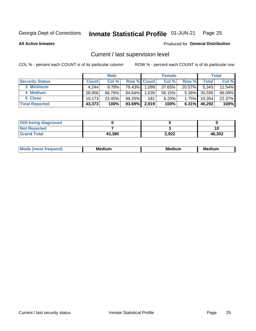#### Inmate Statistical Profile 01-JUN-21 Page 25

**All Active Inmates** 

#### Produced for General Distribution

## Current / last supervision level

COL % - percent each COUNT is of its particular column

|                        | <b>Male</b>  |          |                    | <b>Female</b> |        |          | <b>Total</b> |        |
|------------------------|--------------|----------|--------------------|---------------|--------|----------|--------------|--------|
| <b>Security Status</b> | <b>Count</b> | Col %    | <b>Row % Count</b> |               | Col %  | Row %    | Total        | Col %  |
| 3 Minimum              | 4.244        | $9.78\%$ | 79.43%             | 1,099         | 37.65% | 20.57%   | 5,343        | 11.54% |
| 4 Medium               | 28.956       | 66.76%   | 94.64%             | .639          | 56.15% | $5.36\%$ | 30,595       | 66.09% |
| 5 Close                | 10.173       | 23.45%   | 98.25%             | 181           | 6.20%  | $1.75\%$ | 10,354       | 22.37% |
| <b>Total Reported</b>  | 43,373       | 100%     | 93.69%             | 2,919         | 100%   | $6.31\%$ | 46,292       | 100%   |

| <b>Still being diagnosed</b> |        |       |        |
|------------------------------|--------|-------|--------|
| <b>Not Reported</b>          |        |       |        |
| <b>Grand Total</b>           | 43,380 | 2,922 | 46,302 |

| M | . | -- |
|---|---|----|
|   |   |    |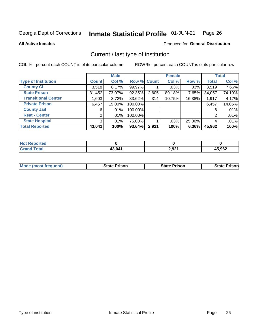#### Inmate Statistical Profile 01-JUN-21 Page 26

**All Active Inmates** 

#### **Produced for General Distribution**

## Current / last type of institution

COL % - percent each COUNT is of its particular column

|                            |                | <b>Male</b> |             |       | <b>Female</b> |        |              | <b>Total</b> |
|----------------------------|----------------|-------------|-------------|-------|---------------|--------|--------------|--------------|
| <b>Type of Institution</b> | <b>Count</b>   | Col %       | Row % Count |       | Col %         | Row %  | <b>Total</b> | Col %        |
| <b>County Ci</b>           | 3,518          | 8.17%       | 99.97%      |       | $.03\%$       | .03%   | 3,519        | 7.66%        |
| <b>State Prison</b>        | 31,452         | 73.07%      | 92.35%      | 2,605 | 89.18%        | 7.65%  | 34,057       | 74.10%       |
| <b>Transitional Center</b> | 1,603          | 3.72%       | 83.62%      | 314   | 10.75%        | 16.38% | 1,917        | 4.17%        |
| <b>Private Prison</b>      | 6,457          | 15.00%      | 100.00%     |       |               |        | 6,457        | 14.05%       |
| <b>County Jail</b>         | 6              | $.01\%$     | 100.00%     |       |               |        | 6            | .01%         |
| <b>Rsat - Center</b>       | 2              | $.01\%$     | 100.00%     |       |               |        | 2            | .01%         |
| <b>State Hospital</b>      | 3 <sup>1</sup> | $.01\%$     | 75.00%      |       | .03%          | 25.00% | 4            | .01%         |
| <b>Total Reported</b>      | 43,041         | 100%        | 93.64%      | 2,921 | 100%          | 6.36%  | 45,962       | 100%         |

| <b>Not Reported</b> |        |       |        |
|---------------------|--------|-------|--------|
| <b>otal</b>         | 43,041 | 2,921 | 15,962 |

| <b>Mode (most frequent)</b> | <b>State Prison</b> | <b>State Prison</b> | <b>State Prison</b> |
|-----------------------------|---------------------|---------------------|---------------------|
|                             |                     |                     |                     |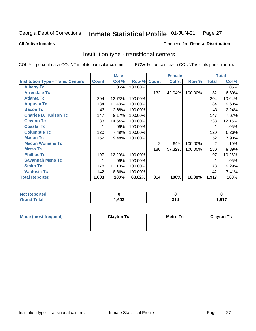#### Inmate Statistical Profile 01-JUN-21 Page 27

**All Active Inmates** 

#### Produced for General Distribution

## Institution type - transitional centers

COL % - percent each COUNT is of its particular column

|                                          |              | <b>Male</b> |         |                | <b>Female</b> |         |              | <b>Total</b> |
|------------------------------------------|--------------|-------------|---------|----------------|---------------|---------|--------------|--------------|
| <b>Institution Type - Trans. Centers</b> | <b>Count</b> | Col %       | Row %   | <b>Count</b>   | Col %         | Row %   | <b>Total</b> | Col %        |
| <b>Albany Tc</b>                         |              | .06%        | 100.00% |                |               |         |              | .05%         |
| <b>Arrendale Tc</b>                      |              |             |         | 132            | 42.04%        | 100.00% | 132          | 6.89%        |
| <b>Atlanta Tc</b>                        | 204          | 12.73%      | 100.00% |                |               |         | 204          | 10.64%       |
| <b>Augusta Tc</b>                        | 184          | 11.48%      | 100.00% |                |               |         | 184          | 9.60%        |
| <b>Bacon Tc</b>                          | 43           | 2.68%       | 100.00% |                |               |         | 43           | 2.24%        |
| <b>Charles D. Hudson Tc</b>              | 147          | 9.17%       | 100.00% |                |               |         | 147          | 7.67%        |
| <b>Clayton Tc</b>                        | 233          | 14.54%      | 100.00% |                |               |         | 233          | 12.15%       |
| <b>Coastal Tc</b>                        |              | .06%        | 100.00% |                |               |         |              | .05%         |
| <b>Columbus Tc</b>                       | 120          | 7.49%       | 100.00% |                |               |         | 120          | 6.26%        |
| <b>Macon Tc</b>                          | 152          | 9.48%       | 100.00% |                |               |         | 152          | 7.93%        |
| <b>Macon Womens Tc</b>                   |              |             |         | $\overline{2}$ | .64%          | 100.00% | 2            | .10%         |
| <b>Metro Tc</b>                          |              |             |         | 180            | 57.32%        | 100.00% | 180          | 9.39%        |
| <b>Phillips Tc</b>                       | 197          | 12.29%      | 100.00% |                |               |         | 197          | 10.28%       |
| <b>Savannah Mens Tc</b>                  | 1            | .06%        | 100.00% |                |               |         |              | .05%         |
| <b>Smith Tc</b>                          | 178          | 11.10%      | 100.00% |                |               |         | 178          | 9.29%        |
| <b>Valdosta Tc</b>                       | 142          | 8.86%       | 100.00% |                |               |         | 142          | 7.41%        |
| <b>Total Reported</b>                    | 1,603        | 100%        | 83.62%  | 314            | 100%          | 16.38%  | 1,917        | 100%         |

| <b>Reported</b><br>' NOT<br> |      |              |               |
|------------------------------|------|--------------|---------------|
| `otal                        | ,603 | о.<br>$\sim$ | 047<br>ı, jir |

| Mode (most frequent) | <b>Clayton Tc</b> | Metro Tc | <b>Clayton Tc</b> |
|----------------------|-------------------|----------|-------------------|
|                      |                   |          |                   |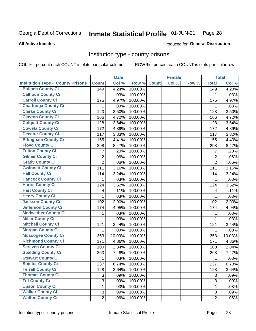#### Inmate Statistical Profile 01-JUN-21 Page 28

**All Active Inmates** 

Produced for General Distribution

#### Institution type - county prisons

COL % - percent each COUNT is of its particular column

|                                          |                | <b>Male</b> |         |              | <b>Female</b> |       |                | <b>Total</b> |
|------------------------------------------|----------------|-------------|---------|--------------|---------------|-------|----------------|--------------|
| <b>Institution Type - County Prisons</b> | <b>Count</b>   | Col %       | Row %   | <b>Count</b> | Col %         | Row % | <b>Total</b>   | Col %        |
| <b>Bulloch County Ci</b>                 | 149            | 4.24%       | 100.00% |              |               |       | 149            | 4.23%        |
| <b>Calhoun County Ci</b>                 | 1              | .03%        | 100.00% |              |               |       | 1              | .03%         |
| <b>Carroll County Ci</b>                 | 175            | 4.97%       | 100.00% |              |               |       | 175            | 4.97%        |
| <b>Chattooga County Ci</b>               | 1              | .03%        | 100.00% |              |               |       | 1              | .03%         |
| <b>Clarke County Ci</b>                  | 123            | 3.50%       | 100.00% |              |               |       | 123            | 3.50%        |
| <b>Clayton County Ci</b>                 | 166            | 4.72%       | 100.00% |              |               |       | 166            | 4.72%        |
| <b>Colquitt County Ci</b>                | 128            | 3.64%       | 100.00% |              |               |       | 128            | 3.64%        |
| <b>Coweta County Ci</b>                  | 172            | 4.89%       | 100.00% |              |               |       | 172            | 4.89%        |
| <b>Decatur County Ci</b>                 | 117            | 3.33%       | 100.00% |              |               |       | 117            | 3.32%        |
| <b>Effingham County Ci</b>               | 155            | 4.41%       | 100.00% |              |               |       | 155            | 4.40%        |
| <b>Floyd County Ci</b>                   | 298            | 8.47%       | 100.00% |              |               |       | 298            | 8.47%        |
| <b>Fulton County Ci</b>                  | 7              | .20%        | 100.00% |              |               |       | 7              | .20%         |
| <b>Gilmer County Ci</b>                  | $\overline{2}$ | .06%        | 100.00% |              |               |       | $\overline{2}$ | .06%         |
| <b>Grady County Ci</b>                   | $\overline{2}$ | .06%        | 100.00% |              |               |       | $\overline{2}$ | .06%         |
| <b>Gwinnett County Ci</b>                | 111            | 3.16%       | 100.00% |              |               |       | 111            | 3.15%        |
| <b>Hall County Ci</b>                    | 114            | 3.24%       | 100.00% |              |               |       | 114            | 3.24%        |
| <b>Hancock County Ci</b>                 | 1              | .03%        | 100.00% |              |               |       | $\mathbf{1}$   | .03%         |
| <b>Harris County Ci</b>                  | 124            | 3.52%       | 100.00% |              |               |       | 124            | 3.52%        |
| <b>Hart County Ci</b>                    | 4              | .11%        | 100.00% |              |               |       | 4              | .11%         |
| <b>Henry County Ci</b>                   | $\mathbf{1}$   | .03%        | 100.00% |              |               |       | 1              | .03%         |
| <b>Jackson County Ci</b>                 | 102            | 2.90%       | 100.00% |              |               |       | 102            | 2.90%        |
| <b>Jefferson County Ci</b>               | 174            | 4.95%       | 100.00% |              |               |       | 174            | 4.94%        |
| <b>Meriwether County Ci</b>              | 1              | .03%        | 100.00% |              |               |       | 1              | .03%         |
| <b>Miller County Ci</b>                  | $\mathbf 1$    | .03%        | 100.00% |              |               |       | $\mathbf{1}$   | .03%         |
| <b>Mitchell County Ci</b>                | 121            | 3.44%       | 100.00% |              |               |       | 121            | 3.44%        |
| <b>Morgan County Ci</b>                  | 1              | .03%        | 100.00% |              |               |       | 1              | .03%         |
| <b>Muscogee County Ci</b>                | 353            | 10.03%      | 100.00% |              |               |       | 353            | 10.03%       |
| <b>Richmond County Ci</b>                | 171            | 4.86%       | 100.00% |              |               |       | 171            | 4.86%        |
| <b>Screven County Ci</b>                 | 100            | 2.84%       | 100.00% |              |               |       | 100            | 2.84%        |
| <b>Spalding County Ci</b>                | 263            | 7.48%       | 100.00% |              |               |       | 263            | 7.47%        |
| <b>Stewart County Ci</b>                 | 1              | .03%        | 100.00% |              |               |       | 1              | .03%         |
| <b>Sumter County Ci</b>                  | 237            | 6.74%       | 100.00% |              |               |       | 237            | 6.73%        |
| <b>Terrell County Ci</b>                 | 128            | 3.64%       | 100.00% |              |               |       | 128            | 3.64%        |
| <b>Thomas County Ci</b>                  | 3              | .09%        | 100.00% |              |               |       | 3              | .09%         |
| <b>Tift County Ci</b>                    | $\mathfrak{S}$ | .09%        | 100.00% |              |               |       | 3              | .09%         |
| <b>Upson County Ci</b>                   | 1              | .03%        | 100.00% |              |               |       | $\mathbf{1}$   | .03%         |
| <b>Walker County Ci</b>                  | 3              | .09%        | 100.00% |              |               |       | 3              | .09%         |
| <b>Walton County Ci</b>                  | $\overline{2}$ | .06%        | 100.00% |              |               |       | $\overline{2}$ | .06%         |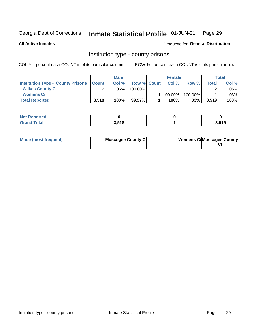#### Inmate Statistical Profile 01-JUN-21 Page 29

**All Active Inmates** 

Produced for General Distribution

### Institution type - county prisons

COL % - percent each COUNT is of its particular column

|                                                    |        | <b>Male</b> |                    | <b>Female</b> |            |       | <b>Total</b> |
|----------------------------------------------------|--------|-------------|--------------------|---------------|------------|-------|--------------|
| <b>Institution Type - County Prisons   Count  </b> |        | Col%        | <b>Row % Count</b> | Col %         | Row %      | Total | Col %        |
| <b>Wilkes County Ci</b>                            | $\sim$ | $.06\%$     | $100.00\%$         |               |            |       | .06% l       |
| <b>Womens Ci</b>                                   |        |             |                    | 1   100.00%   | $100.00\%$ |       | .03% l       |
| <b>Total Reported</b>                              | 3,518  | 100%        | 99.97%             | 100%          | $.03\%$    | 3,519 | 100%         |

| ported<br><b>NOT</b> |       |       |
|----------------------|-------|-------|
| <b>otal</b>          | 3.518 | 3,519 |

| Mode (most frequent) | <b>Muscogee County Ci</b> | <b>Womens Ci</b> Muscogee County |
|----------------------|---------------------------|----------------------------------|
|----------------------|---------------------------|----------------------------------|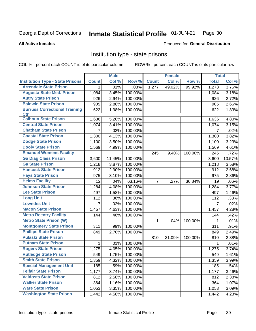#### Inmate Statistical Profile 01-JUN-21 Page 30

**All Active Inmates** 

#### **Produced for General Distribution**

### Institution type - state prisons

COL % - percent each COUNT is of its particular column

|                                         |              | <b>Male</b> |         |                    | <b>Female</b> |         | <b>Total</b> |        |
|-----------------------------------------|--------------|-------------|---------|--------------------|---------------|---------|--------------|--------|
| <b>Institution Type - State Prisons</b> | <b>Count</b> | Col %       | Row %   | <b>Count</b>       | Col %         | Row %   | <b>Total</b> | Col %  |
| <b>Arrendale State Prison</b>           | 1            | .01%        | .08%    | $\overline{1,277}$ | 49.02%        | 99.92%  | 1,278        | 3.75%  |
| <b>Augusta State Med. Prison</b>        | 1,084        | 3.45%       | 100.00% |                    |               |         | 1,084        | 3.18%  |
| <b>Autry State Prison</b>               | 926          | 2.94%       | 100.00% |                    |               |         | 926          | 2.72%  |
| <b>Baldwin State Prison</b>             | 905          | 2.88%       | 100.00% |                    |               |         | 905          | 2.66%  |
| <b>Burruss Correctional Training</b>    | 622          | 1.98%       | 100.00% |                    |               |         | 622          | 1.83%  |
| <b>Ctr</b>                              |              |             |         |                    |               |         |              |        |
| <b>Calhoun State Prison</b>             | 1,636        | 5.20%       | 100.00% |                    |               |         | 1,636        | 4.80%  |
| <b>Central State Prison</b>             | 1,074        | 3.41%       | 100.00% |                    |               |         | 1,074        | 3.15%  |
| <b>Chatham State Prison</b>             | 7            | .02%        | 100.00% |                    |               |         | 7            | .02%   |
| <b>Coastal State Prison</b>             | 1,300        | 4.13%       | 100.00% |                    |               |         | 1,300        | 3.82%  |
| <b>Dodge State Prison</b>               | 1,100        | 3.50%       | 100.00% |                    |               |         | 1,100        | 3.23%  |
| <b>Dooly State Prison</b>               | 1,569        | 4.99%       | 100.00% |                    |               |         | 1,569        | 4.61%  |
| <b>Emanuel Womens Facility</b>          |              |             |         | 245                | 9.40%         | 100.00% | 245          | .72%   |
| <b>Ga Diag Class Prison</b>             | 3,600        | 11.45%      | 100.00% |                    |               |         | 3,600        | 10.57% |
| <b>Ga State Prison</b>                  | 1,218        | 3.87%       | 100.00% |                    |               |         | 1,218        | 3.58%  |
| <b>Hancock State Prison</b>             | 912          | 2.90%       | 100.00% |                    |               |         | 912          | 2.68%  |
| <b>Hays State Prison</b>                | 975          | 3.10%       | 100.00% |                    |               |         | 975          | 2.86%  |
| <b>Helms Facility</b>                   | 12           | .04%        | 63.16%  | $\overline{7}$     | .27%          | 36.84%  | 19           | .06%   |
| <b>Johnson State Prison</b>             | 1,284        | 4.08%       | 100.00% |                    |               |         | 1,284        | 3.77%  |
| <b>Lee State Prison</b>                 | 497          | 1.58%       | 100.00% |                    |               |         | 497          | 1.46%  |
| <b>Long Unit</b>                        | 112          | .36%        | 100.00% |                    |               |         | 112          | .33%   |
| <b>Lowndes Unit</b>                     | 7            | .02%        | 100.00% |                    |               |         | 7            | .02%   |
| <b>Macon State Prison</b>               | 1,457        | 4.63%       | 100.00% |                    |               |         | 1,457        | 4.28%  |
| <b>Metro Reentry Facility</b>           | 144          | .46%        | 100.00% |                    |               |         | 144          | .42%   |
| <b>Metro State Prison (W)</b>           |              |             |         | 1                  | .04%          | 100.00% | 1            | .01%   |
| <b>Montgomery State Prison</b>          | 311          | .99%        | 100.00% |                    |               |         | 311          | .91%   |
| <b>Phillips State Prison</b>            | 849          | 2.70%       | 100.00% |                    |               |         | 849          | 2.49%  |
| <b>Pulaski State Prison</b>             |              |             |         | 810                | 31.09%        | 100.00% | 810          | 2.38%  |
| <b>Putnam State Prison</b>              | 1            | .01%        | 100.00% |                    |               |         | 1            | .01%   |
| <b>Rogers State Prison</b>              | 1,275        | 4.05%       | 100.00% |                    |               |         | 1,275        | 3.74%  |
| <b>Rutledge State Prison</b>            | 549          | 1.75%       | 100.00% |                    |               |         | 549          | 1.61%  |
| <b>Smith State Prison</b>               | 1,359        | $4.32\%$    | 100.00% |                    |               |         | 1,359        | 3.99%  |
| <b>Special Management Unit</b>          | 185          | .59%        | 100.00% |                    |               |         | 185          | .54%   |
| <b>Telfair State Prison</b>             | 1,177        | 3.74%       | 100.00% |                    |               |         | 1,177        | 3.46%  |
| <b>Valdosta State Prison</b>            | 812          | 2.58%       | 100.00% |                    |               |         | 812          | 2.38%  |
| <b>Walker State Prison</b>              | 364          | 1.16%       | 100.00% |                    |               |         | 364          | 1.07%  |
| <b>Ware State Prison</b>                | 1,053        | 3.35%       | 100.00% |                    |               |         | 1,053        | 3.09%  |
| <b>Washington State Prison</b>          | 1,442        | 4.58%       | 100.00% |                    |               |         | 1,442        | 4.23%  |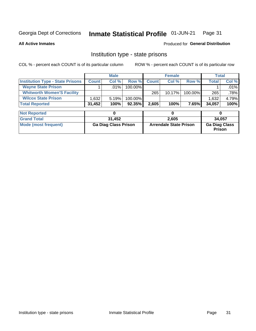#### Inmate Statistical Profile 01-JUN-21 Page 31

**All Active Inmates** 

#### **Produced for General Distribution**

## Institution type - state prisons

COL % - percent each COUNT is of its particular column

|                                         |              | <b>Male</b> |            |              | <b>Female</b> |         |              | Total |
|-----------------------------------------|--------------|-------------|------------|--------------|---------------|---------|--------------|-------|
| <b>Institution Type - State Prisons</b> | <b>Count</b> | Col %       | Row %I     | <b>Count</b> | Col %         | Row %   | <b>Total</b> | Col % |
| <b>Wayne State Prison</b>               |              | $.01\%$     | $100.00\%$ |              |               |         |              | .01%  |
| <b>Whitworth Women'S Facility</b>       |              |             |            | 265          | $10.17\%$     | 100.00% | 265          | .78%  |
| <b>Wilcox State Prison</b>              | .632         | 5.19%       | $100.00\%$ |              |               |         | 1,632        | 4.79% |
| <b>Total Reported</b>                   | 31,452       | 100%        | 92.35%     | 2,605        | 100%          | 7.65%I  | 34,057       | 100%  |

| <b>Not Reported</b>  |                             |                               |                                       |
|----------------------|-----------------------------|-------------------------------|---------------------------------------|
| <b>Grand Total</b>   | 31,452                      | 2.605                         | 34,057                                |
| Mode (most frequent) | <b>Ga Diag Class Prison</b> | <b>Arrendale State Prison</b> | <b>Ga Diag Class</b><br><b>Prison</b> |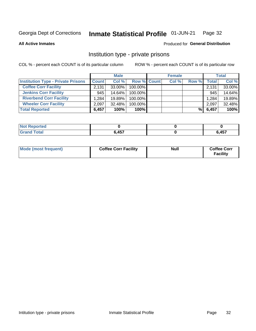#### Inmate Statistical Profile 01-JUN-21 Page 32

**All Active Inmates** 

#### Produced for General Distribution

## Institution type - private prisons

COL % - percent each COUNT is of its particular column

|                                           |              | <b>Male</b> |                    | <b>Female</b> |       |                    | <b>Total</b> |
|-------------------------------------------|--------------|-------------|--------------------|---------------|-------|--------------------|--------------|
| <b>Institution Type - Private Prisons</b> | <b>Count</b> | Col %       | <b>Row % Count</b> | Col %         | Row % | Total <sub>1</sub> | Col %        |
| <b>Coffee Corr Facility</b>               | 2.131        | $33.00\%$   | 100.00%            |               |       | 2,131              | 33.00%       |
| <b>Jenkins Corr Facility</b>              | 945          | $14.64\%$   | $100.00\%$         |               |       | 945                | 14.64%       |
| <b>Riverbend Corr Facility</b>            | 1.284        | 19.89%      | 100.00%            |               |       | 1,284              | 19.89%       |
| <b>Wheeler Corr Facility</b>              | 2.097        | $32.48\%$   | 100.00%            |               |       | 2,097              | 32.48%       |
| <b>Total Reported</b>                     | 6,457        | 100%        | 100%               |               | %l    | 6,457              | 100%         |

| <b>Reported</b><br>' NOT |              |              |
|--------------------------|--------------|--------------|
| <b>Total</b>             | <b>6 157</b> | 6 457<br>וטר |

| Mode (most frequent) | <b>Coffee Corr Facility</b> | <b>Null</b> | <b>Coffee Corr</b><br><b>Facility</b> |
|----------------------|-----------------------------|-------------|---------------------------------------|
|----------------------|-----------------------------|-------------|---------------------------------------|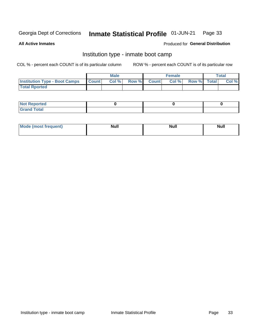#### Inmate Statistical Profile 01-JUN-21 Page 33

**All Active Inmates** 

#### Produced for General Distribution

## Institution type - inmate boot camp

COL % - percent each COUNT is of its particular column

|                                      |                  | <b>Male</b> |              |              | <b>Female</b> |             | <b>Total</b> |
|--------------------------------------|------------------|-------------|--------------|--------------|---------------|-------------|--------------|
| <b>Institution Type - Boot Camps</b> | <b>I</b> Count I | Col %       | <b>Row %</b> | <b>Count</b> | Col %         | Row % Total | Col %        |
| <b>Total Rported</b>                 |                  |             |              |              |               |             |              |

| <b>Not Reported</b>            |  |  |
|--------------------------------|--|--|
| <b>Total</b><br>C <sub>r</sub> |  |  |

| Mod<br>uamo | Nul.<br>$- - - - - -$ | <b>Null</b> | . .<br>uu.<br>------ |
|-------------|-----------------------|-------------|----------------------|
|             |                       |             |                      |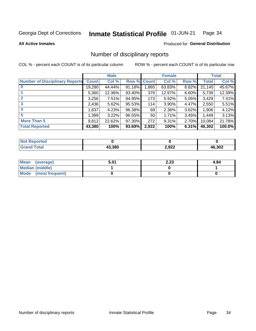#### Inmate Statistical Profile 01-JUN-21 Page 34

#### **All Active Inmates**

#### Produced for General Distribution

## Number of disciplinary reports

COL % - percent each COUNT is of its particular column

|                                       |              | <b>Male</b> |        |              | <b>Female</b> |          |              | <b>Total</b> |
|---------------------------------------|--------------|-------------|--------|--------------|---------------|----------|--------------|--------------|
| <b>Number of Disciplinary Reports</b> | <b>Count</b> | Col %       | Row %  | <b>Count</b> | Col %         | Row %    | <b>Total</b> | Col %        |
|                                       | 19,280       | 44.44%      | 91.18% | 1,865        | 63.83%        | 8.82%    | 21,145       | 45.67%       |
|                                       | 5,360        | 12.36%      | 93.40% | 379          | 12.97%        | 6.60%    | 5,739        | 12.39%       |
| $\mathbf{2}$                          | 3,256        | $7.51\%$    | 94.95% | 173          | 5.92%         | $5.05\%$ | 3,429        | 7.41%        |
| 3                                     | 2,436        | 5.62%       | 95.53% | 114          | 3.90%         | 4.47%    | 2,550        | 5.51%        |
|                                       | 1,837        | 4.23%       | 96.38% | 69           | 2.36%         | $3.62\%$ | 1,906        | 4.12%        |
| 5                                     | 1,399        | 3.22%       | 96.55% | 50           | 1.71%         | $3.45\%$ | 1,449        | 3.13%        |
| <b>More Than 5</b>                    | 9,812        | 22.62%      | 97.30% | 272          | 9.31%         | $2.70\%$ | 10,084       | 21.78%       |
| <b>Total Reported</b>                 | 43,380       | 100%        | 93.69% | 2,922        | 100%          | 6.31%    | 46,302       | 100.0%       |

| วrted<br>NO  |        |       |               |
|--------------|--------|-------|---------------|
| <b>Total</b> | 13.380 | 2,922 | 16,302<br>-4h |

| Mean (average)       | 5.01 | 2.23 | 4.84 |
|----------------------|------|------|------|
| Median (middle)      |      |      |      |
| Mode (most frequent) |      |      |      |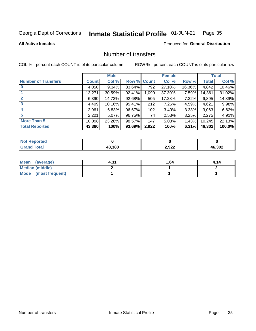#### Inmate Statistical Profile 01-JUN-21 Page 35

**All Active Inmates** 

#### **Produced for General Distribution**

## Number of transfers

COL % - percent each COUNT is of its particular column

|                            |         | <b>Male</b> |             |       | <b>Female</b> |        |              | <b>Total</b> |
|----------------------------|---------|-------------|-------------|-------|---------------|--------|--------------|--------------|
| <b>Number of Transfers</b> | Count l | Col %       | Row % Count |       | Col %         | Row %  | <b>Total</b> | Col %        |
|                            | 4,050   | 9.34%       | 83.64%      | 792   | 27.10%        | 16.36% | 4,842        | 10.46%       |
|                            | 13,271  | 30.59%      | 92.41%      | 1,090 | 37.30%        | 7.59%  | 14,361       | 31.02%       |
|                            | 6,390   | 14.73%      | 92.68%      | 505   | 17.28%        | 7.32%  | 6,895        | 14.89%       |
| 3                          | 4,409   | 10.16%      | 95.41%      | 212   | 7.26%         | 4.59%  | 4,621        | 9.98%        |
| $\boldsymbol{4}$           | 2,961   | 6.83%       | 96.67%      | 102   | 3.49%         | 3.33%  | 3,063        | 6.62%        |
| 5                          | 2,201   | 5.07%       | 96.75%      | 74    | 2.53%         | 3.25%  | 2,275        | 4.91%        |
| <b>More Than 5</b>         | 10,098  | 23.28%      | 98.57%      | 147   | 5.03%         | 1.43%  | 10,245       | 22.13%       |
| <b>Total Reported</b>      | 43,380  | 100%        | 93.69%      | 2,922 | 100%          | 6.31%  | 46,302       | 100.0%       |

| prted<br>NOT.     |        |       |        |
|-------------------|--------|-------|--------|
| <sup>-</sup> otar | 13.380 | 2,922 | 46,302 |

| Mean (average)         | 4.31 | 1.64 | 4.14 |
|------------------------|------|------|------|
| <b>Median (middle)</b> |      |      |      |
| Mode (most frequent)   |      |      |      |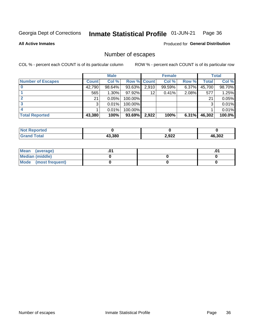#### Inmate Statistical Profile 01-JUN-21 Page 36

#### **All Active Inmates**

Produced for General Distribution

## Number of escapes

COL % - percent each COUNT is of its particular column

|                          |              | <b>Male</b> |             |       | <b>Female</b> |       |        | <b>Total</b> |
|--------------------------|--------------|-------------|-------------|-------|---------------|-------|--------|--------------|
| <b>Number of Escapes</b> | <b>Count</b> | Col %       | Row % Count |       | Col %         | Row % | Total  | Col %        |
|                          | 42,790       | 98.64%      | 93.63%      | 2,910 | 99.59%        | 6.37% | 45,700 | 98.70%       |
|                          | 565          | $1.30\%$    | $97.92\%$   | 12    | 0.41%         | 2.08% | 577    | 1.25%        |
|                          | 21           | 0.05%       | 100.00%     |       |               |       | 21     | 0.05%        |
|                          | 3            | 0.01%       | 100.00%     |       |               |       | 3      | 0.01%        |
|                          |              | 0.01%       | 100.00%     |       |               |       |        | 0.01%        |
| <b>Total Reported</b>    | 43,380       | 100%        | $93.69\%$   | 2,922 | 100%          | 6.31% | 46,302 | 100.0%       |

| <b>Not Reported</b> |        |       |              |
|---------------------|--------|-------|--------------|
| <b>Grand Total</b>  | 13.380 | 2,922 | 6,302<br>46. |

| Mean (average)         |  | .ט |
|------------------------|--|----|
| <b>Median (middle)</b> |  |    |
| Mode (most frequent)   |  |    |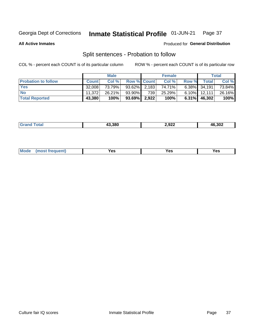#### Inmate Statistical Profile 01-JUN-21 Page 37

**All Active Inmates** 

#### Produced for General Distribution

## Split sentences - Probation to follow

COL % - percent each COUNT is of its particular column

|                            |              | <b>Male</b> |                    |     | <b>Female</b> |          |                 | <b>Total</b> |
|----------------------------|--------------|-------------|--------------------|-----|---------------|----------|-----------------|--------------|
| <b>Probation to follow</b> | <b>Count</b> | Col%        | <b>Row % Count</b> |     | Col %         | Row %    | Total           | Col %        |
| <b>Yes</b>                 | 32.008       | 73.79%      | $93.62\%$ 2,183    |     | 74.71%        |          | $6.38\%$ 34,191 | 73.84%       |
| <b>No</b>                  | 11.372       | 26.21%      | 93.90%             | 739 | 25.29%        |          | $6.10\%$ 12,111 | 26.16%       |
| <b>Total Reported</b>      | 43,380       | 100%        | $93.69\%$   2,922  |     | 100%          | $6.31\%$ | 46,302          | 100%         |

| ______ | מחה הו | ממה נ<br>7.94-<br><u>_</u> | ,302<br>1F<br>$\sim$ $\sim$ |
|--------|--------|----------------------------|-----------------------------|
|        |        |                            |                             |

| $Moo$<br>requent<br>′es<br>Yes<br><b>YAC</b><br>. |
|---------------------------------------------------|
|---------------------------------------------------|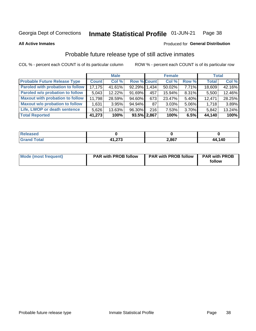### Inmate Statistical Profile 01-JUN-21 Page 38

**All Active Inmates** 

### Produced for General Distribution

# Probable future release type of still active inmates

COL % - percent each COUNT is of its particular column

|                                         |              | <b>Male</b> |                    |      | <b>Female</b> |       | <b>Total</b> |        |
|-----------------------------------------|--------------|-------------|--------------------|------|---------------|-------|--------------|--------|
| <b>Probable Future Release Type</b>     | <b>Count</b> | Col%        | <b>Row % Count</b> |      | Col %         | Row % | <b>Total</b> | Col %  |
| <b>Paroled with probation to follow</b> | 17,175       | 41.61%      | 92.29% 1.434       |      | 50.02%        | 7.71% | 18,609       | 42.16% |
| Paroled w/o probation to follow         | 5,043        | $12.22\%$   | 91.69%             | 457  | 15.94%        | 8.31% | 5,500        | 12.46% |
| <b>Maxout with probation to follow</b>  | 11,798       | 28.59%      | 94.60%             | 673  | 23.47%        | 5.40% | 12,471       | 28.25% |
| <b>Maxout w/o probation to follow</b>   | 1,631        | 3.95%       | 94.94%             | 87 I | 3.03%         | 5.06% | 1,718        | 3.89%  |
| Life, LWOP or death sentence            | 5,626        | 13.63%      | 96.30%             | 216  | 7.53%         | 3.70% | 5,842        | 13.24% |
| <b>Total Reported</b>                   | 41,273       | 100%        | 93.5% 2,867        |      | 100%          | 6.5%  | 44,140       | 100%   |

| ased |        |       |                 |
|------|--------|-------|-----------------|
| otal | 11.277 | 2,867 | 140<br>44<br>TV |

| <b>Mode (most frequent)</b> | <b>PAR with PROB follow</b> | <b>PAR with PROB follow</b> | <b>PAR with PROB</b> |
|-----------------------------|-----------------------------|-----------------------------|----------------------|
|                             |                             |                             | follow               |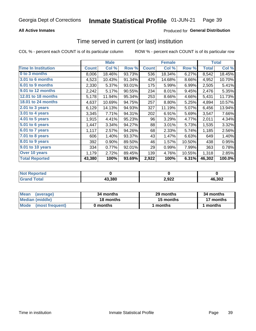## **All Active Inmates**

## Produced for General Distribution

# Time served in current (or last) institution

COL % - percent each COUNT is of its particular column

|                            |              | <b>Male</b> |        |              | <b>Female</b> |        |              | <b>Total</b> |
|----------------------------|--------------|-------------|--------|--------------|---------------|--------|--------------|--------------|
| <b>Time In Institution</b> | <b>Count</b> | Col %       | Row %  | <b>Count</b> | Col %         | Row %  | <b>Total</b> | Col $%$      |
| 0 to 3 months              | 8,006        | 18.46%      | 93.73% | 536          | 18.34%        | 6.27%  | 8,542        | 18.45%       |
| <b>3.01 to 6 months</b>    | 4,523        | 10.43%      | 91.34% | 429          | 14.68%        | 8.66%  | 4,952        | 10.70%       |
| 6.01 to 9 months           | 2,330        | 5.37%       | 93.01% | 175          | 5.99%         | 6.99%  | 2,505        | 5.41%        |
| 9.01 to 12 months          | 2,242        | 5.17%       | 90.55% | 234          | 8.01%         | 9.45%  | 2,476        | 5.35%        |
| <b>12.01 to 18 months</b>  | 5,178        | 11.94%      | 95.34% | 253          | 8.66%         | 4.66%  | 5,431        | 11.73%       |
| <b>18.01 to 24 months</b>  | 4,637        | 10.69%      | 94.75% | 257          | 8.80%         | 5.25%  | 4,894        | 10.57%       |
| 2.01 to 3 years            | 6,129        | 14.13%      | 94.93% | 327          | 11.19%        | 5.07%  | 6,456        | 13.94%       |
| $3.01$ to 4 years          | 3,345        | 7.71%       | 94.31% | 202          | 6.91%         | 5.69%  | 3,547        | 7.66%        |
| 4.01 to 5 years            | 1,915        | 4.41%       | 95.23% | 96           | 3.29%         | 4.77%  | 2,011        | 4.34%        |
| 5.01 to 6 years            | 1,447        | 3.34%       | 94.27% | 88           | 3.01%         | 5.73%  | 1,535        | 3.32%        |
| 6.01 to 7 years            | 1,117        | 2.57%       | 94.26% | 68           | 2.33%         | 5.74%  | 1,185        | 2.56%        |
| $7.01$ to 8 years          | 606          | 1.40%       | 93.37% | 43           | 1.47%         | 6.63%  | 649          | 1.40%        |
| $8.01$ to 9 years          | 392          | 0.90%       | 89.50% | 46           | 1.57%         | 10.50% | 438          | 0.95%        |
| 9.01 to 10 years           | 334          | 0.77%       | 92.01% | 29           | 0.99%         | 7.99%  | 363          | 0.78%        |
| Over 10 years              | 1,179        | 2.72%       | 89.45% | 139          | 4.76%         | 10.55% | 1,318        | 2.85%        |
| <b>Total Reported</b>      | 43,380       | 100%        | 93.69% | 2,922        | 100%          | 6.31%  | 46,302       | 100.0%       |

| orted<br><b>Not</b> |        |               |        |
|---------------------|--------|---------------|--------|
| otal                | 43,380 | 2022<br>Z,JZZ | 46,302 |

| <b>Mean</b><br>(average) | 34 months | 29 months | 34 months |
|--------------------------|-----------|-----------|-----------|
| Median (middle)          | 18 months | 15 months | 17 months |
| Mode (most frequent)     | 0 months  | months    | 1 months  |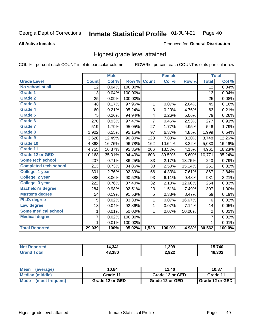### **All Active Inmates**

### Produced for General Distribution

# Highest grade level attained

COL % - percent each COUNT is of its particular column

|                              |                 | <b>Male</b> |         |                         | <b>Female</b> |        |                 | <b>Total</b> |
|------------------------------|-----------------|-------------|---------|-------------------------|---------------|--------|-----------------|--------------|
| <b>Grade Level</b>           | <b>Count</b>    | Col %       | Row %   | <b>Count</b>            | Col %         | Row %  | <b>Total</b>    | Col %        |
| No school at all             | $\overline{12}$ | 0.04%       | 100.00% |                         |               |        | $\overline{12}$ | 0.04%        |
| <b>Grade 1</b>               | 13              | 0.04%       | 100.00% |                         |               |        | 13              | 0.04%        |
| <b>Grade 2</b>               | 25              | 0.09%       | 100.00% |                         |               |        | 25              | 0.08%        |
| Grade 3                      | 48              | 0.17%       | 97.96%  | $\mathbf{1}$            | 0.07%         | 2.04%  | 49              | 0.16%        |
| <b>Grade 4</b>               | 60              | 0.21%       | 95.24%  | $\sqrt{3}$              | 0.20%         | 4.76%  | 63              | 0.21%        |
| Grade 5                      | 75              | 0.26%       | 94.94%  | $\overline{\mathbf{4}}$ | 0.26%         | 5.06%  | 79              | 0.26%        |
| Grade 6                      | 270             | 0.93%       | 97.47%  | $\overline{7}$          | 0.46%         | 2.53%  | 277             | 0.91%        |
| <b>Grade 7</b>               | 519             | 1.79%       | 95.05%  | 27                      | 1.77%         | 4.95%  | 546             | 1.79%        |
| Grade 8                      | 1,902           | 6.55%       | 95.15%  | 97                      | 6.37%         | 4.85%  | 1,999           | 6.54%        |
| Grade 9                      | 3,628           | 12.49%      | 96.80%  | 120                     | 7.88%         | 3.20%  | 3,748           | 12.26%       |
| Grade 10                     | 4,868           | 16.76%      | 96.78%  | 162                     | 10.64%        | 3.22%  | 5,030           | 16.46%       |
| Grade 11                     | 4,755           | 16.37%      | 95.85%  | 206                     | 13.53%        | 4.15%  | 4,961           | 16.23%       |
| Grade 12 or GED              | 10,168          | 35.01%      | 94.40%  | 603                     | 39.59%        | 5.60%  | 10,771          | 35.24%       |
| <b>Some tech school</b>      | 207             | 0.71%       | 86.25%  | 33                      | 2.17%         | 13.75% | 240             | 0.79%        |
| <b>Completed tech school</b> | 213             | 0.73%       | 84.86%  | 38                      | 2.50%         | 15.14% | 251             | 0.82%        |
| College, 1 year              | 801             | 2.76%       | 92.39%  | 66                      | 4.33%         | 7.61%  | 867             | 2.84%        |
| College, 2 year              | 888             | 3.06%       | 90.52%  | 93                      | 6.11%         | 9.48%  | 981             | 3.21%        |
| College, 3 year              | 222             | 0.76%       | 87.40%  | 32                      | 2.10%         | 12.60% | 254             | 0.83%        |
| <b>Bachelor's degree</b>     | 284             | $0.98\%$    | 92.51%  | 23                      | 1.51%         | 7.49%  | 307             | 1.00%        |
| <b>Master's degree</b>       | 54              | 0.19%       | 91.53%  | 5                       | 0.33%         | 8.47%  | 59              | 0.19%        |
| Ph.D. degree                 | 5               | 0.02%       | 83.33%  | 1                       | 0.07%         | 16.67% | 6               | 0.02%        |
| Law degree                   | 13              | 0.04%       | 92.86%  | $\mathbf{1}$            | 0.07%         | 7.14%  | 14              | 0.05%        |
| <b>Some medical school</b>   | 1               | 0.01%       | 50.00%  | 1                       | 0.07%         | 50.00% | $\overline{2}$  | 0.01%        |
| <b>Medical degree</b>        | $\overline{7}$  | 0.02%       | 100.00% |                         |               |        | $\overline{7}$  | 0.02%        |
|                              | $\mathbf 1$     | 0.01%       | 100.00% |                         |               |        | 1               | 0.01%        |
| <b>Total Reported</b>        | 29,039          | 100%        | 95.02%  | 1,523                   | 100.0%        | 4.98%  | 30,562          | 100.0%       |

| 4.34''<br>1 Л | 399, ا | .740          |
|---------------|--------|---------------|
| 43.380        | 2,922  | $\sim$<br>AF. |

| Mean<br>(average)    | 10.84           | 11.40           | 10.87           |  |
|----------------------|-----------------|-----------------|-----------------|--|
| Median (middle)      | Grade 11        | Grade 12 or GED | Grade 11        |  |
| Mode (most frequent) | Grade 12 or GED | Grade 12 or GED | Grade 12 or GED |  |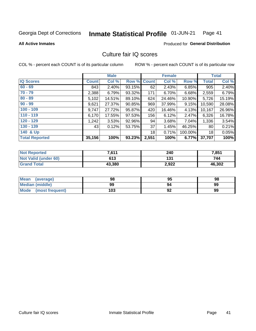### Inmate Statistical Profile 01-JUN-21 Page 41

### **All Active Inmates**

## **Produced for General Distribution**

# Culture fair IQ scores

COL % - percent each COUNT is of its particular column

|                       |              | <b>Male</b> |        |              | <b>Female</b> |          |              | <b>Total</b> |
|-----------------------|--------------|-------------|--------|--------------|---------------|----------|--------------|--------------|
| <b>IQ Scores</b>      | <b>Count</b> | Col %       | Row %  | <b>Count</b> | Col %         | Row %    | <b>Total</b> | Col %        |
| $60 - 69$             | 843          | $2.40\%$    | 93.15% | 62           | 2.43%         | 6.85%    | 905          | 2.40%        |
| $70 - 79$             | 2,388        | 6.79%       | 93.32% | 171          | 6.70%         | 6.68%    | 2,559        | 6.79%        |
| $80 - 89$             | 5,102        | 14.51%      | 89.10% | 624          | 24.46%        | 10.90%   | 5,726        | 15.19%       |
| $90 - 99$             | 9,621        | 27.37%      | 90.85% | 969          | 37.99%        | 9.15%    | 10,590       | 28.08%       |
| $100 - 109$           | 9,747        | 27.72%      | 95.87% | 420          | 16.46%        | 4.13%    | 10,167       | 26.96%       |
| $110 - 119$           | 6,170        | 17.55%      | 97.53% | 156          | 6.12%         | $2.47\%$ | 6,326        | 16.78%       |
| $120 - 129$           | 1,242        | 3.53%       | 92.96% | 94           | 3.68%         | 7.04%    | 1,336        | 3.54%        |
| $130 - 139$           | 43           | 0.12%       | 53.75% | 37           | 1.45%         | 46.25%   | 80           | 0.21%        |
| 140 & Up              |              |             |        | 18           | 0.71%         | 100.00%  | 18           | 0.05%        |
| <b>Total Reported</b> | 35,156       | 100%        | 93.23% | 2,551        | 100%          | 6.77%    | 37,707       | 100%         |

| <b>Not Reported</b>         | 7,611  | 240   | 7,851  |
|-----------------------------|--------|-------|--------|
| <b>Not Valid (under 60)</b> | 613    | 131   | 744    |
| <b>Grand Total</b>          | 43,380 | 2,922 | 46,302 |

| <b>Mean</b><br>(average) | 98  | 95 | 98 |
|--------------------------|-----|----|----|
| Median (middle)          | 99  | 94 | 99 |
| Mode<br>(most frequent)  | 103 | 92 | 99 |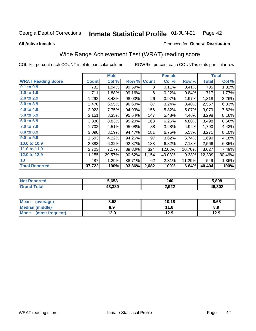### Inmate Statistical Profile 01-JUN-21 Page 42

**All Active Inmates** 

## Produced for General Distribution

# Wide Range Achievement Test (WRAT) reading score

COL % - percent each COUNT is of its particular column

|                           |              | <b>Male</b> |        |              | <b>Female</b> |        |              | <b>Total</b> |
|---------------------------|--------------|-------------|--------|--------------|---------------|--------|--------------|--------------|
| <b>WRAT Reading Score</b> | <b>Count</b> | Col %       | Row %  | <b>Count</b> | Col %         | Row %  | <b>Total</b> | Col %        |
| $0.1$ to $0.9$            | 732          | 1.94%       | 99.59% | 3            | 0.11%         | 0.41%  | 735          | 1.82%        |
| 1.0 to 1.9                | 711          | 1.88%       | 99.16% | 6            | 0.22%         | 0.84%  | 717          | 1.77%        |
| 2.0 to 2.9                | 1,292        | 3.43%       | 98.03% | 26           | 0.97%         | 1.97%  | 1,318        | 3.26%        |
| 3.0 to 3.9                | 2,470        | 6.55%       | 96.60% | 87           | 3.24%         | 3.40%  | 2,557        | 6.33%        |
| 4.0 to 4.9                | 2,923        | 7.75%       | 94.93% | 156          | 5.82%         | 5.07%  | 3,079        | 7.62%        |
| 5.0 to 5.9                | 3,151        | 8.35%       | 95.54% | 147          | 5.48%         | 4.46%  | 3,298        | 8.16%        |
| 6.0 to 6.9                | 3,330        | 8.83%       | 95.20% | 168          | 6.26%         | 4.80%  | 3,498        | 8.66%        |
| 7.0 to 7.9                | 1,702        | 4.51%       | 95.08% | 88           | 3.28%         | 4.92%  | 1,790        | 4.43%        |
| 8.0 to 8.9                | 3,090        | 8.19%       | 94.47% | 181          | 6.75%         | 5.53%  | 3,271        | 8.10%        |
| 9.0 to 9.9                | 1,593        | 4.22%       | 94.26% | 97           | 3.62%         | 5.74%  | 1,690        | 4.18%        |
| 10.0 to 10.9              | 2,383        | 6.32%       | 92.87% | 183          | 6.82%         | 7.13%  | 2,566        | 6.35%        |
| 11.0 to 11.9              | 2,703        | 7.17%       | 89.30% | 324          | 12.08%        | 10.70% | 3,027        | 7.49%        |
| 12.0 to 12.9              | 11,155       | 29.57%      | 90.62% | 1,154        | 43.03%        | 9.38%  | 12,309       | 30.46%       |
| 13                        | 487          | 1.29%       | 88.71% | 62           | 2.31%         | 11.29% | 549          | 1.36%        |
| <b>Total Reported</b>     | 37,722       | 100%        | 93.36% | 2,682        | 100%          | 6.64%  | 40,404       | 100%         |

| NO | 5,658  | 240<br>__ | 5,898  |
|----|--------|-----------|--------|
|    | 43.380 | 2,922     | 46,302 |

| <b>Mean</b><br>(average) | 8.58 | 10.18 | 8.68 |
|--------------------------|------|-------|------|
| Median (middle)          | 8.9  | 11.6  | 8.9  |
| Mode (most frequent)     | 12.9 | 12.9  | 12.9 |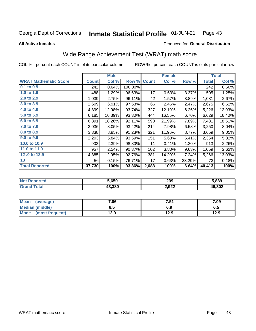### Inmate Statistical Profile 01-JUN-21 Page 43

**All Active Inmates** 

## Produced for General Distribution

# Wide Range Achievement Test (WRAT) math score

COL % - percent each COUNT is of its particular column

|                              |              | <b>Male</b> |         |              | <b>Female</b> |        |              | <b>Total</b> |
|------------------------------|--------------|-------------|---------|--------------|---------------|--------|--------------|--------------|
| <b>WRAT Mathematic Score</b> | <b>Count</b> | Col %       | Row %   | <b>Count</b> | Col %         | Row %  | <b>Total</b> | Col %        |
| 0.1 to 0.9                   | 242          | 0.64%       | 100.00% |              |               |        | 242          | 0.60%        |
| 1.0 to 1.9                   | 488          | 1.29%       | 96.63%  | 17           | 0.63%         | 3.37%  | 505          | 1.25%        |
| 2.0 to 2.9                   | 1,039        | 2.75%       | 96.11%  | 42           | 1.57%         | 3.89%  | 1,081        | 2.67%        |
| 3.0 to 3.9                   | 2,609        | 6.91%       | 97.53%  | 66           | 2.46%         | 2.47%  | 2,675        | 6.62%        |
| 4.0 to 4.9                   | 4,899        | 12.98%      | 93.74%  | 327          | 12.19%        | 6.26%  | 5,226        | 12.93%       |
| 5.0 to 5.9                   | 6,185        | 16.39%      | 93.30%  | 444          | 16.55%        | 6.70%  | 6,629        | 16.40%       |
| 6.0 to 6.9                   | 6,891        | 18.26%      | 92.11%  | 590          | 21.99%        | 7.89%  | 7,481        | 18.51%       |
| 7.0 to 7.9                   | 3,036        | 8.05%       | 93.42%  | 214          | 7.98%         | 6.58%  | 3,250        | 8.04%        |
| 8.0 to 8.9                   | 3,338        | 8.85%       | 91.23%  | 321          | 11.96%        | 8.77%  | 3,659        | 9.05%        |
| 9.0 to 9.9                   | 2,203        | 5.84%       | 93.59%  | 151          | 5.63%         | 6.41%  | 2,354        | 5.82%        |
| 10.0 to 10.9                 | 902          | 2.39%       | 98.80%  | 11           | 0.41%         | 1.20%  | 913          | 2.26%        |
| 11.0 to 11.9                 | 957          | 2.54%       | 90.37%  | 102          | 3.80%         | 9.63%  | 1,059        | 2.62%        |
| 12.0 to 12.9                 | 4,885        | 12.95%      | 92.76%  | 381          | 14.20%        | 7.24%  | 5,266        | 13.03%       |
| 13                           | 56           | 0.15%       | 76.71%  | 17           | 0.63%         | 23.29% | 73           | 0.18%        |
| <b>Total Reported</b>        | 37,730       | 100%        | 93.36%  | 2,683        | 100%          | 6.64%  | 40,413       | 100%         |

| <b>Reported</b><br><b>NO</b> t | 5.650  | 239   | 889.ز  |
|--------------------------------|--------|-------|--------|
| 'otal                          | 13.380 | 2,922 | 46,302 |

| <b>Mean</b><br>(average) | 7.06 | 7.51 | 7.09 |
|--------------------------|------|------|------|
| Median (middle)          | כ.ס  | 6.9  | 0.J  |
| Mode<br>(most frequent)  | l2.9 | 12.9 | 12.9 |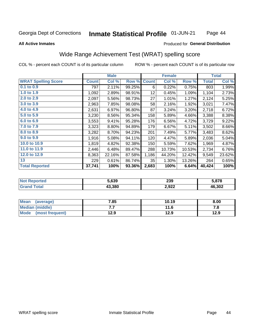### Inmate Statistical Profile 01-JUN-21 Page 44

## **All Active Inmates**

## **Produced for General Distribution**

# Wide Range Achievement Test (WRAT) spelling score

COL % - percent each COUNT is of its particular column

|                            |              | <b>Male</b> |        |              | <b>Female</b> |        |              | <b>Total</b> |
|----------------------------|--------------|-------------|--------|--------------|---------------|--------|--------------|--------------|
| <b>WRAT Spelling Score</b> | <b>Count</b> | Col %       | Row %  | <b>Count</b> | Col %         | Row %  | <b>Total</b> | Col %        |
| 0.1 to 0.9                 | 797          | 2.11%       | 99.25% | 6            | 0.22%         | 0.75%  | 803          | 1.99%        |
| 1.0 to 1.9                 | 1,092        | 2.89%       | 98.91% | 12           | 0.45%         | 1.09%  | 1,104        | 2.73%        |
| 2.0 to 2.9                 | 2,097        | 5.56%       | 98.73% | 27           | 1.01%         | 1.27%  | 2,124        | 5.25%        |
| 3.0 to 3.9                 | 2,963        | 7.85%       | 98.08% | 58           | 2.16%         | 1.92%  | 3,021        | 7.47%        |
| 4.0 to 4.9                 | 2,631        | 6.97%       | 96.80% | 87           | 3.24%         | 3.20%  | 2,718        | 6.72%        |
| 5.0 to 5.9                 | 3,230        | 8.56%       | 95.34% | 158          | 5.89%         | 4.66%  | 3,388        | 8.38%        |
| 6.0 to 6.9                 | 3,553        | 9.41%       | 95.28% | 176          | 6.56%         | 4.72%  | 3,729        | 9.22%        |
| 7.0 to 7.9                 | 3,323        | 8.80%       | 94.89% | 179          | 6.67%         | 5.11%  | 3,502        | 8.66%        |
| 8.0 to 8.9                 | 3,282        | 8.70%       | 94.23% | 201          | 7.49%         | 5.77%  | 3,483        | 8.62%        |
| 9.0 to 9.9                 | 1,916        | 5.08%       | 94.11% | 120          | 4.47%         | 5.89%  | 2,036        | 5.04%        |
| 10.0 to 10.9               | 1,819        | 4.82%       | 92.38% | 150          | 5.59%         | 7.62%  | 1,969        | 4.87%        |
| 11.0 to 11.9               | 2,446        | 6.48%       | 89.47% | 288          | 10.73%        | 10.53% | 2,734        | 6.76%        |
| 12.0 to 12.9               | 8,363        | 22.16%      | 87.58% | 1,186        | 44.20%        | 12.42% | 9,549        | 23.62%       |
| 13                         | 229          | 0.61%       | 86.74% | 35           | 1.30%         | 13.26% | 264          | 0.65%        |
| <b>Total Reported</b>      | 37,741       | 100%        | 93.36% | 2,683        | 100%          | 6.64%  | 40,424       | 100%         |

| olatelo | 5.639 | 239   | : 070               |
|---------|-------|-------|---------------------|
|         | .380  | 2,922 | <b>ີ</b> .302<br>46 |

| <b>Mean</b><br>(average) | 7.85 | 10.19 | 8.00 |
|--------------------------|------|-------|------|
| Median (middle)          | .    | 11.6  | ه. ، |
| Mode (most frequent)     | 12.9 | 12.9  | 12.9 |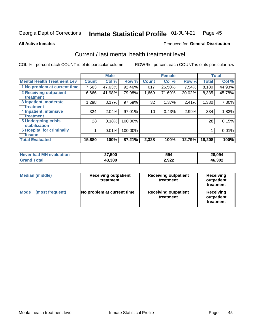### Inmate Statistical Profile 01-JUN-21 Page 45

**All Active Inmates** 

## **Produced for General Distribution**

# Current / last mental health treatment level

COL % - percent each COUNT is of its particular column

|                                    |              | <b>Male</b> |         |                 | <b>Female</b> |        |              | <b>Total</b> |
|------------------------------------|--------------|-------------|---------|-----------------|---------------|--------|--------------|--------------|
| <b>Mental Health Treatment Lev</b> | <b>Count</b> | Col %       | Row %   | <b>Count</b>    | Col %         | Row %  | <b>Total</b> | Col %        |
| 1 No problem at current time       | 7,563        | 47.63%      | 92.46%  | 617             | 26.50%        | 7.54%  | 8,180        | 44.93%       |
| 2 Receiving outpatient             | 6,666        | 41.98%      | 79.98%  | 1,669           | 71.69%        | 20.02% | 8,335        | 45.78%       |
| <b>Treatment</b>                   |              |             |         |                 |               |        |              |              |
| 3 Inpatient, moderate              | 1,298        | 8.17%       | 97.59%  | 32              | 1.37%         | 2.41%  | 1,330        | $7.30\%$     |
| <b>Treatment</b>                   |              |             |         |                 |               |        |              |              |
| 4 Inpatient, intensive             | 324          | 2.04%       | 97.01%  | 10 <sup>1</sup> | 0.43%         | 2.99%  | 334          | 1.83%        |
| <b>Treatment</b>                   |              |             |         |                 |               |        |              |              |
| <b>5 Undergoing crisis</b>         | 28           | 0.18%       | 100.00% |                 |               |        | 28           | 0.15%        |
| <b>stabilization</b>               |              |             |         |                 |               |        |              |              |
| <b>6 Hospital for criminally</b>   |              | 0.01%       | 100.00% |                 |               |        |              | 0.01%        |
| <b>Tinsane</b>                     |              |             |         |                 |               |        |              |              |
| <b>Total Evaluated</b>             | 15,880       | 100%        | 87.21%  | 2,328           | 100%          | 12.79% | 18,208       | 100%         |

| Never had MH evaluation | 27,500 | 594   | 28,094 |
|-------------------------|--------|-------|--------|
| $\mathsf{Total}$        | 43,380 | 2,922 | 46,302 |

| Median (middle)                | <b>Receiving outpatient</b><br>treatment | <b>Receiving outpatient</b><br>treatment | <b>Receiving</b><br>outpatient<br>treatment |  |
|--------------------------------|------------------------------------------|------------------------------------------|---------------------------------------------|--|
| <b>Mode</b><br>(most frequent) | No problem at current time               | <b>Receiving outpatient</b><br>treatment | Receiving<br>outpatient<br>treatment        |  |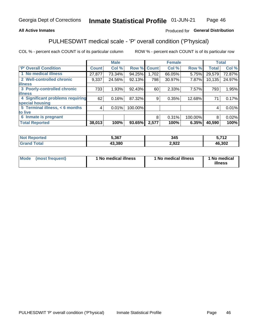## **All Active Inmates**

## Produced for General Distribution

# PULHESDWIT medical scale - 'P' overall condition ('P'hysical)

COL % - percent each COUNT is of its particular column

|                                  |              | <b>Male</b> |         |              | <b>Female</b> |         |              | <b>Total</b> |
|----------------------------------|--------------|-------------|---------|--------------|---------------|---------|--------------|--------------|
| 'P' Overall Condition            | <b>Count</b> | Col %       | Row %   | <b>Count</b> | Col %         | Row %   | <b>Total</b> | Col %        |
| 1 No medical illness             | 27,877       | 73.34%      | 94.25%  | 1,702        | 66.05%        | 5.75%   | 29,579       | 72.87%       |
| 2 Well-controlled chronic        | 9,337        | 24.56%      | 92.13%  | 798          | 30.97%        | 7.87%   | 10, 135      | 24.97%       |
| <b>illness</b>                   |              |             |         |              |               |         |              |              |
| 3 Poorly-controlled chronic      | 733          | 1.93%       | 92.43%  | 60           | 2.33%         | 7.57%   | 793          | 1.95%        |
| <b>illness</b>                   |              |             |         |              |               |         |              |              |
| 4 Significant problems requiring | 62           | 0.16%       | 87.32%  | 9            | 0.35%         | 12.68%  | 71           | 0.17%        |
| special housing                  |              |             |         |              |               |         |              |              |
| 5 Terminal illness, < 6 months   | 4            | 0.01%       | 100.00% |              |               |         | 4            | 0.01%        |
| to live                          |              |             |         |              |               |         |              |              |
| 6 Inmate is pregnant             |              |             |         | 8            | 0.31%         | 100.00% | 8            | 0.02%        |
| <b>Total Reported</b>            | 38,013       | 100%        | 93.65%  | 2,577        | 100%          | 6.35%   | 40,590       | 100%         |

| ue u | 5,367  | マイベ<br>U⊤J   | <b>740</b> |
|------|--------|--------------|------------|
|      | L3 380 | 922<br>L,JLL | 46,302     |

| Mode | (most frequent) | 1 No medical illness | 1 No medical illness | 1 No medical<br>illness |
|------|-----------------|----------------------|----------------------|-------------------------|
|------|-----------------|----------------------|----------------------|-------------------------|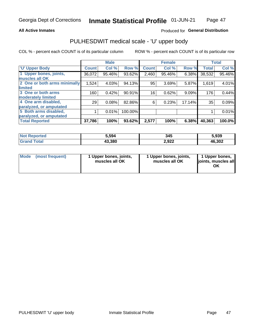## **All Active Inmates**

## Produced for General Distribution

# PULHESDWIT medical scale - 'U' upper body

COL % - percent each COUNT is of its particular column

|                                                  |              | <b>Male</b> |         |                 | <b>Female</b> |        |              | <b>Total</b> |
|--------------------------------------------------|--------------|-------------|---------|-----------------|---------------|--------|--------------|--------------|
| <b>U' Upper Body</b>                             | <b>Count</b> | Col %       | Row %   | <b>Count</b>    | Col %         | Row %  | <b>Total</b> | Col %        |
| 1 Upper bones, joints,<br>muscles all OK         | 36,072       | 95.46%      | 93.62%  | 2,460           | 95.46%        | 6.38%  | 38,532       | 95.46%       |
| 2 One or both arms minimally                     | 1,524        | 4.03%       | 94.13%  | 95              | 3.69%         | 5.87%  | 1,619        | 4.01%        |
| limited<br>3 One or both arms                    | 160          | 0.42%       | 90.91%  | 16 <sub>1</sub> | 0.62%         | 9.09%  | 176          | 0.44%        |
| <b>moderately limited</b>                        |              |             |         |                 |               |        |              |              |
| 4 One arm disabled,                              | 29           | 0.08%       | 82.86%  | 6               | 0.23%         | 17.14% | 35           | 0.09%        |
| paralyzed, or amputated                          |              |             |         |                 |               |        |              |              |
| 5 Both arms disabled,<br>paralyzed, or amputated |              | 0.01%       | 100.00% |                 |               |        |              | 0.01%        |
| <b>Total Reported</b>                            | 37,786       | 100%        | 93.62%  | 2,577           | 100%          | 6.38%  | 40,363       | 100.0%       |

| <b>Not Reported</b> | 5,594  | 345   | 5,939  |
|---------------------|--------|-------|--------|
| Total<br>Grand      | 43,380 | 2,922 | 46,302 |

|  | Mode (most frequent) | 1 Upper bones, joints,<br>muscles all OK | 1 Upper bones, joints,<br>muscles all OK | 1 Upper bones,<br>joints, muscles all<br>ΟK |
|--|----------------------|------------------------------------------|------------------------------------------|---------------------------------------------|
|--|----------------------|------------------------------------------|------------------------------------------|---------------------------------------------|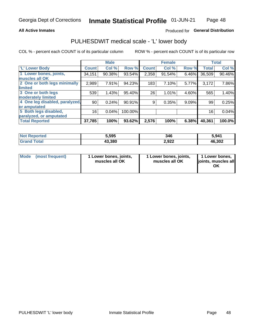## **All Active Inmates**

## Produced for General Distribution

# PULHESDWIT medical scale - 'L' lower body

COL % - percent each COUNT is of its particular column

|                                |              | <b>Male</b> |           |              | <b>Female</b> |       |              | <b>Total</b> |
|--------------------------------|--------------|-------------|-----------|--------------|---------------|-------|--------------|--------------|
| 'L' Lower Body                 | <b>Count</b> | Col %       | Row %     | <b>Count</b> | Col %         | Row % | <b>Total</b> | Col %        |
| 1 Lower bones, joints,         | 34,151       | 90.38%      | 93.54%    | 2,358        | 91.54%        | 6.46% | 36,509       | 90.46%       |
| muscles all OK                 |              |             |           |              |               |       |              |              |
| 2 One or both legs minimally   | 2,989        | 7.91%       | 94.23%    | 183          | 7.10%         | 5.77% | 3,172        | 7.86%        |
| limited                        |              |             |           |              |               |       |              |              |
| 3 One or both legs             | 539          | 1.43%       | 95.40%    | 26           | 1.01%         | 4.60% | 565          | 1.40%        |
| moderately limited             |              |             |           |              |               |       |              |              |
| 4 One leg disabled, paralyzed, | 90           | 0.24%       | $90.91\%$ | 9            | 0.35%         | 9.09% | 99           | 0.25%        |
| or amputated                   |              |             |           |              |               |       |              |              |
| 5 Both legs disabled,          | 16           | 0.04%       | 100.00%   |              |               |       | 16           | 0.04%        |
| paralyzed, or amputated        |              |             |           |              |               |       |              |              |
| <b>Total Reported</b>          | 37,785       | 100%        | 93.62%    | 2,576        | 100%          | 6.38% | 40,361       | 100.0%       |

| <b>Not Reported</b> | 5,595  | 346   | 5.941  |
|---------------------|--------|-------|--------|
| Total<br>Grar       | 43,380 | 2,922 | 46,302 |

| Mode | (most frequent) | 1 Lower bones, joints,<br>muscles all OK | I Lower bones, joints,<br>muscles all OK | 1 Lower bones,<br>joints, muscles all<br>ΟK |
|------|-----------------|------------------------------------------|------------------------------------------|---------------------------------------------|
|------|-----------------|------------------------------------------|------------------------------------------|---------------------------------------------|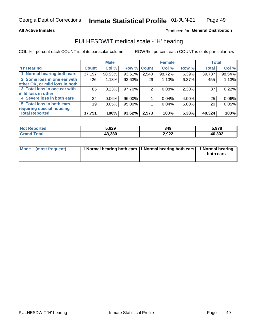## **All Active Inmates**

## Produced for General Distribution

# PULHESDWIT medical scale - 'H' hearing

COL % - percent each COUNT is of its particular column

|                                |                 | <b>Male</b> |             |       | <b>Female</b> |       | <b>Total</b> |        |
|--------------------------------|-----------------|-------------|-------------|-------|---------------|-------|--------------|--------|
| <b>'H' Hearing</b>             | <b>Count</b>    | Col %       | Row % Count |       | Col %         | Row % | <b>Total</b> | Col %  |
| 1 Normal hearing both ears     | 37,197          | 98.53%      | 93.61%      | 2,540 | $98.72\%$     | 6.39% | 39,737       | 98.54% |
| 2 Some loss in one ear with    | 426             | 1.13%       | 93.63%      | 29    | 1.13%         | 6.37% | 455          | 1.13%  |
| other OK, or mild loss in both |                 |             |             |       |               |       |              |        |
| 3 Total loss in one ear with   | 85              | 0.23%       | 97.70%      | 2     | 0.08%         | 2.30% | 87           | 0.22%  |
| mild loss in other             |                 |             |             |       |               |       |              |        |
| 4 Severe loss in both ears     | 24 <sub>1</sub> | $0.06\%$    | 96.00%      |       | 0.04%         | 4.00% | 25           | 0.06%  |
| 5 Total loss in both ears,     | 19              | 0.05%       | 95.00%      |       | 0.04%         | 5.00% | 20           | 0.05%  |
| requiring special housing      |                 |             |             |       |               |       |              |        |
| <b>Total Reported</b>          | 37,751          | 100%        | 93.62%      | 2,573 | 100%          | 6.38% | 40,324       | 100%   |

| <b>orted</b><br>NOT.  | 5,629  | 349   | 5.978  |
|-----------------------|--------|-------|--------|
| $F \wedge f \wedge f$ | 43.380 | 2,922 | 46,302 |

| Mode (most frequent) | 1 Normal hearing both ears 11 Normal hearing both ears 1 Normal hearing | both ears |
|----------------------|-------------------------------------------------------------------------|-----------|
|                      |                                                                         |           |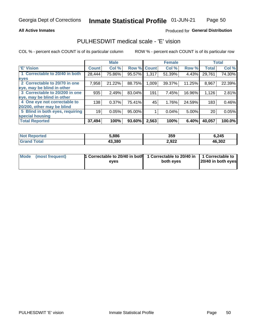## **All Active Inmates**

## Produced for General Distribution

# PULHESDWIT medical scale - 'E' vision

COL % - percent each COUNT is of its particular column

|                                 |              | <b>Male</b> |        |              | <b>Female</b> |        |              | <b>Total</b> |
|---------------------------------|--------------|-------------|--------|--------------|---------------|--------|--------------|--------------|
| 'E' Vision                      | <b>Count</b> | Col %       | Row %  | <b>Count</b> | Col %         | Row %  | <b>Total</b> | Col %        |
| 1 Correctable to 20/40 in both  | 28,444       | 75.86%      | 95.57% | 1,317        | 51.39%        | 4.43%  | 29,761       | 74.30%       |
| eyes                            |              |             |        |              |               |        |              |              |
| 2 Correctable to 20/70 in one   | 7,958        | 21.22%      | 88.75% | 1,009        | 39.37%        | 11.25% | 8,967        | 22.39%       |
| eye, may be blind in other      |              |             |        |              |               |        |              |              |
| 3 Correctable to 20/200 in one  | 935          | 2.49%       | 83.04% | 191          | 7.45%         | 16.96% | 1,126        | 2.81%        |
| eye, may be blind in other      |              |             |        |              |               |        |              |              |
| 4 One eye not correctable to    | 138          | 0.37%       | 75.41% | 45           | 1.76%         | 24.59% | 183          | 0.46%        |
| 20/200, other may be blind      |              |             |        |              |               |        |              |              |
| 5 Blind in both eyes, requiring | 19           | 0.05%       | 95.00% |              | 0.04%         | 5.00%  | 20           | 0.05%        |
| special housing                 |              |             |        |              |               |        |              |              |
| <b>Total Reported</b>           | 37,494       | 100%        | 93.60% | 2,563        | 100%          | 6.40%  | 40,057       | 100.0%       |

| <b>Not Reported</b> | 5,886  | 359   | 6,245  |
|---------------------|--------|-------|--------|
| Гоtal               | 43,380 | 2,922 | 46,302 |

| Mode (most frequent) | 1 Correctable to 20/40 in both<br>eves | 1 Correctable to 20/40 in   1 Correctable to  <br>both eves | 20/40 in both eyes |
|----------------------|----------------------------------------|-------------------------------------------------------------|--------------------|
|                      |                                        |                                                             |                    |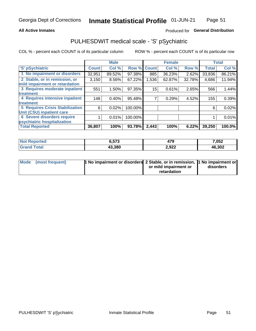## **All Active Inmates**

## Produced for General Distribution

# PULHESDWIT medical scale - 'S' pSychiatric

COL % - percent each COUNT is of its particular column

|                                        |              | <b>Male</b> |         |              | <b>Female</b> |        |              | <b>Total</b> |
|----------------------------------------|--------------|-------------|---------|--------------|---------------|--------|--------------|--------------|
| 'S' pSychiatric                        | <b>Count</b> | Col %       | Row %   | <b>Count</b> | Col %         | Row %  | <b>Total</b> | Col %        |
| 1 No impairment or disorders           | 32,951       | 89.52%      | 97.38%  | 885          | 36.23%        | 2.62%  | 33,836       | 86.21%       |
| 2 Stable, or in remission, or          | 3,150        | $8.56\%$    | 67.22%  | 1,536        | 62.87%        | 32.78% | 4,686        | 11.94%       |
| mild impairment or retardation         |              |             |         |              |               |        |              |              |
| 3 Requires moderate inpatient          | 551          | 1.50%       | 97.35%  | 15           | 0.61%         | 2.65%  | 566          | 1.44%        |
| treatment                              |              |             |         |              |               |        |              |              |
| 4 Requires intensive inpatient         | 148          | 0.40%       | 95.48%  |              | 0.29%         | 4.52%  | 155          | 0.39%        |
| treatment                              |              |             |         |              |               |        |              |              |
| <b>5 Requires Crisis Stabilization</b> | 6            | 0.02%       | 100.00% |              |               |        | 6            | 0.02%        |
| Unit (CSU) inpatient care              |              |             |         |              |               |        |              |              |
| <b>6 Severe disorders require</b>      |              | 0.01%       | 100.00% |              |               |        |              | 0.01%        |
| psychiatric hospitalization            |              |             |         |              |               |        |              |              |
| <b>Total Reported</b>                  | 36,807       | 100%        | 93.78%  | 2,443        | 100%          | 6.22%  | 39,250       | 100.0%       |

| <b>Not Reported</b> | ヒマク<br>0.J/J | 479   | 7,052  |
|---------------------|--------------|-------|--------|
| <b>Total</b><br>Grz | 43,380       | 2,922 | 46,302 |

| Mode | (most frequent) | <b>1 No impairment or disorders</b> 2 Stable, or in remission, 1 No impairment or |                       |           |
|------|-----------------|-----------------------------------------------------------------------------------|-----------------------|-----------|
|      |                 |                                                                                   | or mild impairment or | disorders |
|      |                 |                                                                                   | retardation           |           |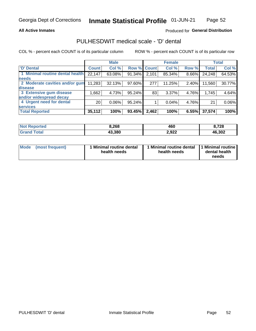## **All Active Inmates**

## Produced for General Distribution

# PULHESDWIT medical scale - 'D' dental

COL % - percent each COUNT is of its particular column

|                                 |                 | <b>Male</b> |           |              | <b>Female</b> |          |              | <b>Total</b> |
|---------------------------------|-----------------|-------------|-----------|--------------|---------------|----------|--------------|--------------|
| <b>D'</b> Dental                | <b>Count</b>    | Col %       | Row %     | <b>Count</b> | Col %         | Row %    | <b>Total</b> | Col %        |
| 1 Minimal routine dental health | 22,147          | 63.08%      | 91.34%    | 2,101        | 85.34%        | $8.66\%$ | 24,248       | 64.53%       |
| <b>needs</b>                    |                 |             |           |              |               |          |              |              |
| 2 Moderate cavities and/or gum  | 11,283          | 32.13%      | 97.60%    | 277          | 11.25%        | 2.40%    | 11,560       | 30.77%       |
| disease                         |                 |             |           |              |               |          |              |              |
| 3 Extensive gum disease         | 1,662           | 4.73%       | $95.24\%$ | 83           | 3.37%         | 4.76%    | 1,745        | 4.64%        |
| and/or widespread decay         |                 |             |           |              |               |          |              |              |
| 4 Urgent need for dental        | 20 <sub>1</sub> | $0.06\%$    | $95.24\%$ |              | 0.04%         | 4.76%    | 21           | 0.06%        |
| <b>services</b>                 |                 |             |           |              |               |          |              |              |
| <b>Total Reported</b>           | 35,112          | 100%        | 93.45%    | 2,462        | 100%          | 6.55%    | 37,574       | 100%         |

| <b>Not Reno</b><br><b>ported</b> | 268.د  | 460   | 8,728  |
|----------------------------------|--------|-------|--------|
| Total                            | 43,380 | 2,922 | 46,302 |

| <b>Mode</b> | (most frequent) | <b>Minimal routine dental</b><br>health needs | 1 Minimal routine dental   1 Minimal routine  <br>health needs | dental health<br>needs |
|-------------|-----------------|-----------------------------------------------|----------------------------------------------------------------|------------------------|
|-------------|-----------------|-----------------------------------------------|----------------------------------------------------------------|------------------------|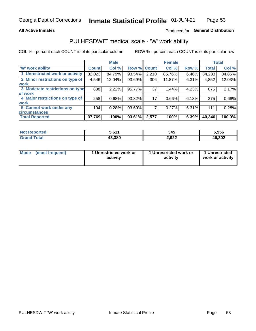## **All Active Inmates**

## Produced for General Distribution

# PULHESDWIT medical scale - 'W' work ability

COL % - percent each COUNT is of its particular column

|                                 |              | <b>Male</b> |        |              | <b>Female</b> |       |              | <b>Total</b> |
|---------------------------------|--------------|-------------|--------|--------------|---------------|-------|--------------|--------------|
| 'W' work ability                | <b>Count</b> | Col %       | Row %  | <b>Count</b> | Col %         | Row % | <b>Total</b> | Col %        |
| 1 Unrestricted work or activity | 32,023       | 84.79%      | 93.54% | 2,210        | 85.76%        | 6.46% | 34,233       | 84.85%       |
| 2 Minor restrictions on type of | 4,546        | 12.04%      | 93.69% | 306          | 11.87%        | 6.31% | 4,852        | 12.03%       |
| <b>work</b>                     |              |             |        |              |               |       |              |              |
| 3 Moderate restrictions on type | 838          | 2.22%       | 95.77% | 37           | 1.44%         | 4.23% | 875          | 2.17%        |
| lof work                        |              |             |        |              |               |       |              |              |
| 4 Major restrictions on type of | 258          | 0.68%       | 93.82% | 17           | 0.66%         | 6.18% | 275          | 0.68%        |
| <b>work</b>                     |              |             |        |              |               |       |              |              |
| 5 Cannot work under any         | 104          | 0.28%       | 93.69% |              | 0.27%         | 6.31% | 111          | 0.28%        |
| <b>circumstances</b>            |              |             |        |              |               |       |              |              |
| <b>Total Reported</b>           | 37,769       | 100%        | 93.61% | 2,577        | 100%          | 6.39% | 40,346       | 100.0%       |

| <b>Not Reported</b>   | 5,611  | 345   | 5,956  |
|-----------------------|--------|-------|--------|
| Total<br><b>Grano</b> | 43,380 | 2,922 | 46,302 |

| Mode            | 1 Unrestricted work or | 1 Unrestricted work or | 1 Unrestricted   |
|-----------------|------------------------|------------------------|------------------|
| (most frequent) | activity               | activity               | work or activity |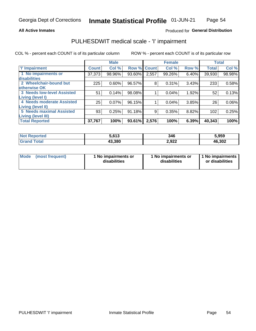## **All Active Inmates**

## Produced for General Distribution

# PULHESDWIT medical scale - 'I' impairment

COL % - percent each COUNT is of its particular column ROW % - percent each COUNT is of its particular row

|                            |              | <b>Male</b> |        |              | <b>Female</b> |       |              | <b>Total</b> |
|----------------------------|--------------|-------------|--------|--------------|---------------|-------|--------------|--------------|
| <b>T' Impairment</b>       | <b>Count</b> | Col %       | Row %  | <b>Count</b> | Col %         | Row % | <b>Total</b> | Col %        |
| 1 No impairments or        | 37,373       | 98.96%      | 93.60% | 2,557        | 99.26%        | 6.40% | 39,930       | 98.98%       |
| disabilities               |              |             |        |              |               |       |              |              |
| 2 Wheelchair-bound but     | 225          | 0.60%       | 96.57% | 8            | 0.31%         | 3.43% | 233          | 0.58%        |
| otherwise OK               |              |             |        |              |               |       |              |              |
| 3 Needs low-level Assisted | 51           | 0.14%       | 98.08% |              | 0.04%         | 1.92% | 52           | 0.13%        |
| Living (level I)           |              |             |        |              |               |       |              |              |
| 4 Needs moderate Assisted  | 25           | 0.07%       | 96.15% |              | 0.04%         | 3.85% | 26           | 0.06%        |
| <b>Living (level II)</b>   |              |             |        |              |               |       |              |              |
| 5 Needs maximal Assisted   | 93           | 0.25%       | 91.18% | 9            | 0.35%         | 8.82% | 102          | 0.25%        |
| <b>Living (level III)</b>  |              |             |        |              |               |       |              |              |
| <b>Total Reported</b>      | 37,767       | 100%        | 93.61% | 2,576        | 100%          | 6.39% | 40,343       | 100%         |

| <b>Not</b><br>Reported | 5.613  | 346   | 5,959  |
|------------------------|--------|-------|--------|
| <b>Total</b>           | 43.380 | 2,922 | 46,302 |

| Mode | (most frequent) | 1 No impairments or<br>disabilities | 1 No impairments or<br>disabilities | 1 No impairments<br>or disabilities |
|------|-----------------|-------------------------------------|-------------------------------------|-------------------------------------|
|------|-----------------|-------------------------------------|-------------------------------------|-------------------------------------|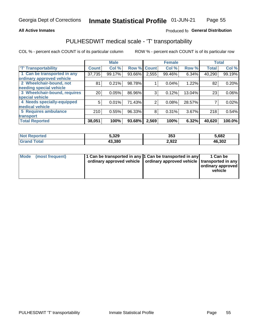## **All Active Inmates**

## Produced fo General Distribution

# PULHESDWIT medical scale - 'T' transportability

COL % - percent each COUNT is of its particular column

|                              |                    | <b>Male</b> |        |              | <b>Female</b> |        | <b>Total</b> |        |
|------------------------------|--------------------|-------------|--------|--------------|---------------|--------|--------------|--------|
| <b>T' Transportability</b>   | Count <sup>1</sup> | Col %       | Row %  | <b>Count</b> | Col %         | Row %  | <b>Total</b> | Col %  |
| 1 Can be transported in any  | 37,735             | 99.17%      | 93.66% | 2,555        | 99.46%        | 6.34%  | 40,290       | 99.19% |
| ordinary approved vehicle    |                    |             |        |              |               |        |              |        |
| 2 Wheelchair-bound, not      | 81                 | 0.21%       | 98.78% |              | 0.04%         | 1.22%  | 82           | 0.20%  |
| needing special vehicle      |                    |             |        |              |               |        |              |        |
| 3 Wheelchair-bound, requires | 20 <sub>1</sub>    | 0.05%       | 86.96% | 3            | 0.12%         | 13.04% | 23           | 0.06%  |
| special vehicle              |                    |             |        |              |               |        |              |        |
| 4 Needs specially-equipped   | 5                  | 0.01%       | 71.43% | 2            | 0.08%         | 28.57% |              | 0.02%  |
| medical vehicle              |                    |             |        |              |               |        |              |        |
| <b>5 Requires ambulance</b>  | 210                | 0.55%       | 96.33% | 8            | 0.31%         | 3.67%  | 218          | 0.54%  |
| transport                    |                    |             |        |              |               |        |              |        |
| <b>Total Reported</b>        | 38,051             | 100%        | 93.68% | 2,569        | 100%          | 6.32%  | 40,620       | 100.0% |

| Reported<br>NOI | 5,329  | 353   | 5,682  |
|-----------------|--------|-------|--------|
| ™otal           | 43,380 | 2,922 | 46,302 |

|  | Mode (most frequent) | 1 Can be transported in any 1 Can be transported in any<br>ordinary approved vehicle   ordinary approved vehicle   transported in any |  | 1 Can be<br>  ordinary approved  <br>vehicle |
|--|----------------------|---------------------------------------------------------------------------------------------------------------------------------------|--|----------------------------------------------|
|--|----------------------|---------------------------------------------------------------------------------------------------------------------------------------|--|----------------------------------------------|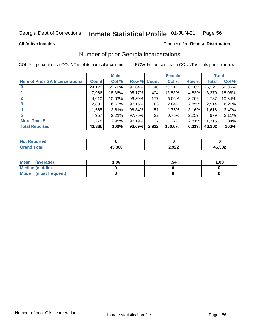#### Inmate Statistical Profile 01-JUN-21 Page 56

**All Active Inmates** 

## **Produced for General Distribution**

# Number of prior Georgia incarcerations

COL % - percent each COUNT is of its particular column

|                                       |              | <b>Male</b> |             |                 | <b>Female</b> |       |        | <b>Total</b> |
|---------------------------------------|--------------|-------------|-------------|-----------------|---------------|-------|--------|--------------|
| <b>Num of Prior GA Incarcerations</b> | <b>Count</b> | Col %       | Row % Count |                 | Col %         | Row % | Total  | Col %        |
|                                       | 24,173       | 55.72%      | 91.84%      | 2,148           | 73.51%        | 8.16% | 26,321 | 56.85%       |
|                                       | 7,966        | 18.36%      | 95.17%      | 404             | 13.83%        | 4.83% | 8,370  | 18.08%       |
| $\overline{2}$                        | 4,610        | 10.63%      | 96.30%      | 177             | 6.06%         | 3.70% | 4,787  | 10.34%       |
| 3                                     | 2,831        | 6.53%       | 97.15%      | 83              | 2.84%         | 2.85% | 2,914  | 6.29%        |
| $\boldsymbol{4}$                      | ,565         | 3.61%       | 96.84%      | 51              | 1.75%         | 3.16% | 1,616  | 3.49%        |
| 5                                     | 957          | 2.21%       | 97.75%      | 22              | 0.75%         | 2.25% | 979    | 2.11%        |
| <b>More Than 5</b>                    | 1,278        | 2.95%       | 97.19%      | 37 <sup>1</sup> | 1.27%         | 2.81% | 1,315  | 2.84%        |
| <b>Total Reported</b>                 | 43,380       | 100%        | 93.69%      | 2,922           | 100.0%        | 6.31% | 46,302 | 100%         |

| orted<br>NO       |        |       |        |
|-------------------|--------|-------|--------|
| <b>otal</b><br>Gr | 13.380 | 2,922 | 46,302 |

| Mean (average)         | 06.، | 1.03 |
|------------------------|------|------|
| <b>Median (middle)</b> |      |      |
| Mode (most frequent)   |      |      |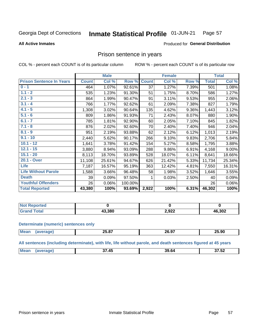#### Inmate Statistical Profile 01-JUN-21 Page 57

**All Active Inmates** 

## Produced for General Distribution

## Prison sentence in years

COL % - percent each COUNT is of its particular column

ROW % - percent each COUNT is of its particular row

|                                 |              | <b>Male</b> |         |                 | <b>Female</b> |       | <b>Total</b> |        |
|---------------------------------|--------------|-------------|---------|-----------------|---------------|-------|--------------|--------|
| <b>Prison Sentence In Years</b> | <b>Count</b> | Col %       | Row %   | <b>Count</b>    | Col %         | Row % | <b>Total</b> | Col %  |
| $0 - 1$                         | 464          | 1.07%       | 92.61%  | $\overline{37}$ | 1.27%         | 7.39% | 501          | 1.08%  |
| $1.1 - 2$                       | 535          | 1.23%       | 91.30%  | 51              | 1.75%         | 8.70% | 586          | 1.27%  |
| $2.1 - 3$                       | 864          | 1.99%       | 90.47%  | 91              | 3.11%         | 9.53% | 955          | 2.06%  |
| $3.1 - 4$                       | 766          | 1.77%       | 92.62%  | 61              | 2.09%         | 7.38% | 827          | 1.79%  |
| $4.1 - 5$                       | 1,308        | 3.02%       | 90.64%  | 135             | 4.62%         | 9.36% | 1,443        | 3.12%  |
| $5.1 - 6$                       | 809          | 1.86%       | 91.93%  | 71              | 2.43%         | 8.07% | 880          | 1.90%  |
| $6.1 - 7$                       | 785          | 1.81%       | 92.90%  | 60              | 2.05%         | 7.10% | 845          | 1.82%  |
| $7.1 - 8$                       | 876          | 2.02%       | 92.60%  | 70              | 2.40%         | 7.40% | 946          | 2.04%  |
| $8.1 - 9$                       | 951          | 2.19%       | 93.88%  | 62              | 2.12%         | 6.12% | 1,013        | 2.19%  |
| $9.1 - 10$                      | 2,440        | 5.62%       | 90.17%  | 266             | 9.10%         | 9.83% | 2,706        | 5.84%  |
| $10.1 - 12$                     | 1,641        | 3.78%       | 91.42%  | 154             | 5.27%         | 8.58% | 1,795        | 3.88%  |
| $12.1 - 15$                     | 3,880        | 8.94%       | 93.09%  | 288             | 9.86%         | 6.91% | 4,168        | 9.00%  |
| $15.1 - 20$                     | 8,113        | 18.70%      | 93.89%  | 528             | 18.07%        | 6.11% | 8,641        | 18.66% |
| 20.1 - Over                     | 11,108       | 25.61%      | 94.67%  | 626             | 21.42%        | 5.33% | 11,734       | 25.34% |
| <b>Life</b>                     | 7,187        | 16.57%      | 95.19%  | 363             | 12.42%        | 4.81% | 7,550        | 16.31% |
| <b>Life Without Parole</b>      | 1,588        | 3.66%       | 96.48%  | 58              | 1.98%         | 3.52% | 1,646        | 3.55%  |
| <b>Death</b>                    | 39           | 0.09%       | 97.50%  |                 | 0.03%         | 2.50% | 40           | 0.09%  |
| <b>Youthful Offenders</b>       | 26           | 0.06%       | 100.00% |                 |               |       | 26           | 0.06%  |
| <b>Total Reported</b>           | 43,380       | 100%        | 93.69%  | 2,922           | 100%          | 6.31% | 46,302       | 100%   |

| Reported<br>I NOT F |       |       |        |
|---------------------|-------|-------|--------|
|                     | 3.380 | 2,922 | 46,302 |

### **Determinate (numeric) sentences only**

| <b>Mear</b> | $\sim$ $\sim$ $\sim$<br>25.67 | 20.97 | 25.90 |
|-------------|-------------------------------|-------|-------|
|             |                               |       |       |

All sentences (including determinate), with life, life without parole, and death sentences figured at 45 years

| <b>Me</b><br>$\sim$ $\sim$ $\sim$<br><br>39 64<br>$\overline{\phantom{0}}$<br>ль<br>$\sim$<br>ــ ــ د<br>_____ |  |  |  |
|----------------------------------------------------------------------------------------------------------------|--|--|--|
|                                                                                                                |  |  |  |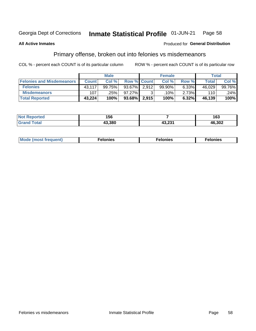#### Inmate Statistical Profile 01-JUN-21 Page 58

### **All Active Inmates**

## **Produced for General Distribution**

# Primary offense, broken out into felonies vs misdemeanors

COL % - percent each COUNT is of its particular column

|                                  | <b>Male</b>  |        |        | <b>Female</b>      |        |       | Total        |        |  |
|----------------------------------|--------------|--------|--------|--------------------|--------|-------|--------------|--------|--|
| <b>Felonies and Misdemeanors</b> | <b>Count</b> | Col %  |        | <b>Row % Count</b> | Col %  | Row % | <b>Total</b> | Col %  |  |
| <b>Felonies</b>                  | 43,117       | 99.75% | 93.67% | 2.912              | 99.90% | 6.33% | 46,029       | 99.76% |  |
| <b>Misdemeanors</b>              | 107          | .25%   | 97.27% | 2                  | .10% ' | 2.73% | 110          | .24%   |  |
| <b>Total Reported</b>            | 43,224       | 100%   | 93.68% | 2,915              | 100%   | 6.32% | 46,139       | 100%   |  |

| <b>Not</b><br>Reported | 156    |                   | $\sim$<br>ט ו |
|------------------------|--------|-------------------|---------------|
| <b>Grand</b><br>™otaï  | 43.380 | גמה הג<br>1J.ZJ I | 46,302        |

| Mo | ____ | 11 C.S<br>. | onies<br>. |
|----|------|-------------|------------|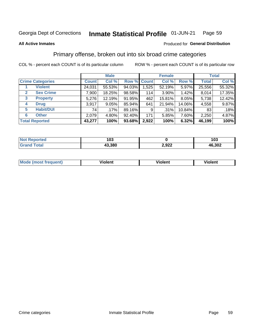#### Inmate Statistical Profile 01-JUN-21 Page 59

### **All Active Inmates**

## **Produced for General Distribution**

# Primary offense, broken out into six broad crime categories

COL % - percent each COUNT is of its particular column

|                                  |  | <b>Male</b>  |         |             |       | <b>Female</b> | <b>Total</b> |              |        |
|----------------------------------|--|--------------|---------|-------------|-------|---------------|--------------|--------------|--------|
| <b>Crime Categories</b>          |  | <b>Count</b> | Col %   | Row % Count |       | Col %         | Row %        | <b>Total</b> | Col %  |
| <b>Violent</b>                   |  | 24,031       | 55.53%  | 94.03%      | 1,525 | 52.19%        | 5.97%        | 25,556       | 55.32% |
| <b>Sex Crime</b><br>$\mathbf{2}$ |  | 7,900        | 18.25%  | 98.58%      | 114   | $3.90\%$      | 1.42%        | 8,014        | 17.35% |
| <b>Property</b><br>3             |  | 5,276        | 12.19%  | 91.95%      | 462   | 15.81%        | $8.05\%$     | 5,738        | 12.42% |
| <b>Drug</b><br>4                 |  | 3,917        | 9.05%   | 85.94%      | 641   | 21.94%        | 14.06%       | 4,558        | 9.87%  |
| <b>Habit/DUI</b><br>5            |  | 74           | $.17\%$ | 89.16%      | 9     | $.31\%$       | 10.84%       | 83           | .18%   |
| <b>Other</b><br>6                |  | 2,079        | 4.80%   | 92.40%      | 171   | 5.85%         | 7.60%        | 2,250        | 4.87%  |
| <b>Total Reported</b>            |  | 43,277       | 100%    | $93.68\%$   | 2,922 | 100%          | 6.32%        | 46,199       | 100%   |

| rted<br>NO | 103    |       | 103    |
|------------|--------|-------|--------|
| $-$        | 43.380 | 2,922 | 46,302 |

| M | - --<br>100011 | .<br><b>VIOIGIIL</b> | 1.91311 |
|---|----------------|----------------------|---------|
|   |                |                      |         |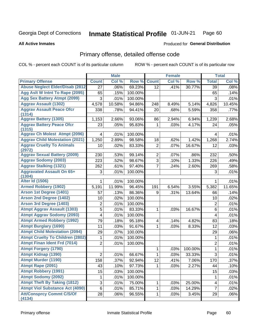### Inmate Statistical Profile 01-JUN-21 Page 60

### **All Active Inmates**

## **Produced for General Distribution**

# Primary offense, detailed offense code

COL % - percent each COUNT is of its particular column

|                                            |                | <b>Male</b> |         |                | <b>Female</b> |         |                         | <b>Total</b> |
|--------------------------------------------|----------------|-------------|---------|----------------|---------------|---------|-------------------------|--------------|
| <b>Primary Offense</b>                     | <b>Count</b>   | Col %       | Row %   | <b>Count</b>   | Col %         | Row %   | <b>Total</b>            | Col %        |
| <b>Abuse Neglect Elder/Disab (2812)</b>    | 27             | .06%        | 69.23%  | 12             | .41%          | 30.77%  | 39                      | .08%         |
| Agg Aslt W Intnt To Rape (2095)            | 65             | .15%        | 100.00% |                |               |         | 65                      | .14%         |
| <b>Agg Sex Battery Atmpt (2099)</b>        | 3              | .01%        | 100.00% |                |               |         | 3                       | .01%         |
| <b>Aggrav Assault (1302)</b>               | 4,578          | 10.58%      | 94.86%  | 248            | 8.49%         | 5.14%   | 4,826                   | 10.45%       |
| <b>Aggrav Assault Peace Ofcr</b><br>(1314) | 338            | .78%        | 94.41%  | 20             | .68%          | 5.59%   | 358                     | .77%         |
| <b>Aggrav Battery (1305)</b>               | 1,153          | 2.66%       | 93.06%  | 86             | 2.94%         | 6.94%   | 1,239                   | 2.68%        |
| <b>Aggrav Battery Peace Ofcr</b><br>(1315) | 23             | .05%        | 95.83%  | 1              | .03%          | 4.17%   | 24                      | .05%         |
| <b>Aggrav Ch Molest Atmpt (2096)</b>       | 4              | .01%        | 100.00% |                |               |         | 4                       | .01%         |
| <b>Aggrav Child Molestation (2021)</b>     | 1,250          | 2.89%       | 98.58%  | 18             | .62%          | 1.42%   | 1,268                   | 2.74%        |
| <b>Aggrav Cruelty To Animals</b><br>(2972) | 10             | .02%        | 83.33%  | $\overline{2}$ | .07%          | 16.67%  | 12                      | .03%         |
| <b>Aggrav Sexual Battery (2009)</b>        | 230            | .53%        | 99.14%  | $\overline{2}$ | .07%          | .86%    | 232                     | .50%         |
| <b>Aggrav Sodomy (2003)</b>                | 223            | .52%        | 98.67%  | 3              | .10%          | 1.33%   | 226                     | .49%         |
| <b>Aggrav Stalking (1321)</b>              | 262            | .61%        | 97.40%  | $\overline{7}$ | .24%          | 2.60%   | 269                     | .58%         |
| <b>Aggravated Assault On 65+</b><br>(1304) | 3              | .01%        | 100.00% |                |               |         | 3                       | .01%         |
| <b>Alter Id (1506)</b>                     | 1              | .01%        | 100.00% |                |               |         | 1                       | .01%         |
| <b>Armed Robbery (1902)</b>                | 5,191          | 11.99%      | 96.45%  | 191            | 6.54%         | 3.55%   | 5,382                   | 11.65%       |
| Arson 1st Degree (1401)                    | 57             | .13%        | 86.36%  | 9              | .31%          | 13.64%  | 66                      | .14%         |
| <b>Arson 2nd Degree (1402)</b>             | 10             | .02%        | 100.00% |                |               |         | 10                      | .02%         |
| <b>Arson 3rd Degree (1403)</b>             | $\overline{c}$ | .01%        | 100.00% |                |               |         | $\overline{2}$          | .01%         |
| <b>Atmpt Aggrav Assault (1303)</b>         | 5              | .01%        | 83.33%  | 1              | .03%          | 16.67%  | 6                       | .01%         |
| <b>Atmpt Aggrav Sodomy (2093)</b>          | 4              | .01%        | 100.00% |                |               |         | $\overline{\mathbf{4}}$ | .01%         |
| <b>Atmpt Armed Robbery (1992)</b>          | 79             | .18%        | 95.18%  | 4              | .14%          | 4.82%   | 83                      | .18%         |
| <b>Atmpt Burglary (1690)</b>               | 11             | .03%        | 91.67%  | 1              | .03%          | 8.33%   | 12                      | .03%         |
| <b>Atmpt Child Molestation (2094)</b>      | 29             | .07%        | 100.00% |                |               |         | 29                      | .06%         |
| <b>Atmpt Cruelty To Children (2802)</b>    | $\mathbf{1}$   | .01%        | 100.00% |                |               |         | $\mathbf{1}$            | .01%         |
| <b>Atmpt Finan Ident Frd (7014)</b>        | $\overline{2}$ | .01%        | 100.00% |                |               |         | $\overline{2}$          | .01%         |
| <b>Atmpt Forgery (1790)</b>                |                |             |         | 1              | .03%          | 100.00% | $\mathbf{1}$            | .01%         |
| <b>Atmpt Kidnap (1390)</b>                 | 2              | .01%        | 66.67%  | 1              | .03%          | 33.33%  | 3                       | .01%         |
| <b>Atmpt Murder (1190)</b>                 | 158            | .37%        | 92.94%  | 12             | .41%          | 7.06%   | 170                     | .37%         |
| Atmpt Rape (2091)                          | 43             | .10%        | 97.73%  | 1              | .03%          | 2.27%   | 44                      | .10%         |
| <b>Atmpt Robbery (1991)</b>                | 15             | .03%        | 100.00% |                |               |         | 15                      | .03%         |
| <b>Atmpt Sodomy (2092)</b>                 | 1              | .01%        | 100.00% |                |               |         | $\mathbf{1}$            | .01%         |
| <b>Atmpt Theft By Taking (1812)</b>        | 3              | .01%        | 75.00%  | 1              | .03%          | 25.00%  | $\overline{4}$          | .01%         |
| <b>Atmpt Viol Substance Act (4090)</b>     | 6              | .01%        | 85.71%  | 1              | .03%          | 14.29%  | $\overline{7}$          | .02%         |
| <b>Att/Consprcy Commt C/S/Of</b><br>(4134) | 28             | .06%        | 96.55%  | 1              | .03%          | 3.45%   | 29                      | .06%         |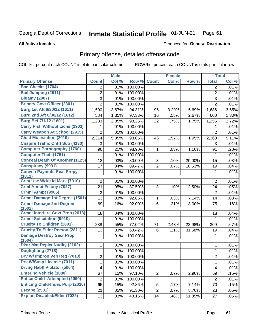### **Inmate Statistical Profile 01-JUN-21** Page 61

### **All Active Inmates**

# **Produced for General Distribution**

# Primary offense, detailed offense code

COL % - percent each COUNT is of its particular column

|                                           | <b>Male</b>    |       | <b>Female</b> |                |       | <b>Total</b> |                |       |
|-------------------------------------------|----------------|-------|---------------|----------------|-------|--------------|----------------|-------|
| <b>Primary Offense</b>                    | <b>Count</b>   | Col % | Row %         | <b>Count</b>   | Col % | Row %        | <b>Total</b>   | Col % |
| <b>Bad Checks (1704)</b>                  | 2              | .01%  | 100.00%       |                |       |              | 2              | .01%  |
| <b>Bail Jumping (2511)</b>                | $\overline{2}$ | .01%  | 100.00%       |                |       |              | $\overline{2}$ | .01%  |
| <b>Bigamy (2007)</b>                      | 3              | .01%  | 100.00%       |                |       |              | 3              | .01%  |
| <b>Bribery Govt Officer (2301)</b>        | $\overline{2}$ | .01%  | 100.00%       |                |       |              | $\overline{2}$ | .01%  |
| Burg 1st Aft 6/30/12 (1611)               | 1,590          | 3.67% | 94.31%        | 96             | 3.29% | 5.69%        | 1,686          | 3.65% |
| Burg 2nd Aft 6/30/12 (1612)               | 584            | 1.35% | 97.33%        | 16             | .55%  | 2.67%        | 600            | 1.30% |
| <b>Burg Bef 7/1/12 (1601)</b>             | 1,233          | 2.85% | 98.25%        | 22             | .75%  | 1.75%        | 1,255          | 2.72% |
| <b>Carry Pistl Without Licns (2903)</b>   | 1              | .01%  | 100.00%       |                |       |              | 1              | .01%  |
| <b>Carry Weapon At School (2915)</b>      | $\overline{2}$ | .01%  | 100.00%       |                |       |              | $\overline{2}$ | .01%  |
| <b>Child Molestation (2019)</b>           | 2,314          | 5.35% | 98.05%        | 46             | 1.57% | 1.95%        | 2,360          | 5.11% |
| <b>Cnspire Traffic Cntrl Sub (4130)</b>   | 3              | .01%  | 100.00%       |                |       |              | 3              | .01%  |
| <b>Computer Pornography (1760)</b>        | 90             | .21%  | 98.90%        | 1              | .03%  | 1.10%        | 91             | .20%  |
| <b>Computer Theft (1761)</b>              | 1              | .01%  | 100.00%       |                |       |              | 1              | .01%  |
| <b>Conceal Death Of Another (1125)</b>    | 12             | .03%  | 80.00%        | 3              | .10%  | 20.00%       | 15             | .03%  |
| <b>Conspiracy (9901)</b>                  | 17             | .04%  | 89.47%        | $\overline{2}$ | .07%  | 10.53%       | 19             | .04%  |
| <b>Convsn Paymnts Real Propy</b>          | 1              | .01%  | 100.00%       |                |       |              | 1              | .01%  |
| (1811)                                    |                |       |               |                |       |              |                |       |
| Crim Use W/Alt Id Mark (7010)             | $\overline{2}$ | .01%  | 100.00%       |                |       |              | $\overline{2}$ | .01%  |
| <b>Crml Atmpt Felony (7027)</b>           | 21             | .05%  | 87.50%        | 3              | .10%  | 12.50%       | 24             | .05%  |
| Crmnl Atmpt (9905)                        | $\overline{2}$ | .01%  | 100.00%       |                |       |              | $\overline{2}$ | .01%  |
| Crmnl Damage 1st Degree (1501)            | 13             | .03%  | 92.86%        | 1              | .03%  | 7.14%        | 14             | .03%  |
| <b>Crmnl Damage 2nd Degree</b><br>(1502)  | 69             | .16%  | 92.00%        | 6              | .21%  | 8.00%        | 75             | .16%  |
| <b>Crmnl Interfere Govt Prop (2613)</b>   | 18             | .04%  | 100.00%       |                |       |              | 18             | .04%  |
| <b>Crmnl Solicitation (9910)</b>          | 1              | .01%  | 100.00%       |                |       |              | 1              | .01%  |
| <b>Cruelty To Children (2801)</b>         | 238            | .55%  | 77.02%        | 71             | 2.43% | 22.98%       | 309            | .67%  |
| <b>Cruelty To Elder Person (2811)</b>     | 13             | .03%  | 68.42%        | 6              | .21%  | 31.58%       | 19             | .04%  |
| <b>Damage Destroy Secr Prop</b><br>(1504) | 1              | .01%  | 100.00%       |                |       |              | 1              | .01%  |
| <b>Distr Mat Depict Nudity (2102)</b>     | 1              | .01%  | 100.00%       |                |       |              | 1              | .01%  |
| Dogfighting (2718)                        | $\mathbf{1}$   | .01%  | 100.00%       |                |       |              | $\mathbf{1}$   | .01%  |
| Drv W/ Improp Veh Reg (7013)              | $\overline{2}$ | .01%  | 100.00%       |                |       |              | $\overline{2}$ | .01%  |
| Drv W/Susp License (7011)                 | 1              | .01%  | 100.00%       |                |       |              | 1              | .01%  |
| <b>Drvng Habtl Violator (5004)</b>        | 4              | .01%  | 100.00%       |                |       |              | 4              | .01%  |
| <b>Entering Vehicle (1880)</b>            | 67             | .15%  | 97.10%        | $\overline{2}$ | .07%  | 2.90%        | 69             | .15%  |
| <b>Entice Child Attempted (2090)</b>      | $\overline{2}$ | .01%  | 100.00%       |                |       |              | $\overline{2}$ | .01%  |
| <b>Enticing Child-Indec Purp (2020)</b>   | 65             | .15%  | 92.86%        | 5              | .17%  | 7.14%        | 70             | .15%  |
| <b>Escape (2501)</b>                      | 21             | .05%  | 91.30%        | $\overline{2}$ | .07%  | 8.70%        | 23             | .05%  |
| <b>Exploit Disabled/Elder (7022)</b>      | 13             | .03%  | 48.15%        | 14             | .48%  | 51.85%       | 27             | .06%  |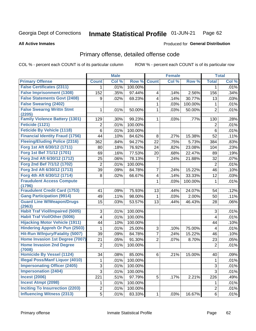### Inmate Statistical Profile 01-JUN-21 Page 62

### **All Active Inmates**

## Produced for General Distribution

# Primary offense, detailed offense code

COL % - percent each COUNT is of its particular column

|                                                |                | <b>Male</b> |         |                         | <b>Female</b> |         |                | <b>Total</b> |
|------------------------------------------------|----------------|-------------|---------|-------------------------|---------------|---------|----------------|--------------|
| <b>Primary Offense</b>                         | <b>Count</b>   | Col %       | Row %   | <b>Count</b>            | Col %         | Row %   | <b>Total</b>   | Col %        |
| <b>False Certificates (2311)</b>               | 1              | .01%        | 100.00% |                         |               |         | 1              | $.01\%$      |
| <b>False Imprisonment (1308)</b>               | 152            | .35%        | 97.44%  | 4                       | .14%          | 2.56%   | 156            | .34%         |
| <b>False Statements Govt (2408)</b>            | 9              | .02%        | 69.23%  | 4                       | .14%          | 30.77%  | 13             | .03%         |
| <b>False Swearing (2402)</b>                   |                |             |         | 1                       | .03%          | 100.00% | 1              | .01%         |
| <b>False Swearng Writtn Stmt</b>               | 1              | .01%        | 50.00%  | 1                       | .03%          | 50.00%  | $\overline{2}$ | .01%         |
| (2205)                                         |                |             |         |                         |               |         |                |              |
| <b>Family Violence Battery (1301)</b>          | 129            | .30%        | 99.23%  | 1                       | .03%          | .77%    | 130            | .28%         |
| Feticide (1121)                                | 2              | .01%        | 100.00% |                         |               |         | $\overline{2}$ | .01%         |
| <b>Feticide By Vehicle (1118)</b>              | 6              | .01%        | 100.00% |                         |               |         | $\,6\,$        | .01%         |
| <b>Financial Identity Fraud (1756)</b>         | 44             | .10%        | 84.62%  | 8                       | .27%          | 15.38%  | 52             | .11%         |
| <b>Fleeing/Eluding Police (2316)</b>           | 362            | .84%        | 94.27%  | 22                      | .75%          | 5.73%   | 384            | .83%         |
| Forg 1st Aft 6/30/12 (1711)                    | 80             | .18%        | 76.92%  | 24                      | .82%          | 23.08%  | 104            | .23%         |
| Forg 1st Bef 7/1/12 (1701)                     | 69             | .16%        | 77.53%  | 20                      | .68%          | 22.47%  | 89             | .19%         |
| Forg 2nd Aft 6/30/12 (1712)                    | 25             | .06%        | 78.13%  | $\overline{7}$          | .24%          | 21.88%  | 32             | .07%         |
| Forg 2nd Bef 7/1/12 (1702)                     | $\overline{c}$ | .01%        | 100.00% |                         |               |         | $\overline{2}$ | .01%         |
| Forg 3rd Aft 6/30/12 (1713)                    | 39             | .09%        | 84.78%  | $\overline{7}$          | .24%          | 15.22%  | 46             | .10%         |
| Forg 4th Aft 6/30/12 (1714)                    | 8              | .02%        | 66.67%  | $\overline{\mathbf{4}}$ | .14%          | 33.33%  | 12             | .03%         |
| <b>Fraudulent Access Compute</b>               |                |             |         | $\mathbf{1}$            | .03%          | 100.00% | 1              | .01%         |
| (1796)<br><b>Fraudulent Credit Card (1753)</b> |                |             |         |                         |               |         |                |              |
|                                                | 41             | .09%        | 75.93%  | 13                      | .44%          | 24.07%  | 54             | .12%         |
| <b>Gang Participation (9914)</b>               | 49             | .11%        | 98.00%  | 1                       | .03%          | 2.00%   | 50             | .11%         |
| <b>Guard Line W/Weapon/Drugs</b><br>(2963)     | 15             | .03%        | 53.57%  | 13                      | .44%          | 46.43%  | 28             | .06%         |
| <b>Habit Traf Viol/Impaired (5005)</b>         | 3              | .01%        | 100.00% |                         |               |         | 3              | .01%         |
| <b>Habit Traf Viol/Other (5006)</b>            | 4              | .01%        | 100.00% |                         |               |         | 4              | .01%         |
| <b>Hijacking Motor Vehicle (1911)</b>          | 44             | .10%        | 100.00% |                         |               |         | 44             | .10%         |
| <b>Hindering Appreh Or Pun (2503)</b>          | 1              | .01%        | 25.00%  | 3                       | .10%          | 75.00%  | 4              | .01%         |
| Hit-Run W/Injury/Fatality (5007)               | 39             | .09%        | 84.78%  | $\overline{7}$          | .24%          | 15.22%  | 46             | .10%         |
| Home Invasion 1st Degree (7007)                | 21             | .05%        | 91.30%  | $\overline{2}$          | .07%          | 8.70%   | 23             | .05%         |
| <b>Home Invasion 2nd Degree</b>                | $\overline{2}$ | .01%        | 100.00% |                         |               |         | $\overline{2}$ | .01%         |
| (7008)                                         |                |             |         |                         |               |         |                |              |
| Homicide By Vessel (1124)                      | 34             | .08%        | 85.00%  | 6                       | .21%          | 15.00%  | 40             | .09%         |
| <b>Illegal Poss/Manf Liquor (4010)</b>         | 1              | .01%        | 100.00% |                         |               |         | $\mathbf 1$    | .01%         |
| <b>Impersonating Officer (2405)</b>            | 3              | .01%        | 100.00% |                         |               |         | 3              | .01%         |
| <b>Impersonation (2404)</b>                    | 3              | .01%        | 100.00% |                         |               |         | 3              | .01%         |
| <b>Incest (2006)</b>                           | 221            | .51%        | 97.79%  | 5 <sup>1</sup>          | .17%          | 2.21%   | 226            | .49%         |
| <b>Incest Atmpt (2098)</b>                     | 1              | .01%        | 100.00% |                         |               |         | 1              | .01%         |
| <b>Inciting To Insurrection (2203)</b>         | $\overline{c}$ | .01%        | 100.00% |                         |               |         | $\overline{2}$ | .01%         |
| <b>Influencing Witness (2313)</b>              | 5              | .01%        | 83.33%  | $\mathbf{1}$            | .03%          | 16.67%  | 6              | .01%         |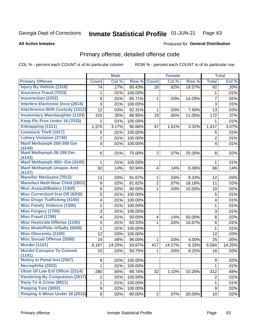### Inmate Statistical Profile 01-JUN-21 Page 63

**All Active Inmates** 

## Produced for General Distribution

# Primary offense, detailed offense code

COL % - percent each COUNT is of its particular column

|                                            |                | <b>Male</b> |                 |                         | <b>Female</b>       |        |                         | <b>Total</b> |
|--------------------------------------------|----------------|-------------|-----------------|-------------------------|---------------------|--------|-------------------------|--------------|
| <b>Primary Offense</b>                     | <b>Count</b>   | Col %       | Row %           | <b>Count</b>            | Col%                | Row %  | <b>Total</b>            | Col %        |
| <b>Injury By Vehicle (1318)</b>            | 74             | .17%        | 80.43%          | 18                      | .62%                | 19.57% | 92                      | .20%         |
| <b>Insurance Fraud (7023)</b>              | 1              | .01%        | 100.00%         |                         |                     |        | 1                       | .01%         |
| <b>Insurrection (2202)</b>                 | 6              | .01%        | 85.71%          | 1                       | .03%                | 14.29% | $\overline{7}$          | .02%         |
| <b>Interfere Electronic Dvce (2614)</b>    | 3              | .01%        | 100.00%         |                         |                     |        | 3                       | .01%         |
| <b>Interference With Custody (1312)</b>    | 12             | .03%        | 92.31%          | 1                       | .03%                | 7.69%  | 13                      | .03%         |
| <b>Involuntary Manslaughter (1103)</b>     | 153            | .35%        | 88.95%          | 19                      | .65%                | 11.05% | 172                     | .37%         |
| Keep Plc Pros Under 18 (7033)              | 1.             | .01%        | 100.00%         |                         |                     |        | 1.                      | .01%         |
| Kidnapping (1311)                          | 1,370          | 3.17%       | 96.68%          | 47                      | 1.61%               | 3.32%  | 1,417                   | 3.07%        |
| <b>Livestock Theft (1817)</b>              | 5              | .01%        | 100.00%         |                         |                     |        | 5                       | .01%         |
| <b>Lottery Violation (2730)</b>            | 2              | .01%        | 100.00%         |                         |                     |        | $\overline{2}$          | .01%         |
| Manf Methamph 200-399 Gm<br>(4144)         | 4              | .01%        | 100.00%         |                         |                     |        | $\overline{\mathbf{4}}$ | .01%         |
| Manf Methamph 28-199 Gm                    | 6              | .01%        | 75.00%          | $\overline{c}$          | .07%                | 25.00% | 8                       | .02%         |
| (4143)                                     |                |             |                 |                         |                     |        |                         |              |
| Manf Methamph 400+ Gm (4145)               | 1              | .01%        | 100.00%         |                         |                     |        | 1                       | .01%         |
| <b>Manf Methamph Unspec Amt</b><br>(4147)  | 62             | .14%        | 93.94%          | 4                       | .14%                | 6.06%  | 66                      | .14%         |
| Manufac Marijuana (7012)                   | 11             | .03%        | 91.67%          | 1                       | .03%                | 8.33%  | 12                      | .03%         |
| <b>Manufact Meth Near Child (2803)</b>     | 9              | .02%        | 81.82%          | $\overline{2}$          | .07%                | 18.18% | 11                      | .02%         |
| <b>Misc Assault/Battery (1300)</b>         | 9              | .02%        | 90.00%          | 1                       | .03%                | 10.00% | 10                      | .02%         |
| <b>Misc Correctionl Inst Off (6200)</b>    | 5              | .01%        | 100.00%         |                         |                     |        | 5                       | .01%         |
| <b>Misc Drugs Trafficking (4100)</b>       | 4              | .01%        | 100.00%         |                         |                     |        | 4                       | .01%         |
| <b>Misc Family Violence (1306)</b>         | 1              | .01%        | 100.00%         |                         |                     |        | 1                       | .01%         |
| <b>Misc Forgery (1700)</b>                 | 3              | .01%        | 100.00%         |                         |                     |        | 3                       | .01%         |
| <b>Misc Fraud (1799)</b>                   | 4              | .01%        | 50.00%          | $\overline{\mathbf{4}}$ | .14%                | 50.00% | 8                       | .02%         |
| <b>Misc Homicide Offense (1100)</b>        | 5              | .01%        | 83.33%          | 1                       | .03%                | 16.67% | 6                       | .01%         |
| <b>Misc Mrals/Pblic H/Safty (6000)</b>     | 1              | .01%        | 100.00%         |                         |                     |        | 1                       | .01%         |
| <b>Misc Obscenity (2100)</b>               | 12             | .03%        | 100.00%         |                         |                     |        | 12                      | .03%         |
| <b>Misc Sexual Offense (2000)</b>          | 24             | .06%        | 96.00%          | 1                       | .03%                | 4.00%  | 25                      | .05%         |
| <b>Murder (1101)</b>                       | 6,167          | 14.25%      | 93.67%          | 417                     | 14.27%              | 6.33%  | 6,584                   | 14.25%       |
| <b>Murder Conspire To Commit</b><br>(1191) | 15             | .03%        | 93.75%          | 1                       | .03%                | 6.25%  | 16                      | .03%         |
| <b>Mutiny In Penal Inst (2507)</b>         | $9\vert$       |             | $.02\%$ 100.00% |                         |                     |        | 9 <sup>1</sup>          | .02%         |
| Necrophilia (2022)                         | 1              | .01%        | 100.00%         |                         |                     |        | 1                       | .01%         |
| <b>Obstr Of Law Enf Officer (2314)</b>     | 280            | .65%        | 89.74%          | 32                      | $\overline{1.10\%}$ | 10.26% | 312                     | .68%         |
| <b>Pandering By Compulsion (2017)</b>      | $\overline{2}$ | .01%        | 100.00%         |                         |                     |        | $\overline{2}$          | .01%         |
| Party To A Crime (9911)                    | $\mathbf 1$    | .01%        | 100.00%         |                         |                     |        | 1                       | .01%         |
| Peeping Tom (3002)                         | 9              | .02%        | 100.00%         |                         |                     |        | 9                       | .02%         |
| Pimping A Minor Under 18 (2016)            | 8 <sup>1</sup> | .02%        | 80.00%          | 2                       | $.07\%$             | 20.00% | 10                      | .02%         |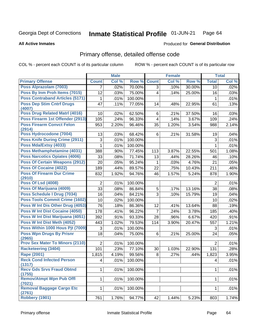### Inmate Statistical Profile 01-JUN-21 Page 64

### **All Active Inmates**

## **Produced for General Distribution**

# Primary offense, detailed offense code

COL % - percent each COUNT is of its particular column

|                                                  |                | <b>Male</b> |                  |                         | <b>Female</b> |        |                | <b>Total</b> |
|--------------------------------------------------|----------------|-------------|------------------|-------------------------|---------------|--------|----------------|--------------|
| <b>Primary Offense</b>                           | <b>Count</b>   | Col %       | Row %            | <b>Count</b>            | Col %         | Row %  | <b>Total</b>   | Col %        |
| Poss Alprazolam (7003)                           | $\overline{7}$ | .02%        | 70.00%           | $\overline{3}$          | .10%          | 30.00% | 10             | .02%         |
| Poss By Inm Proh Items (7015)                    | 12             | .03%        | 75.00%           | $\overline{4}$          | .14%          | 25.00% | 16             | .03%         |
| <b>Poss Contraband Articles (5171)</b>           | 1              | .01%        | 100.00%          |                         |               |        | 1              | .01%         |
| <b>Poss Dep Stim Cntrf Drugs</b>                 | 47             | .11%        | 77.05%           | 14                      | .48%          | 22.95% | 61             | .13%         |
| (4007)                                           |                |             |                  |                         |               |        |                |              |
| <b>Poss Drug Related Matri (4016)</b>            | 10             | .02%        | 62.50%           | 6                       | .21%          | 37.50% | 16             | .03%         |
| Poss Firearm 1st Offender (2913)                 | 105            | .24%        | 96.33%           | $\overline{\mathbf{4}}$ | .14%          | 3.67%  | 109            | .24%         |
| <b>Poss Firearm Convct Felon</b><br>(2914)       | 953            | 2.20%       | 96.46%           | 35                      | 1.20%         | 3.54%  | 988            | 2.14%        |
| Poss Hydrocodone (7004)                          | 13             | .03%        | 68.42%           | 6                       | .21%          | 31.58% | 19             | .04%         |
| <b>Poss Knife During Crime (2911)</b>            | 3              | .01%        | 100.00%          |                         |               |        | 3              | .01%         |
| Poss Mda/Extsy (4033)                            | 1              | .01%        | 100.00%          |                         |               |        | 1              | .01%         |
| Poss Methamphetamine (4031)                      | 388            | .90%        | 77.45%           | 113                     | 3.87%         | 22.55% | 501            | 1.08%        |
| <b>Poss Narcotics Opiates (4006)</b>             | 33             | .08%        | 71.74%           | 13                      | .44%          | 28.26% | 46             | .10%         |
| <b>Poss Of Certain Weapons (2912)</b>            | 20             | .05%        | 95.24%           | 1                       | .03%          | 4.76%  | 21             | .05%         |
| Poss Of Cocaine (4022)                           | 189            | .44%        | 89.57%           | 22                      | .75%          | 10.43% | 211            | .46%         |
| <b>Poss Of Firearm Dur Crime</b>                 | 832            | 1.92%       | 94.76%           | 46                      | 1.57%         | 5.24%  | 878            | 1.90%        |
| (2910)                                           |                |             |                  |                         |               |        |                |              |
| <b>Poss Of Lsd (4008)</b>                        | 2              | .01%        | 100.00%          |                         |               |        | 2              | .01%         |
| Poss Of Marijuana (4009)                         | 33             | .08%        | 86.84%           | 5                       | .17%          | 13.16% | 38             | .08%         |
| Poss Schedule I Drug (7034)                      | 16             | .04%        | 84.21%           | 3                       | .10%          | 15.79% | 19             | .04%         |
| <b>Poss Tools Commit Crime (1602)</b>            | 10             | .02%        | 100.00%          |                         |               |        | 10             | .02%         |
| Poss W Int Dis Other Drug (4053)                 | 76             | .18%        | 86.36%           | 12                      | .41%          | 13.64% | 88             | .19%         |
| <b>Poss W Int Dist Cocaine (4050)</b>            | 178            | .41%        | 96.22%           | $\overline{7}$          | .24%          | 3.78%  | 185            | .40%         |
| Poss W Int Dist Marijuana (4051)                 | 392            | .91%        | 93.33%           | 28                      | .96%          | 6.67%  | 420            | .91%         |
| Poss W Int Dist Meth (4052)                      | 443            | 1.02%       | 79.53%           | 114                     | 3.90%         | 20.47% | 557            | 1.21%        |
| Poss Within 1000 Hous Pjt (7009)                 | 3              | .01%        | 100.00%          |                         |               |        | 3              | .01%         |
| <b>Poss Wpn Drugs By Prisnr</b>                  | 18             | .04%        | 75.00%           | 6                       | .21%          | 25.00% | 24             | .05%         |
| (2965)<br><b>Prov Sex Mater To Minors (2110)</b> | $\overline{2}$ |             |                  |                         |               |        | $\overline{2}$ | .01%         |
| <b>Racketeering (3404)</b>                       | 101            | .01%        | 100.00%          |                         |               |        |                |              |
| <b>Rape (2001)</b>                               | 1,815          | .23%        | 77.10%<br>99.56% | 30<br>8                 | 1.03%         | 22.90% | 131            | .28%         |
| <b>Reck Cond Infected Person</b>                 |                | 4.19%       |                  |                         | .27%          | .44%   | 1,823          | 3.95%        |
| (1317)                                           | 4              | .01%        | 100.00%          |                         |               |        | 4              | .01%         |
| <b>Recv Gds Srvs Fraud Obtnd</b>                 | 1              | .01%        | 100.00%          |                         |               |        | 1              | .01%         |
| (1755)                                           |                |             |                  |                         |               |        |                |              |
| <b>Remov/Atmpt Wpn Pub Offl</b><br>(7021)        | 1              | .01%        | 100.00%          |                         |               |        | 1              | .01%         |
| Removal Baggage Cargo Etc<br>(2761)              | 1              | .01%        | 100.00%          |                         |               |        | 1              | .01%         |
| Robbery (1901)                                   | 761            | 1.76%       | 94.77%           | 42                      | 1.44%         | 5.23%  | 803            | 1.74%        |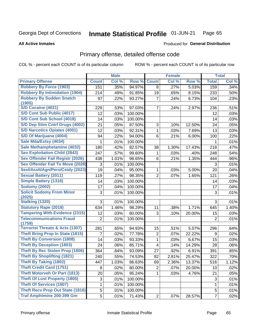### **Inmate Statistical Profile 01-JUN-21** Page 65

**All Active Inmates** 

### Produced for General Distribution

# Primary offense, detailed offense code

COL % - percent each COUNT is of its particular column

|                                                      |                | <b>Male</b> |                  |                         | <b>Female</b> |        |                | <b>Total</b> |
|------------------------------------------------------|----------------|-------------|------------------|-------------------------|---------------|--------|----------------|--------------|
| <b>Primary Offense</b>                               | <b>Count</b>   | Col %       | Row <sup>%</sup> | <b>Count</b>            | Col %         | Row %  | <b>Total</b>   | Col %        |
| <b>Robbery By Force (1903)</b>                       | 151            | .35%        | 94.97%           | 8                       | .27%          | 5.03%  | 159            | .34%         |
| <b>Robbery By Intimidation (1904)</b>                | 214            | .49%        | 91.85%           | 19                      | .65%          | 8.15%  | 233            | .50%         |
| <b>Robbery By Sudden Snatch</b>                      | 97             | .22%        | 93.27%           | 7                       | .24%          | 6.73%  | 104            | .23%         |
| (1905)                                               |                |             |                  |                         |               |        |                |              |
| <b>S/D Cocaine (4021)</b>                            | 229            | .53%        | 97.03%           | 7                       | .24%          | 2.97%  | 236            | .51%         |
| S/D Cont Sub Public (4017)                           | 12             | .03%        | 100.00%          |                         |               |        | 12             | .03%         |
| S/D Cont Sub School (4018)                           | 14             | .03%        | 100.00%          |                         |               |        | 14             | .03%         |
| S/D Dep Stim Cntrf Drugs (4002)                      | 21             | .05%        | 87.50%           | 3                       | .10%          | 12.50% | 24             | .05%         |
| <b>S/D Narcotics Opiates (4001)</b>                  | 12             | .03%        | 92.31%           | 1                       | .03%          | 7.69%  | 13             | .03%         |
| S/D Of Marijuana (4004)                              | 94             | .22%        | 94.00%           | 6                       | .21%          | 6.00%  | 100            | .22%         |
| Sale Mda/Extsy (4034)                                | 1              | .01%        | 100.00%          |                         |               |        | 1              | .01%         |
| Sale Methamphetamine (4032)                          | 180            | .42%        | 82.57%           | 38                      | 1.30%         | 17.43% | 218            | .47%         |
| <b>Sex Exploitation Child (2843)</b>                 | 247            | .57%        | 99.60%           | 1                       | .03%          | .40%   | 248            | .54%         |
| <b>Sex Offender Fail Registr (2026)</b>              | 438            | 1.01%       | 98.65%           | 6                       | .21%          | 1.35%  | 444            | .96%         |
| <b>Sex Offender Fail To Move (2028)</b>              | 3              | .01%        | 100.00%          |                         |               |        | 3              | .01%         |
| Sexl/Asslt/Agn/Pers/Cstdy (2023)                     | 19             | .04%        | 95.00%           | 1                       | .03%          | 5.00%  | 20             | .04%         |
| <b>Sexual Battery (2011)</b>                         | 119            | .27%        | 98.35%           | $\overline{2}$          | .07%          | 1.65%  | 121            | .26%         |
| <b>Simple Battery (1316)</b>                         | 14             | .03%        | 100.00%          |                         |               |        | 14             | .03%         |
| <b>Sodomy (2002)</b>                                 | 17             | .04%        | 100.00%          |                         |               |        | 17             | .04%         |
| <b>Solicit Sodomy From Minor</b>                     | 3              | .01%        | 100.00%          |                         |               |        | 3              | .01%         |
| (2025)                                               |                |             |                  |                         |               |        |                |              |
| <b>Stalking (1320)</b>                               | 3              | .01%        | 100.00%          |                         |               |        | 3              | .01%         |
| <b>Statutory Rape (2018)</b>                         | 634            | 1.46%       | 98.29%           | 11                      | .38%          | 1.71%  | 645            | 1.40%        |
| <b>Tampering With Evidence (2315)</b>                | 12             | .03%        | 80.00%           | 3                       | .10%          | 20.00% | 15             | .03%         |
| <b>Telecommunications Fraud</b>                      | $\overline{2}$ | .01%        | 100.00%          |                         |               |        | $\overline{2}$ | .01%         |
| (1759)<br><b>Terrorist Threats &amp; Acts (1307)</b> | 281            | .65%        | 94.93%           | 15                      | .51%          | 5.07%  | 296            | .64%         |
| <b>Theft Bring Prop In State (1815)</b>              | $\overline{7}$ | .02%        | 77.78%           | $\overline{2}$          | .07%          | 22.22% | 9              | .02%         |
| <b>Theft By Conversion (1808)</b>                    | 14             | .03%        | 93.33%           | $\mathbf{1}$            | .03%          | 6.67%  | 15             | .03%         |
| <b>Theft By Deception (1803)</b>                     | 24             |             | 85.71%           | $\overline{\mathbf{4}}$ |               | 14.29% |                |              |
| Theft By Rec Stolen Prop (1806)                      |                | .06%        |                  |                         | .14%          |        | 28             | .06%         |
|                                                      | 364            | .84%        | 93.09%           | 27                      | .92%          | 6.91%  | 391            | .85%         |
| <b>Theft By Shoplifting (1821)</b>                   | 240            | .55%        | 74.53%           | 82                      | 2.81%         | 25.47% | 322            | .70%         |
| <b>Theft By Taking (1802)</b>                        | 447            | 1.03%       | 86.63%           | 69                      | 2.36%         | 13.37% | 516            | 1.12%        |
| <b>Theft Credit Card (1751)</b>                      | 8              | .02%        | 80.00%           | 2                       | .07%          | 20.00% | 10             | .02%         |
| <b>Theft Motorveh Or Part (1813)</b>                 | 20             | .05%        | 95.24%           |                         | .03%          | 4.76%  | 21             | .05%         |
| <b>Theft Of Lost Property (1805)</b>                 | 3              | .01%        | 100.00%          |                         |               |        | 3              | .01%         |
| <b>Theft Of Services (1807)</b>                      | 1              | .01%        | 100.00%          |                         |               |        | 1              | .01%         |
| <b>Theft Recv Prop Out State (1816)</b>              | 5              | .01%        | 100.00%          |                         |               |        | 5              | .01%         |
| <b>Traf Amphtmine 200-399 Gm</b>                     | 5              | .01%        | 71.43%           | 2                       | .07%          | 28.57% | $\overline{7}$ | .02%         |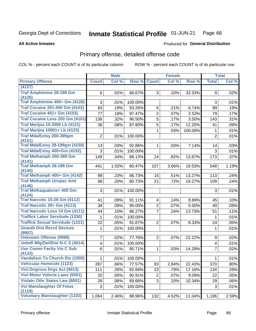### Inmate Statistical Profile 01-JUN-21 Page 66

### **All Active Inmates**

# **Produced for General Distribution**

# Primary offense, detailed offense code

COL % - percent each COUNT is of its particular column

|                                                 |                         | <b>Male</b> |         |                | <b>Female</b> |         |                | <b>Total</b> |
|-------------------------------------------------|-------------------------|-------------|---------|----------------|---------------|---------|----------------|--------------|
| <b>Primary Offense</b>                          | <b>Count</b>            | Col %       | Row %   | <b>Count</b>   | Col %         | Row %   | <b>Total</b>   | Col %        |
| (4127)                                          |                         |             |         |                |               |         |                |              |
| <b>Traf Amphtmine 28-199 Gm</b>                 | 6                       | .01%        | 66.67%  | 3              | .10%          | 33.33%  | 9              | .02%         |
| (4126)                                          |                         |             |         |                |               |         |                |              |
| Traf Amphtmine 400+ Gm (4128)                   | 3                       | .01%        | 100.00% |                |               |         | 3              | .01%         |
| <b>Traf Cocaine 201-400 Gm (4102)</b>           | 83                      | .19%        | 93.26%  | 6              | .21%          | 6.74%   | 89             | .19%         |
| <b>Traf Cocaine 401+ Gm (4103)</b>              | 77                      | .18%        | 97.47%  | $\overline{2}$ | .07%          | 2.53%   | 79             | .17%         |
| Traf Cocaine Less 200 Gm (4101)                 | 138                     | .32%        | 96.50%  | $\overline{5}$ | .17%          | 3.50%   | 143            | .31%         |
| <b>Traf Marijna 10-2000 Lb (4121)</b>           | 36                      | .08%        | 87.80%  | $\overline{5}$ | .17%          | 12.20%  | 41             | .09%         |
| <b>Traf Marijna 10001+ Lb (4123)</b>            |                         |             |         | $\mathbf{1}$   | .03%          | 100.00% | 1              | .01%         |
| Traf Mda/Extsy 200-399gm                        | $\overline{2}$          | .01%        | 100.00% |                |               |         | $\overline{2}$ | .01%         |
| (4151)                                          |                         |             |         |                |               |         |                |              |
| <b>Traf Mda/Extsy 28-199gm (4150)</b>           | 13                      | .03%        | 92.86%  | $\mathbf{1}$   | .03%          | 7.14%   | 14             | .03%         |
| Traf Mda/Extsy 400+Gm (4152)                    | 3                       | .01%        | 100.00% |                |               |         | 3              | .01%         |
| Traf Methamph 200-399 Gm                        | 149                     | .34%        | 86.13%  | 24             | .82%          | 13.87%  | 173            | .37%         |
| (4141)<br><b>Traf Methamph 28-199 Gm</b>        |                         |             |         |                |               |         |                |              |
| (4140)                                          | 441                     | 1.02%       | 80.47%  | 107            | 3.66%         | 19.53%  | 548            | 1.19%        |
| Traf Methamph 400+ Gm (4142)                    | 98                      | .23%        | 86.73%  | 15             | .51%          | 13.27%  | 113            | .24%         |
| <b>Traf Methamph Unspec Amt</b>                 | 88                      | .20%        | 80.73%  | 21             | .72%          | 19.27%  | 109            | .24%         |
| (4146)                                          |                         |             |         |                |               |         |                |              |
| <b>Traf Methaqualone&lt; 400 Gm</b>             | 3                       | .01%        | 100.00% |                |               |         | 3              | .01%         |
| (4124)                                          |                         |             |         |                |               |         |                |              |
| <b>Traf Narcotic 15-28 Gm (4112)</b>            | 41                      | .09%        | 91.11%  | $\overline{4}$ | .14%          | 8.89%   | 45             | .10%         |
| Traf Narcotic 29+ Gm (4113)                     | 38                      | .09%        | 95.00%  | $\overline{2}$ | $.07\%$       | 5.00%   | 40             | .09%         |
| Traf Narcotic Less 14 Gm (4111)                 | 44                      | .10%        | 86.27%  | 7              | .24%          | 13.73%  | 51             | .11%         |
| <b>Traffick Labor Servitude (1330)</b>          | 1                       | .01%        | 100.00% |                |               |         | 1              | .01%         |
| <b>Traffick Sexual Servitude (1331)</b>         | 22                      | .05%        | 91.67%  | $\overline{2}$ | .07%          | 8.33%   | 24             | .05%         |
| <b>Unauth Dist Recrd Devices</b>                | 1                       | .01%        | 100.00% |                |               |         | 1              | .01%         |
| (9907)                                          |                         |             |         |                |               |         |                |              |
| <b>Unknown Offense (9999)</b>                   | 7                       | .02%        | 77.78%  | $\overline{2}$ | .07%          | 22.22%  | 9              | .02%         |
| Uniwfl Mfg/Del/Dist N-C S (4014)                | $\overline{\mathbf{4}}$ | .01%        | 100.00% |                |               |         | 4              | .01%         |
| <b>Use Comm Facity Vio C Sub</b>                | 6                       | .01%        | 85.71%  | $\mathbf{1}$   | .03%          | 14.29%  | $\overline{7}$ | .02%         |
| (4133)<br><b>Vandalism To Church Etc (1505)</b> |                         |             |         |                |               |         |                |              |
|                                                 | 1                       | $.01\%$     | 100.00% |                |               |         | $\mathbf{1}$   | .01%         |
| <b>Vehicular Homicide (1123)</b>                | 287                     | .66%        | 77.57%  | 83             | 2.84%         | 22.43%  | 370            | $.80\%$      |
| <b>Viol Dngrous Drgs Act (4013)</b>             | 111                     | .26%        | 82.84%  | 23             | .79%          | 17.16%  | 134            | .29%         |
| <b>Viol Motor Vehicle Laws (5001)</b>           | 20                      | .05%        | 90.91%  | $\overline{2}$ | .07%          | 9.09%   | 22             | .05%         |
| <b>Violatn Othr States Law (8001)</b>           | 26                      | .06%        | 89.66%  | 3              | .10%          | 10.34%  | 29             | .06%         |
| <b>Vol Manslaughter Of Fetus</b><br>(1119)      | 3                       | .01%        | 100.00% |                |               |         | 3              | .01%         |
| <b>Voluntary Manslaughter (1102)</b>            | 1,064                   | 2.46%       | 88.96%  | 132            | 4.52%         | 11.04%  | 1,196          | 2.59%        |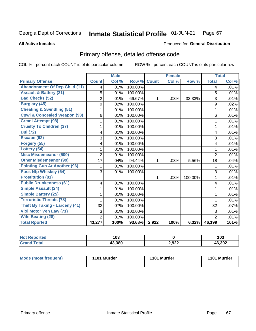### Inmate Statistical Profile 01-JUN-21 Page 67

### **All Active Inmates**

# **Produced for General Distribution**

# Primary offense, detailed offense code

COL % - percent each COUNT is of its particular column

|                                         |                | <b>Male</b> |         |                | <b>Female</b> |         |                | <b>Total</b> |
|-----------------------------------------|----------------|-------------|---------|----------------|---------------|---------|----------------|--------------|
| <b>Primary Offense</b>                  | <b>Count</b>   | Col %       | Row %   | <b>Count</b>   | Col %         | Row %   | <b>Total</b>   | Col %        |
| <b>Abandonment Of Dep Child (11)</b>    | 4              | .01%        | 100.00% |                |               |         | 4              | .01%         |
| <b>Assault &amp; Battery (21)</b>       | 5              | .01%        | 100.00% |                |               |         | 5              | .01%         |
| <b>Bad Checks (52)</b>                  | $\overline{2}$ | .01%        | 66.67%  | 1              | .03%          | 33.33%  | 3              | .01%         |
| <b>Burglary (45)</b>                    | 9              | .02%        | 100.00% |                |               |         | 9              | .02%         |
| <b>Cheating &amp; Swindling (51)</b>    |                | .01%        | 100.00% |                |               |         | 1              | .01%         |
| <b>Cpwl &amp; Concealed Weapon (93)</b> | 6              | .01%        | 100.00% |                |               |         | 6              | .01%         |
| <b>Crmnl Attempt (98)</b>               | 1              | .01%        | 100.00% |                |               |         | 1              | .01%         |
| <b>Cruelty To Children (37)</b>         | 1              | .01%        | 100.00% |                |               |         | 1              | .01%         |
| <b>Dui</b> (72)                         | 4              | .01%        | 100.00% |                |               |         | 4              | .01%         |
| Escape (92)                             | 3              | .01%        | 100.00% |                |               |         | 3              | .01%         |
| Forgery (55)                            | 4              | .01%        | 100.00% |                |               |         | 4              | .01%         |
| Lottery (54)                            |                | .01%        | 100.00% |                |               |         | 1              | .01%         |
| <b>Misc Misdemeanor (500)</b>           | $\overline{2}$ | .01%        | 100.00% |                |               |         | $\overline{2}$ | .01%         |
| <b>Other Misdemeanor (99)</b>           | 17             | .04%        | 94.44%  | 1              | .03%          | 5.56%   | 18             | .04%         |
| <b>Pointing Gun At Another (96)</b>     | 1              | .01%        | 100.00% |                |               |         | 1              | .01%         |
| <b>Poss Ntp Whiskey (64)</b>            | 3              | .01%        | 100.00% |                |               |         | 3              | .01%         |
| <b>Prostitution (81)</b>                |                |             |         | 1              | .03%          | 100.00% | 1              | .01%         |
| <b>Public Drunkenness (61)</b>          | 4              | .01%        | 100.00% |                |               |         | 4              | .01%         |
| Simple Assault (24)                     | 1              | .01%        | 100.00% |                |               |         | 1              | .01%         |
| <b>Simple Battery (25)</b>              |                | .01%        | 100.00% |                |               |         | 1              | .01%         |
| <b>Terroristic Threats (78)</b>         |                | .01%        | 100.00% |                |               |         | 1              | .01%         |
| <b>Theft By Taking - Larceny (41)</b>   | 32             | .07%        | 100.00% |                |               |         | 32             | .07%         |
| Viol Motor Veh Law (71)                 | 3              | .01%        | 100.00% |                |               |         | 3              | .01%         |
| <b>Wife Beating (28)</b>                | $\overline{2}$ | .01%        | 100.00% |                |               |         | $\overline{2}$ | .01%         |
| <b>Total Rported</b>                    | 43,277         | 100%        | 93.68%  | $\sqrt{2,922}$ | 100%          | 6.32%   | 46,199         | 101%         |

| N.<br>тео | 103    |       | 103    |
|-----------|--------|-------|--------|
|           | 43.380 | 2,922 | 46,302 |

| Mode (most frequent) | 1101 Murder | 1101 Murder | 1101 Murder |
|----------------------|-------------|-------------|-------------|
|                      |             |             |             |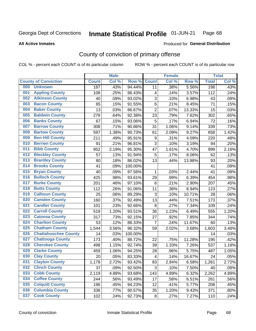#### Inmate Statistical Profile 01-JUN-21 Page 68

### **All Active Inmates**

# Produced for General Distribution

# County of conviction of primary offense

COL % - percent each COUNT is of its particular column

|     |                             |              | <b>Male</b> |                  |                         | <b>Female</b> |        |              | <b>Total</b> |
|-----|-----------------------------|--------------|-------------|------------------|-------------------------|---------------|--------|--------------|--------------|
|     | <b>County of Conviction</b> | <b>Count</b> | Col %       | Row <sub>%</sub> | <b>Count</b>            | Col %         | Row %  | <b>Total</b> | Col %        |
| 000 | <b>Unknown</b>              | 187          | .43%        | 94.44%           | 11                      | .38%          | 5.56%  | 198          | .43%         |
| 001 | <b>Appling County</b>       | 108          | .25%        | 96.43%           | 4                       | .14%          | 3.57%  | 112          | .24%         |
| 002 | <b>Atkinson County</b>      | 40           | .09%        | 93.02%           | 3                       | .10%          | 6.98%  | 43           | .09%         |
| 003 | <b>Bacon County</b>         | 65           | .15%        | 91.55%           | 6                       | .21%          | 8.45%  | 71           | .15%         |
| 004 | <b>Baker County</b>         | 13           | .03%        | 86.67%           | $\overline{2}$          | .07%          | 13.33% | 15           | .03%         |
| 005 | <b>Baldwin County</b>       | 279          | .64%        | 92.38%           | 23                      | .79%          | 7.62%  | 302          | .65%         |
| 006 | <b>Banks County</b>         | 67           | .15%        | 93.06%           | 5                       | .17%          | 6.94%  | 72           | .16%         |
| 007 | <b>Barrow County</b>        | 308          | .71%        | 90.86%           | 31                      | 1.06%         | 9.14%  | 339          | .73%         |
| 008 | <b>Bartow County</b>        | 597          | 1.38%       | 90.73%           | 61                      | 2.09%         | 9.27%  | 658          | 1.42%        |
| 009 | <b>Ben Hill County</b>      | 211          | .49%        | 95.91%           | $\boldsymbol{9}$        | .31%          | 4.09%  | 220          | .48%         |
| 010 | <b>Berrien County</b>       | 91           | .21%        | 96.81%           | 3                       | .10%          | 3.19%  | 94           | .20%         |
| 011 | <b>Bibb County</b>          | 952          | 2.19%       | 95.30%           | 47                      | 1.61%         | 4.70%  | 999          | 2.16%        |
| 012 | <b>Bleckley County</b>      | 57           | .13%        | 91.94%           | 5                       | .17%          | 8.06%  | 62           | .13%         |
| 013 | <b>Brantley County</b>      | 80           | .18%        | 86.02%           | 13                      | .44%          | 13.98% | 93           | .20%         |
| 014 | <b>Brooks County</b>        | 41           | .09%        | 100.00%          |                         |               |        | 41           | .09%         |
| 015 | <b>Bryan County</b>         | 40           | .09%        | 97.56%           | 1                       | .03%          | 2.44%  | 41           | .09%         |
| 016 | <b>Bulloch County</b>       | 425          | .98%        | 93.61%           | 29                      | .99%          | 6.39%  | 454          | .98%         |
| 017 | <b>Burke County</b>         | 201          | .46%        | 97.10%           | 6                       | .21%          | 2.90%  | 207          | .45%         |
| 018 | <b>Butts County</b>         | 112          | .26%        | 91.06%           | 11                      | .38%          | 8.94%  | 123          | .27%         |
| 019 | <b>Calhoun County</b>       | 25           | .06%        | 89.29%           | $\sqrt{3}$              | .10%          | 10.71% | 28           | .06%         |
| 020 | <b>Camden County</b>        | 160          | .37%        | 92.49%           | 13                      | .44%          | 7.51%  | 173          | .37%         |
| 021 | <b>Candler County</b>       | 101          | .23%        | 92.66%           | $\,8\,$                 | .27%          | 7.34%  | 109          | .24%         |
| 022 | <b>Carroll County</b>       | 519          | 1.20%       | 93.51%           | 36                      | 1.23%         | 6.49%  | 555          | 1.20%        |
| 023 | <b>Catoosa County</b>       | 317          | .73%        | 92.15%           | 27                      | .92%          | 7.85%  | 344          | .74%         |
| 024 | <b>Charlton County</b>      | 53           | .12%        | 88.33%           | $\overline{7}$          | .24%          | 11.67% | 60           | .13%         |
| 025 | <b>Chatham County</b>       | 1,544        | 3.56%       | 96.32%           | 59                      | 2.02%         | 3.68%  | 1,603        | 3.46%        |
| 026 | <b>Chattahoochee County</b> | 14           | .03%        | 100.00%          |                         |               |        | 14           | .03%         |
| 027 | <b>Chattooga County</b>     | 173          | .40%        | 88.72%           | 22                      | .75%          | 11.28% | 195          | .42%         |
| 028 | <b>Cherokee County</b>      | 498          | 1.15%       | 92.74%           | 39                      | 1.33%         | 7.26%  | 537          | 1.16%        |
| 029 | <b>Clarke County</b>        | 459          | 1.06%       | 94.25%           | 28                      | .96%          | 5.75%  | 487          | 1.05%        |
| 030 | <b>Clay County</b>          | 20           | .05%        | 83.33%           | $\overline{\mathbf{4}}$ | .14%          | 16.67% | 24           | .05%         |
| 031 | <b>Clayton County</b>       | 1,178        | 2.72%       | 93.42%           | 83                      | 2.84%         | 6.58%  | 1,261        | 2.72%        |
| 032 | <b>Clinch County</b>        | 37           | .09%        | 92.50%           | 3                       | .10%          | 7.50%  | 40           | .09%         |
| 033 | <b>Cobb County</b>          | 2,119        | 4.88%       | 93.68%           | 143                     | 4.89%         | 6.32%  | 2,262        | 4.89%        |
| 034 | <b>Coffee County</b>        | 244          | .56%        | 93.49%           | 17                      | .58%          | 6.51%  | 261          | .56%         |
| 035 | <b>Colquitt County</b>      | 196          | .45%        | 94.23%           | 12                      | .41%          | 5.77%  | 208          | .45%         |
| 036 | <b>Columbia County</b>      | 336          | .77%        | 90.57%           | 35                      | 1.20%         | 9.43%  | 371          | .80%         |
| 037 | <b>Cook County</b>          | 102          | .24%        | 92.73%           | 8                       | .27%          | 7.27%  | 110          | .24%         |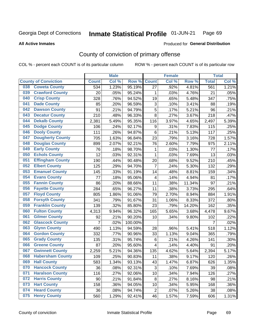### Inmate Statistical Profile 01-JUN-21 Page 69

### **All Active Inmates**

# Produced for General Distribution

# County of conviction of primary offense

COL % - percent each COUNT is of its particular column

|                                |                | <b>Male</b> |         |                           | <b>Female</b> |        |              | <b>Total</b> |
|--------------------------------|----------------|-------------|---------|---------------------------|---------------|--------|--------------|--------------|
| <b>County of Conviction</b>    | <b>Count</b>   | Col %       | Row %   | <b>Count</b>              | Col %         | Row %  | <b>Total</b> | Col%         |
| <b>Coweta County</b><br>038    | 534            | 1.23%       | 95.19%  | 27                        | .92%          | 4.81%  | 561          | 1.21%        |
| <b>Crawford County</b><br>039  | 20             | .05%        | 95.24%  | 1                         | .03%          | 4.76%  | 21           | .05%         |
| <b>Crisp County</b><br>040     | 328            | .76%        | 94.52%  | 19                        | .65%          | 5.48%  | 347          | .75%         |
| <b>Dade County</b><br>041      | 85             | .20%        | 96.59%  | $\ensuremath{\mathsf{3}}$ | .10%          | 3.41%  | 88           | .19%         |
| <b>Dawson County</b><br>042    | 91             | .21%        | 94.79%  | $\overline{5}$            | .17%          | 5.21%  | 96           | .21%         |
| 043<br><b>Decatur County</b>   | 210            | .48%        | 96.33%  | 8                         | .27%          | 3.67%  | 218          | .47%         |
| <b>Dekalb County</b><br>044    | 2,381          | 5.49%       | 95.35%  | 116                       | 3.97%         | 4.65%  | 2,497        | 5.39%        |
| <b>Dodge County</b><br>045     | 106            | .24%        | 92.17%  | 9                         | .31%          | 7.83%  | 115          | .25%         |
| <b>Dooly County</b><br>046     | 111            | .26%        | 94.87%  | 6                         | .21%          | 5.13%  | 117          | .25%         |
| 047<br><b>Dougherty County</b> | 705            | 1.63%       | 96.84%  | 23                        | .79%          | 3.16%  | 728          | 1.57%        |
| <b>Douglas County</b><br>048   | 899            | 2.07%       | 92.21%  | 76                        | 2.60%         | 7.79%  | 975          | 2.11%        |
| <b>Early County</b><br>049     | 76             | .18%        | 98.70%  | 1                         | .03%          | 1.30%  | 77           | .17%         |
| <b>Echols County</b><br>050    | 12             | .03%        | 92.31%  | $\mathbf{1}$              | .03%          | 7.69%  | 13           | .03%         |
| 051<br><b>Effingham County</b> | 190            | .44%        | 90.48%  | 20                        | .68%          | 9.52%  | 210          | .45%         |
| <b>Elbert County</b><br>052    | 125            | .29%        | 94.70%  | $\overline{7}$            | .24%          | 5.30%  | 132          | .29%         |
| <b>Emanuel County</b><br>053   | 145            | .33%        | 91.19%  | 14                        | .48%          | 8.81%  | 159          | .34%         |
| <b>Evans County</b><br>054     | 77             | .18%        | 95.06%  | 4                         | .14%          | 4.94%  | 81           | .17%         |
| <b>Fannin County</b><br>055    | 86             | .20%        | 88.66%  | 11                        | .38%          | 11.34% | 97           | .21%         |
| <b>Fayette County</b><br>056   | 284            | .65%        | 96.27%  | 11                        | .38%          | 3.73%  | 295          | .64%         |
| <b>Floyd County</b><br>057     | 805            | 1.86%       | 91.06%  | 79                        | 2.70%         | 8.94%  | 884          | 1.91%        |
| <b>Forsyth County</b><br>058   | 341            | .79%        | 91.67%  | 31                        | 1.06%         | 8.33%  | 372          | .80%         |
| <b>Franklin County</b><br>059  | 139            | .32%        | 85.80%  | 23                        | .79%          | 14.20% | 162          | .35%         |
| <b>Fulton County</b><br>060    | 4,313          | 9.94%       | 96.32%  | 165                       | 5.65%         | 3.68%  | 4,478        | 9.67%        |
| <b>Gilmer County</b><br>061    | 92             | .21%        | 90.20%  | 10                        | .34%          | 9.80%  | 102          | .22%         |
| <b>Glascock County</b><br>062  | $\overline{7}$ | .02%        | 100.00% |                           |               |        | 7            | .02%         |
| 063<br><b>Glynn County</b>     | 490            | 1.13%       | 94.59%  | 28                        | .96%          | 5.41%  | 518          | 1.12%        |
| <b>Gordon County</b><br>064    | 332            | .77%        | 90.96%  | 33                        | 1.13%         | 9.04%  | 365          | .79%         |
| <b>Grady County</b><br>065     | 135            | .31%        | 95.74%  | 6                         | .21%          | 4.26%  | 141          | .30%         |
| <b>Greene County</b><br>066    | 87             | .20%        | 95.60%  | 4                         | .14%          | 4.40%  | 91           | .20%         |
| <b>Gwinnett County</b><br>067  | 2,259          | 5.21%       | 94.36%  | 135                       | 4.62%         | 5.64%  | 2,394        | 5.17%        |
| <b>Habersham County</b><br>068 | 109            | .25%        | 90.83%  | 11                        | .38%          | 9.17%  | 120          | .26%         |
| 069<br><b>Hall County</b>      | 583            | 1.34%       | 93.13%  | 43                        | 1.47%         | 6.87%  | 626          | 1.35%        |
| <b>Hancock County</b><br>070   | 36             | .08%        | 92.31%  | 3                         | .10%          | 7.69%  | 39           | .08%         |
| <b>Haralson County</b><br>071  | 116            | .27%        | 92.06%  | 10                        | .34%          | 7.94%  | 126          | .27%         |
| 072<br><b>Harris County</b>    | 90             | .21%        | 91.84%  | 8                         | .27%          | 8.16%  | 98           | .21%         |
| <b>Hart County</b><br>073      | 158            | .36%        | 94.05%  | 10                        | .34%          | 5.95%  | 168          | .36%         |
| <b>Heard County</b><br>074     | 36             | .08%        | 94.74%  | $\overline{2}$            | .07%          | 5.26%  | 38           | .08%         |
| <b>Henry County</b><br>075     | 560            | 1.29%       | 92.41%  | 46                        | 1.57%         | 7.59%  | 606          | 1.31%        |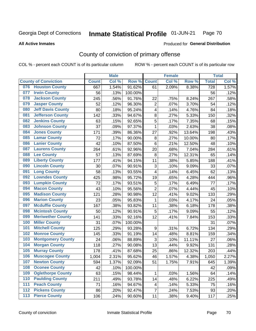### Inmate Statistical Profile 01-JUN-21 Page 70

### **All Active Inmates**

# Produced for General Distribution

# County of conviction of primary offense

COL % - percent each COUNT is of its particular column

|                  |                             |              | <b>Male</b> |         |                         | <b>Female</b> |        |                    | <b>Total</b> |
|------------------|-----------------------------|--------------|-------------|---------|-------------------------|---------------|--------|--------------------|--------------|
|                  | <b>County of Conviction</b> | <b>Count</b> | Col %       | Row %   | <b>Count</b>            | Col %         | Row %  | <b>Total</b>       | Col %        |
| 076              | <b>Houston County</b>       | 667          | 1.54%       | 91.62%  | 61                      | 2.09%         | 8.38%  | $\overline{728}$   | 1.57%        |
| 077              | <b>Irwin County</b>         | 56           | .13%        | 100.00% |                         |               |        | 56                 | .12%         |
| 078              | <b>Jackson County</b>       | 245          | .56%        | 91.76%  | 22                      | .75%          | 8.24%  | 267                | .58%         |
| 079              | <b>Jasper County</b>        | 52           | .12%        | 96.30%  | $\overline{2}$          | .07%          | 3.70%  | 54                 | .12%         |
| 080              | <b>Jeff Davis County</b>    | 80           | .18%        | 95.24%  | $\overline{\mathbf{4}}$ | .14%          | 4.76%  | 84                 | .18%         |
| 081              | <b>Jefferson County</b>     | 142          | .33%        | 94.67%  | 8                       | .27%          | 5.33%  | 150                | .32%         |
| 082              | <b>Jenkins County</b>       | 63           | .15%        | 92.65%  | 5                       | .17%          | 7.35%  | 68                 | .15%         |
| 083              | <b>Johnson County</b>       | 37           | .09%        | 97.37%  | $\mathbf{1}$            | .03%          | 2.63%  | 38                 | .08%         |
| 084              | <b>Jones County</b>         | 171          | .39%        | 86.36%  | 27                      | .92%          | 13.64% | 198                | .43%         |
| 085              | <b>Lamar County</b>         | 72           | .17%        | 90.00%  | $\bf 8$                 | .27%          | 10.00% | 80                 | .17%         |
| 086              | <b>Lanier County</b>        | 42           | .10%        | 87.50%  | $\,6$                   | .21%          | 12.50% | 48                 | .10%         |
| 087              | <b>Laurens County</b>       | 264          | .61%        | 92.96%  | 20                      | .68%          | 7.04%  | 284                | .61%         |
| 088              | <b>Lee County</b>           | 57           | .13%        | 87.69%  | 8                       | .27%          | 12.31% | 65                 | .14%         |
| 089              | <b>Liberty County</b>       | 177          | .41%        | 94.15%  | 11                      | .38%          | 5.85%  | 188                | .41%         |
| 090              | <b>Lincoln County</b>       | 30           | .07%        | 90.91%  | 3                       | .10%          | 9.09%  | 33                 | .07%         |
| 091              | <b>Long County</b>          | 58           | .13%        | 93.55%  | 4                       | .14%          | 6.45%  | 62                 | .13%         |
| 092              | <b>Lowndes County</b>       | 425          | .98%        | 95.72%  | 19                      | .65%          | 4.28%  | 444                | .96%         |
| 093              | <b>Lumpkin County</b>       | 72           | .17%        | 93.51%  | $\sqrt{5}$              | .17%          | 6.49%  | 77                 | .17%         |
| 094              | <b>Macon County</b>         | 43           | .10%        | 95.56%  | $\overline{2}$          | .07%          | 4.44%  | 45                 | .10%         |
| 095              | <b>Madison County</b>       | 121          | .28%        | 90.98%  | 12                      | .41%          | 9.02%  | 133                | .29%         |
| 096              | <b>Marion County</b>        | 23           | .05%        | 95.83%  | $\mathbf{1}$            | .03%          | 4.17%  | 24                 | .05%         |
| 097              | <b>Mcduffie County</b>      | 167          | .38%        | 93.82%  | 11                      | .38%          | 6.18%  | 178                | .38%         |
| 098              | <b>Mcintosh County</b>      | 50           | .12%        | 90.91%  | 5                       | .17%          | 9.09%  | 55                 | .12%         |
| 099              | <b>Meriwether County</b>    | 141          | .33%        | 92.16%  | 12                      | .41%          | 7.84%  | 153                | .33%         |
| 100              | <b>Miller County</b>        | 31           | .07%        | 100.00% |                         |               |        | 31                 | .07%         |
| 101              | <b>Mitchell County</b>      | 125          | .29%        | 93.28%  | 9                       | .31%          | 6.72%  | 134                | .29%         |
| 102              | <b>Monroe County</b>        | 145          | .33%        | 91.19%  | 14                      | .48%          | 8.81%  | 159                | .34%         |
| 103              | <b>Montgomery County</b>    | 24           | .06%        | 88.89%  | 3                       | .10%          | 11.11% | 27                 | .06%         |
| 104              | <b>Morgan County</b>        | 118          | .27%        | 90.08%  | 13                      | .44%          | 9.92%  | 131                | .28%         |
| 105              | <b>Murray County</b>        | 178          | .41%        | 87.68%  | 25                      | .86%          | 12.32% | 203                | .44%         |
| 106              | <b>Muscogee County</b>      | 1,004        | 2.31%       | 95.62%  | 46                      | 1.57%         | 4.38%  | $\overline{1,050}$ | 2.27%        |
| 107              | <b>Newton County</b>        | 594          | 1.37%       | 92.09%  | 51                      | 1.75%         | 7.91%  | 645                | 1.39%        |
| 108              | <b>Oconee County</b>        | 42           | .10%        | 100.00% |                         |               |        | 42                 | .09%         |
| 109              | <b>Oglethorpe County</b>    | 63           | .15%        | 98.44%  | $\mathbf{1}$            | .03%          | 1.56%  | 64                 | .14%         |
| 110              | <b>Paulding County</b>      | 211          | .49%        | 93.78%  | 14                      | .48%          | 6.22%  | 225                | .49%         |
| 111              | <b>Peach County</b>         | 71           | .16%        | 94.67%  | 4                       | .14%          | 5.33%  | 75                 | .16%         |
| $112$            | <b>Pickens County</b>       | 86           | .20%        | 92.47%  | $\overline{7}$          | .24%          | 7.53%  | 93                 | .20%         |
| $\overline{113}$ | <b>Pierce County</b>        | 106          | .24%        | 90.60%  | 11                      | .38%          | 9.40%  | 117                | .25%         |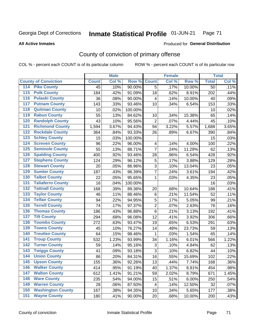### Inmate Statistical Profile 01-JUN-21 Page 71

**All Active Inmates** 

### Produced for General Distribution

# County of conviction of primary offense

COL % - percent each COUNT is of its particular column

|                                          |              | <b>Male</b> |         |                  | <b>Female</b> |        |                 | <b>Total</b> |
|------------------------------------------|--------------|-------------|---------|------------------|---------------|--------|-----------------|--------------|
| <b>County of Conviction</b>              | <b>Count</b> | Col %       | Row %   | <b>Count</b>     | Col %         | Row %  | <b>Total</b>    | Col %        |
| <b>Pike County</b><br>114                | 45           | .10%        | 90.00%  | $\overline{5}$   | .17%          | 10.00% | $\overline{50}$ | .11%         |
| <b>Polk County</b><br>$\overline{115}$   | 184          | .42%        | 91.09%  | 18               | .62%          | 8.91%  | 202             | .44%         |
| <b>Pulaski County</b><br>116             | 36           | .08%        | 90.00%  | 4                | .14%          | 10.00% | 40              | .09%         |
| <b>Putnam County</b><br>117              | 143          | .33%        | 93.46%  | 10               | .34%          | 6.54%  | 153             | .33%         |
| <b>Quitman County</b><br>118             | 10           | .02%        | 100.00% |                  |               |        | 10              | .02%         |
| <b>Rabun County</b><br>119               | 55           | .13%        | 84.62%  | 10               | .34%          | 15.38% | 65              | .14%         |
| <b>Randolph County</b><br>120            | 43           | .10%        | 95.56%  | $\overline{2}$   | .07%          | 4.44%  | 45              | .10%         |
| <b>Richmond County</b><br>121            | 1,594        | 3.67%       | 94.43%  | 94               | 3.22%         | 5.57%  | 1,688           | 3.65%        |
| <b>Rockdale County</b><br>122            | 364          | .84%        | 93.33%  | 26               | .89%          | 6.67%  | 390             | .84%         |
| <b>Schley County</b><br>123              | 15           | .03%        | 100.00% |                  |               |        | 15              | .03%         |
| <b>Screven County</b><br>124             | 96           | .22%        | 96.00%  | 4                | .14%          | 4.00%  | 100             | .22%         |
| <b>Seminole County</b><br>125            | 55           | .13%        | 88.71%  | $\overline{7}$   | .24%          | 11.29% | 62              | .13%         |
| <b>Spalding County</b><br>126            | 400          | .92%        | 93.46%  | 28               | .96%          | 6.54%  | 428             | .92%         |
| <b>Stephens County</b><br>127            | 124          | .29%        | 96.12%  | 5                | .17%          | 3.88%  | 129             | .28%         |
| <b>Stewart County</b><br>128             | 20           | .05%        | 86.96%  | 3                | .10%          | 13.04% | 23              | .05%         |
| <b>Sumter County</b><br>129              | 187          | .43%        | 96.39%  | 7                | .24%          | 3.61%  | 194             | .42%         |
| <b>Talbot County</b><br>130              | 22           | .05%        | 95.65%  | 1                | .03%          | 4.35%  | 23              | .05%         |
| <b>Taliaferro County</b><br>131          | 16           | .04%        | 100.00% |                  |               |        | 16              | .03%         |
| <b>Tattnall County</b><br>132            | 168          | .39%        | 89.36%  | 20               | .68%          | 10.64% | 188             | .41%         |
| <b>Taylor County</b><br>133              | 46           | .11%        | 88.46%  | $\,6$            | .21%          | 11.54% | 52              | .11%         |
| <b>Telfair County</b><br>134             | 94           | .22%        | 94.95%  | 5                | .17%          | 5.05%  | 99              | .21%         |
| <b>Terrell County</b><br>135             | 74           | .17%        | 97.37%  | $\boldsymbol{2}$ | .07%          | 2.63%  | 76              | .16%         |
| <b>Thomas County</b><br>136              | 186          | .43%        | 96.88%  | 6                | .21%          | 3.13%  | 192             | .41%         |
| <b>Tift County</b><br>137                | 294          | .68%        | 96.08%  | 12               | .41%          | 3.92%  | 306             | .66%         |
| <b>Toombs County</b><br>138              | 272          | .63%        | 93.47%  | 19               | .65%          | 6.53%  | 291             | .63%         |
| <b>Towns County</b><br>139               | 45           | .10%        | 76.27%  | 14               | .48%          | 23.73% | 59              | .13%         |
| <b>Treutlen County</b><br>140            | 64           | .15%        | 98.46%  | 1                | .03%          | 1.54%  | 65              | .14%         |
| <b>Troup County</b><br>141               | 532          | 1.23%       | 93.99%  | 34               | 1.16%         | 6.01%  | 566             | 1.22%        |
| <b>Turner County</b><br>142              | 59           | .14%        | 95.16%  | 3                | .10%          | 4.84%  | 62              | .13%         |
| <b>Twiggs County</b><br>$\overline{143}$ | 41           | .09%        | 93.18%  | 3                | .10%          | 6.82%  | 44              | .10%         |
| <b>Union County</b><br>144               | 86           | .20%        | 84.31%  | 16               | .55%          | 15.69% | 102             | .22%         |
| 145<br><b>Upson County</b>               | 155          | .36%        | 92.26%  | 13               | .44%          | 7.74%  | 168             | .36%         |
| <b>Walker County</b><br>146              | 414          | .95%        | 91.19%  | 40               | 1.37%         | 8.81%  | 454             | .98%         |
| <b>Walton County</b><br>147              | 612          | 1.41%       | 91.21%  | 59               | 2.02%         | 8.79%  | 671             | 1.45%        |
| <b>Ware County</b><br>148                | 235          | .54%        | 94.00%  | 15               | .51%          | 6.00%  | 250             | .54%         |
| <b>Warren County</b><br>149              | 28           | .06%        | 87.50%  | 4                | .14%          | 12.50% | 32              | .07%         |
| <b>Washington County</b><br>150          | 167          | .38%        | 94.35%  | 10               | .34%          | 5.65%  | 177             | .38%         |
| <b>Wayne County</b><br>151               | 180          | .41%        | 90.00%  | 20               | .68%          | 10.00% | 200             | .43%         |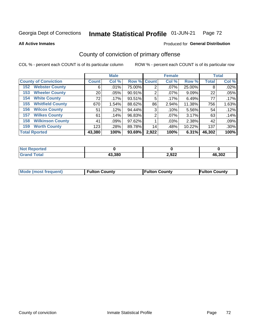### Inmate Statistical Profile 01-JUN-21 Page 72

**All Active Inmates** 

## Produced for General Distribution

# County of conviction of primary offense

COL % - percent each COUNT is of its particular column

|                                |              | <b>Male</b> |             |       | <b>Female</b> |        |              | <b>Total</b> |
|--------------------------------|--------------|-------------|-------------|-------|---------------|--------|--------------|--------------|
| <b>County of Conviction</b>    | <b>Count</b> | Col %       | Row % Count |       | Col %         | Row %  | <b>Total</b> | Col %        |
| <b>Webster County</b><br>152   | 6            | .01%        | 75.00%      | 2     | $.07\%$       | 25.00% | 8            | .02%         |
| <b>Wheeler County</b><br>153   | 20           | .05%        | 90.91%      | 2     | $.07\%$       | 9.09%  | 22           | .05%         |
| <b>White County</b><br>154     | 72           | .17%        | 93.51%      | 5     | .17%          | 6.49%  | 77           | .17%         |
| <b>Whitfield County</b><br>155 | 670          | 1.54%       | 88.62%      | 86    | 2.94%         | 11.38% | 756          | 1.63%        |
| <b>Wilcox County</b><br>156    | 51           | .12%        | 94.44%      | 3     | .10%          | 5.56%  | 54           | .12%         |
| <b>Wilkes County</b><br>157    | 61           | .14%        | 96.83%      | 2     | $.07\%$       | 3.17%  | 63           | .14%         |
| <b>Wilkinson County</b><br>158 | 41           | .09%        | 97.62%      |       | .03%          | 2.38%  | 42           | .09%         |
| <b>Worth County</b><br>159     | 123          | .28%        | 89.78%      | 14    | .48%          | 10.22% | 137          | .30%         |
| <b>Total Rported</b>           | 43,380       | 100%        | 93.69%      | 2,922 | 100%          | 6.31%  | 46,302       | 100%         |

| <b>Not Reported</b> |        |       |        |
|---------------------|--------|-------|--------|
| <b>Grand Total</b>  | 43,380 | 2,922 | 46,302 |

| Mode (most frequent) | <b>Fulton County</b> | <b>Fulton County</b> | <b>Fulton County</b> |
|----------------------|----------------------|----------------------|----------------------|
|                      |                      |                      |                      |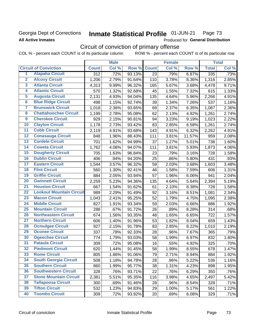# Georgia Dept of Corrections **All Active Inmates**

### Inmate Statistical Profile 01-JUN-21 Page 73

Produced for General Distribution

# Circuit of conviction of primary offense

COL % - percent each COUNT is of its particular column ROW % - percent each COUNT is of its particular row

|                         |                                 | <b>Male</b>        |       |        | <b>Female</b>   |       |        | <b>Total</b> |       |
|-------------------------|---------------------------------|--------------------|-------|--------|-----------------|-------|--------|--------------|-------|
|                         | <b>Circuit of Conviction</b>    | <b>Count</b>       | Col % | Row %  | <b>Count</b>    | Col % | Row %  | <b>Total</b> | Col % |
| 1                       | <b>Alapaha Circuit</b>          | $\overline{312}$   | .72%  | 93.13% | $\overline{23}$ | .79%  | 6.87%  | 335          | .73%  |
| $\overline{2}$          | <b>Alcovy Circuit</b>           | 1,206              | 2.79% | 91.64% | 110             | 3.78% | 8.36%  | 1,316        | 2.85% |
| $\overline{\mathbf{3}}$ | <b>Atlanta Circuit</b>          | 4,313              | 9.99% | 96.32% | 165             | 5.67% | 3.68%  | 4,478        | 9.71% |
| 4                       | <b>Atlantic Circuit</b>         | 570                | 1.32% | 92.68% | 45              | 1.55% | 7.32%  | 615          | 1.33% |
| 5                       | <b>Augusta Circuit</b>          | 2,131              | 4.93% | 94.04% | 135             | 4.64% | 5.96%  | 2,266        | 4.91% |
| $\overline{6}$          | <b>Blue Ridge Circuit</b>       | 498                | 1.15% | 92.74% | 39              | 1.34% | 7.26%  | 537          | 1.16% |
| 7                       | <b>Brunswick Circuit</b>        | $\overline{1,018}$ | 2.36% | 93.65% | 69              | 2.37% | 6.35%  | 1,087        | 2.36% |
| 8                       | <b>Chattahoochee Circuit</b>    | 1,199              | 2.78% | 95.08% | 62              | 2.13% | 4.92%  | 1,261        | 2.74% |
| 9                       | <b>Cherokee Circuit</b>         | 929                | 2.15% | 90.81% | 94              | 3.23% | 9.19%  | 1,023        | 2.22% |
| 10                      | <b>Clayton Circuit</b>          | 1,178              | 2.73% | 93.42% | 83              | 2.85% | 6.58%  | 1,261        | 2.74% |
| $\overline{11}$         | <b>Cobb Circuit</b>             | 2,119              | 4.91% | 93.68% | 143             | 4.91% | 6.32%  | 2,262        | 4.91% |
| 12                      | <b>Conasauga Circuit</b>        | 848                | 1.96% | 88.43% | 111             | 3.81% | 11.57% | 959          | 2.08% |
| 13                      | <b>Cordele Circuit</b>          | 701                | 1.62% | 94.99% | 37              | 1.27% | 5.01%  | 738          | 1.60% |
| $\overline{14}$         | <b>Coweta Circuit</b>           | 1,762              | 4.08% | 94.07% | 111             | 3.81% | 5.93%  | 1,873        | 4.06% |
| 15                      | <b>Dougherty Circuit</b>        | 705                | 1.63% | 96.84% | 23              | .79%  | 3.16%  | 728          | 1.58% |
| 16                      | <b>Dublin Circuit</b>           | 406                | .94%  | 94.20% | 25              | .86%  | 5.80%  | 431          | .93%  |
| 17                      | <b>Eastern Circuit</b>          | 1,544              | 3.57% | 96.32% | 59              | 2.03% | 3.68%  | 1,603        | 3.48% |
| 18                      | <b>Flint Circuit</b>            | 560                | 1.30% | 92.41% | 46              | 1.58% | 7.59%  | 606          | 1.31% |
| 19                      | <b>Griffin Circuit</b>          | 884                | 2.05% | 93.94% | 57              | 1.96% | 6.06%  | 941          | 2.04% |
| 20                      | <b>Gwinnett Circuit</b>         | 2,259              | 5.23% | 94.36% | 135             | 4.64% | 5.64%  | 2,394        | 5.19% |
| $\overline{21}$         | <b>Houston Circuit</b>          | 667                | 1.54% | 91.62% | 61              | 2.10% | 8.38%  | 728          | 1.58% |
| $\overline{22}$         | <b>Lookout Mountain Circuit</b> | 989                | 2.29% | 91.49% | 92              | 3.16% | 8.51%  | 1,081        | 2.34% |
| 23                      | <b>Macon Circuit</b>            | 1,043              | 2.41% | 95.25% | 52              | 1.79% | 4.75%  | 1,095        | 2.38% |
| 24                      | <b>Middle Circuit</b>           | 827                | 1.91% | 93.34% | 59              | 2.03% | 6.66%  | 886          | 1.92% |
| $\overline{25}$         | <b>Mountain Circuit</b>         | 288                | .67%  | 91.72% | 26              | .89%  | 8.28%  | 314          | .68%  |
| 26                      | <b>Northeastern Circuit</b>     | 674                | 1.56% | 93.35% | 48              | 1.65% | 6.65%  | 722          | 1.57% |
| $\overline{27}$         | <b>Northern Circuit</b>         | 606                | 1.40% | 91.96% | 53              | 1.82% | 8.04%  | 659          | 1.43% |
| 28                      | <b>Ocmulgee Circuit</b>         | 927                | 2.15% | 91.78% | 83              | 2.85% | 8.22%  | 1,010        | 2.19% |
| 29                      | <b>Oconee Circuit</b>           | 337                | .78%  | 92.33% | 28              | .96%  | 7.67%  | 365          | .79%  |
| 30                      | <b>Ogeechee Circuit</b>         | 774                | 1.79% | 93.03% | 58              | 1.99% | 6.97%  | 832          | 1.80% |
| $\overline{31}$         | <b>Pataula Circuit</b>          | 309                | .72%  | 95.08% | 16              | .55%  | 4.92%  | 325          | .70%  |
| 32                      | <b>Piedmont Circuit</b>         | 620                | 1.44% | 91.45% | 58              | 1.99% | 8.55%  | 678          | 1.47% |
| 33                      | <b>Rome Circuit</b>             | 805                | 1.86% | 91.06% | 79              | 2.71% | 8.94%  | 884          | 1.92% |
| 34                      | <b>South Georgia Circuit</b>    | 508                | 1.18% | 94.78% | 28              | .96%  | 5.22%  | 536          | 1.16% |
| 35                      | <b>Southern Circuit</b>         | 860                | 1.99% | 95.77% | 38              | 1.31% | 4.23%  | 898          | 1.95% |
| 36                      | <b>Southwestern Circuit</b>     | 328                | .76%  | 93.71% | 22              | .76%  | 6.29%  | 350          | .76%  |
| 37                      | <b>Stone Mountain Circuit</b>   | 2,381              | 5.51% | 95.35% | 116             | 3.98% | 4.65%  | 2,497        | 5.42% |
| 38                      | <b>Tallapoosa Circuit</b>       | 300                | .69%  | 91.46% | 28              | .96%  | 8.54%  | 328          | .71%  |
| 39                      | <b>Tifton Circuit</b>           | 532                | 1.23% | 94.83% | 29              | 1.00% | 5.17%  | 561          | 1.22% |
| 40                      | <b>Toombs Circuit</b>           | 309                | .72%  | 93.92% | 20              | .69%  | 6.08%  | 329          | .71%  |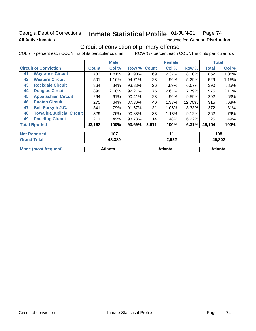### Georgia Dept of Corrections **All Active Inmates**

#### Inmate Statistical Profile 01-JUN-21 Page 74

Produced for General Distribution

## Circuit of conviction of primary offense

|                      |                                  |              | <b>Male</b> |        |              | <b>Female</b> |        | <b>Total</b> |        |
|----------------------|----------------------------------|--------------|-------------|--------|--------------|---------------|--------|--------------|--------|
|                      | <b>Circuit of Conviction</b>     | <b>Count</b> | Col %       | Row %  | <b>Count</b> | Col %         | Row %  | <b>Total</b> | Col %  |
| 41                   | <b>Waycross Circuit</b>          | 783          | 1.81%       | 91.90% | 69           | 2.37%         | 8.10%  | 852          | 1.85%  |
| 42                   | <b>Western Circuit</b>           | 501          | 1.16%       | 94.71% | 28           | .96%          | 5.29%  | 529          | 1.15%  |
| 43                   | <b>Rockdale Circuit</b>          | 364          | .84%        | 93.33% | 26           | .89%          | 6.67%  | 390          | .85%   |
| 44                   | <b>Douglas Circuit</b>           | 899          | 2.08%       | 92.21% | 76           | 2.61%         | 7.79%  | 975          | 2.11%  |
| 45                   | <b>Appalachian Circuit</b>       | 264          | .61%        | 90.41% | 28           | .96%          | 9.59%  | 292          | .63%   |
| 46                   | <b>Enotah Circuit</b>            | 275          | .64%        | 87.30% | 40           | 1.37%         | 12.70% | 315          | .68%   |
| 47                   | <b>Bell-Forsyth J.C.</b>         | 341          | .79%        | 91.67% | 31           | 1.06%         | 8.33%  | 372          | .81%   |
| 48                   | <b>Towaliga Judicial Circuit</b> | 329          | .76%        | 90.88% | 33           | 1.13%         | 9.12%  | 362          | .79%   |
| 49                   | <b>Paulding Circuit</b>          | 211          | .49%        | 93.78% | 14           | .48%          | 6.22%  | 225          | .49%   |
| <b>Total Rported</b> |                                  | 43,193       | 100%        | 93.69% | 2,911        | 100%          | 6.31%  | 46,104       | 100%   |
| <b>Not Reported</b>  |                                  |              | 187         |        |              | 11            |        |              | 198    |
| <b>Grand Total</b>   |                                  |              | 43,380      |        |              | 2,922         |        |              | 46,302 |

| 'otal                    | 43.38U  | 2.922   | 40.JUZ  |
|--------------------------|---------|---------|---------|
| <b>Mode</b><br>frequent) | Atlanta | Atlanta | Atlanta |
|                          |         |         |         |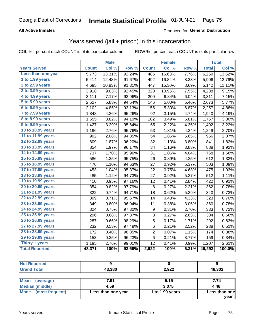### **All Active Inmates**

#### Produced for **General Distribution**

## Years served (jail + prison) in this incarceration

|                              |              | <b>Male</b> |                  |                  | <b>Female</b> |                  |              | <b>Total</b> |
|------------------------------|--------------|-------------|------------------|------------------|---------------|------------------|--------------|--------------|
| <b>Years Served</b>          | <b>Count</b> | Col %       | Row <sup>%</sup> | <b>Count</b>     | Col %         | Row <sub>%</sub> | <b>Total</b> | Col%         |
| Less than one year           | 5,773        | 13.31%      | 92.24%           | 486              | 16.63%        | 7.76%            | 6,259        | 13.52%       |
| 1 to 1.99 years              | 5,414        | 12.48%      | 91.67%           | 492              | 16.84%        | 8.33%            | 5,906        | 12.76%       |
| 2 to 2.99 years              | 4,695        | 10.83%      | 91.31%           | 447              | 15.30%        | 8.69%            | 5,142        | 11.11%       |
| 3 to 3.99 years              | 3,918        | 9.03%       | 92.45%           | 320              | 10.95%        | 7.55%            | 4,238        | 9.15%        |
| 4 to 4.99 years              | 3,111        | 7.17%       | 93.96%           | 200              | 6.84%         | 6.04%            | 3,311        | 7.15%        |
| $\overline{5}$ to 5.99 years | 2,527        | 5.83%       | 94.54%           | 146              | 5.00%         | 5.46%            | 2,673        | 5.77%        |
| 6 to 6.99 years              | 2,102        | 4.85%       | 93.13%           | 155              | 5.30%         | 6.87%            | 2,257        | 4.88%        |
| 7 to 7.99 years              | 1,848        | 4.26%       | 95.26%           | 92               | 3.15%         | 4.74%            | 1,940        | 4.19%        |
| <b>8 to 8.99 years</b>       | 1,655        | 3.82%       | 94.19%           | 102              | 3.49%         | 5.81%            | 1,757        | 3.80%        |
| 9 to 9.99 years              | 1,427        | 3.29%       | 95.64%           | 65               | 2.22%         | 4.36%            | 1,492        | 3.22%        |
| 10 to 10.99 years            | 1,196        | 2.76%       | 95.76%           | 53               | 1.81%         | 4.24%            | 1,249        | 2.70%        |
| 11 to 11.99 years            | 902          | 2.08%       | 94.35%           | 54               | 1.85%         | 5.65%            | 956          | 2.07%        |
| 12 to 12.99 years            | 809          | 1.87%       | 96.20%           | 32               | 1.10%         | 3.80%            | 841          | 1.82%        |
| 13 to 13.99 years            | 854          | 1.97%       | 96.17%           | 34               | 1.16%         | 3.83%            | 888          | 1.92%        |
| 14 to 14.99 years            | 737          | 1.70%       | 95.96%           | 31               | 1.06%         | 4.04%            | 768          | 1.66%        |
| 15 to 15.99 years            | 586          | 1.35%       | 95.75%           | 26               | 0.89%         | 4.25%            | 612          | 1.32%        |
| 16 to 16.99 years            | 476          | 1.10%       | 94.63%           | 27               | 0.92%         | 5.37%            | 503          | 1.09%        |
| 17 to 17.99 years            | 453          | 1.04%       | 95.37%           | 22               | 0.75%         | 4.63%            | 475          | 1.03%        |
| 18 to 18.99 years            | 485          | 1.12%       | 94.73%           | 27               | 0.92%         | 5.27%            | 512          | 1.11%        |
| 19 to 19.99 years            | 410          | 0.95%       | 97.16%           | 12               | 0.41%         | 2.84%            | 422          | 0.91%        |
| 20 to 20.99 years            | 354          | 0.82%       | 97.79%           | 8                | 0.27%         | 2.21%            | 362          | 0.78%        |
| 21 to 21.99 years            | 322          | 0.74%       | 94.71%           | 18               | 0.62%         | 5.29%            | 340          | 0.73%        |
| 22 to 22.99 years            | 309          | 0.71%       | 95.67%           | 14               | 0.48%         | 4.33%            | 323          | 0.70%        |
| 23 to 23.99 years            | 349          | 0.80%       | 96.94%           | 11               | 0.38%         | 3.06%            | 360          | 0.78%        |
| 24 to 24.99 years            | 324          | 0.75%       | 97.30%           | $\boldsymbol{9}$ | 0.31%         | 2.70%            | 333          | 0.72%        |
| 25 to 25.99 years            | 296          | 0.68%       | 97.37%           | 8                | 0.27%         | 2.63%            | 304          | 0.66%        |
| 26 to 26.99 years            | 287          | 0.66%       | 98.29%           | $\overline{5}$   | 0.17%         | 1.71%            | 292          | 0.63%        |
| 27 to 27.99 years            | 232          | 0.53%       | 97.48%           | 6                | 0.21%         | 2.52%            | 238          | 0.51%        |
| 28 to 28.99 years            | 172          | 0.40%       | 98.85%           | $\overline{c}$   | 0.07%         | 1.15%            | 174          | 0.38%        |
| 29 to 29.99 years            | 153          | 0.35%       | 96.23%           | $\,6$            | 0.21%         | 3.77%            | 159          | 0.34%        |
| Thirty + years               | 1,195        | 2.76%       | 99.01%           | 12               | 0.41%         | 0.99%            | 1,207        | 2.61%        |
| <b>Total Reported</b>        | 43,371       | 100%        | 93.69%           | 2,922            | 100%          | 6.31%            | 46,293       | 100.0%       |

| <b>Not Reported</b> |        |            |        |
|---------------------|--------|------------|--------|
| <b>Grand Total</b>  | 43,380 | 2,922      | 46,302 |
|                     |        |            |        |
| $1.88 - 1.1$        | 7.04   | <b>FAF</b> | 774    |

| Mean (average)       | 7.91               | 5.15            | 7.74          |
|----------------------|--------------------|-----------------|---------------|
| Median (middle)      | 4.59               | 3.075           | 4.46          |
| Mode (most frequent) | Less than one year | 1 to 1.99 years | Less than one |
|                      |                    |                 | vear          |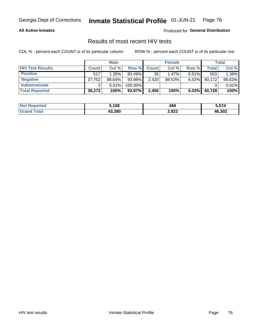#### **All Active Inmates**

Produced for **General Distribution**

### Results of most recent HIV tests

|                         | <b>Male</b>  |        | <b>Female</b> |              |          | Total    |        |        |
|-------------------------|--------------|--------|---------------|--------------|----------|----------|--------|--------|
| <b>HIV Test Results</b> | <b>Count</b> | Col %  | Row %I        | <b>Count</b> | Col %    | Row %    | Total  | Col %  |
| <b>Positive</b>         | 517          | 1.35%  | 93.49%        | 36           | $1.47\%$ | $6.51\%$ | 553    | 1.36%  |
| <b>Negative</b>         | 37,752       | 98.64% | 93.98%        | 2,420        | 98.53%   | 6.02%    | 40,172 | 98.63% |
| Indeterminate           | ົ            | 0.01%  | 100.00%       |              |          |          |        | 0.01%  |
| <b>Total Reported</b>   | 38,272       | 100%   | 93.97%        | 2.456        | 100%     | 6.03%    | 40,728 | 100%   |

| <b>Not Reported</b> | 5,108  | .<br>46t | - -- - |
|---------------------|--------|----------|--------|
| ⊺otal               | 43.380 | 2,922    | 46,302 |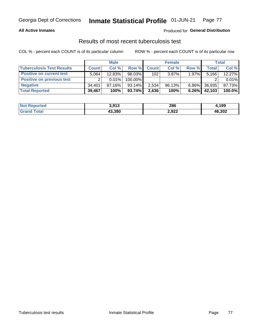#### **All Active Inmates**

#### Produced for **General Distribution**

### Results of most recent tuberculosis test

|                                  | <b>Male</b>  |        | <b>Female</b> |              |          | Total    |        |        |
|----------------------------------|--------------|--------|---------------|--------------|----------|----------|--------|--------|
| <b>Tuberculosis Test Results</b> | <b>Count</b> | Col %  | Row %         | <b>Count</b> | Col %    | Row %    | Total  | Col %  |
| <b>Positive on current test</b>  | 5.064        | 12.83% | 98.03%        | 102          | $3.87\%$ | $1.97\%$ | 5,166  | 12.27% |
| <b>Positive on previous test</b> | ົ            | 0.01%  | 100.00%       |              |          |          |        | 0.01%  |
| <b>Negative</b>                  | 34.401       | 87.16% | $93.14\%$     | 2.534        | 96.13%   | $6.86\%$ | 36,935 | 87.73% |
| <b>Total Reported</b>            | 39,467       | 100%   | $93.74\%$     | 2,636        | 100%     | $6.26\%$ | 42,103 | 100.0% |

| <b>Not Reported</b> | 3,913  | 286   | 1,199  |
|---------------------|--------|-------|--------|
| Total               | 43,380 | 2,922 | 46,302 |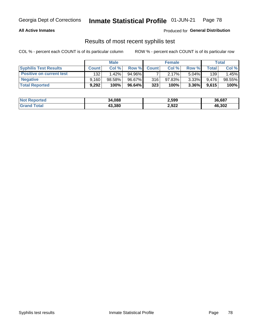#### **All Active Inmates**

Produced for **General Distribution**

### Results of most recent syphilis test

|                                 | <b>Male</b>  |        |           | <b>Female</b> | Total  |          |       |        |
|---------------------------------|--------------|--------|-----------|---------------|--------|----------|-------|--------|
| <b>Syphilis Test Results</b>    | <b>Count</b> | Col%   | Row %     | <b>Count</b>  | Col %  | Row %    | Total | Col %  |
| <b>Positive on current test</b> | 132          | 1.42%  | 94.96%    |               | 2.17%  | $5.04\%$ | 139   | .45%   |
| <b>Negative</b>                 | 9.160        | 98.58% | 96.67%    | 316           | 97.83% | $3.33\%$ | 9.476 | 98.55% |
| <b>Total Reported</b>           | 9,292        | 100%   | $96.64\%$ | 323           | 100%   | $3.36\%$ | 9,615 | 100%   |

| <b>Not Reported</b> | 34,088 | 2,599 | 36,687 |
|---------------------|--------|-------|--------|
| <b>Grand Total</b>  | 43,380 | 2,922 | 46,302 |